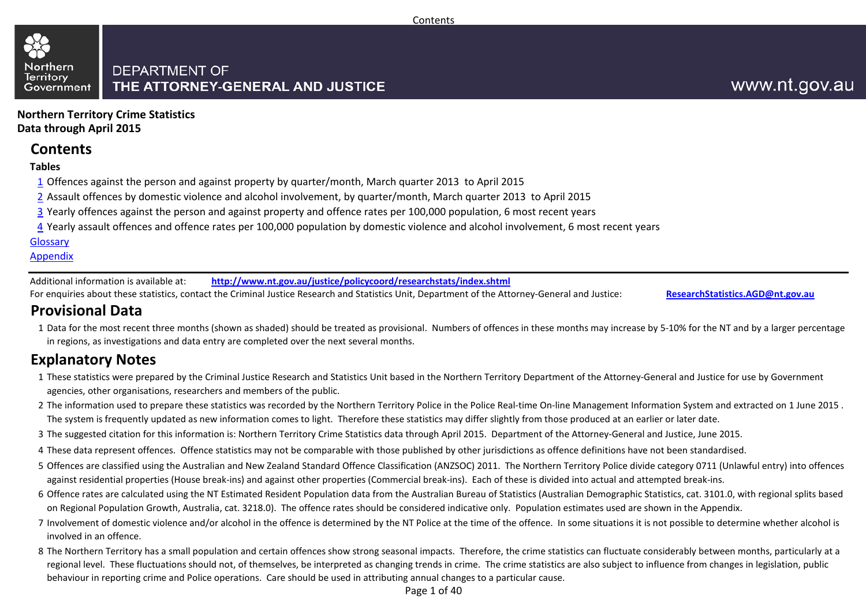#### **DEPARTMENT OF** THE ATTORNEY-GENERAL AND JUSTICE Government

## www.nt.gov.au

**Northern Territory Crime Statistics Data through April 2015**

#### **Contents**

#### **Tables**

Northern

**Territory** 

- 1 Offences against the person and against property by quarter/month, March quarter 2013 to April 2015
- 2 Assault offences by domestic violence and alcohol involvement, by quarter/month, March quarter 2013 to April 2015
- 3 Yearly offences against the person and against property and offence rates per 100,000 population, 6 most recent years
- 4 Yearly assault offences and offence rates per 100,000 population by domestic violence and alcohol involvement, 6 most recent years

#### [Glossary](#page-37-0)

#### **Appendix**

Additional information is available at: **<http://www.nt.gov.au/justice/policycoord/researchstats/index.shtml>**

For enquiries about these statistics, contact the Criminal Justice Research and Statistics Unit, Department of the Attorney-General and Justice: **[ResearchStatistics.AGD@nt.gov.au](mailto:ResearchStatistics.DOJ@nt.gov.au)**

### **Provisional Data**

1 Data for the most recent three months (shown as shaded) should be treated as provisional. Numbers of offences in these months may increase by 5-10% for the NT and by a larger percentage in regions, as investigations and data entry are completed over the next several months.

### **Explanatory Notes**

- 1 These statistics were prepared by the Criminal Justice Research and Statistics Unit based in the Northern Territory Department of the Attorney-General and Justice for use by Government agencies, other organisations, researchers and members of the public.
- 2 The information used to prepare these statistics was recorded by the Northern Territory Police in the Police Real-time On-line Management Information System and extracted on 1 June 2015 . The system is frequently updated as new information comes to light. Therefore these statistics may differ slightly from those produced at an earlier or later date.
- 3 The suggested citation for this information is: Northern Territory Crime Statistics data through April 2015. Department of the Attorney-General and Justice, June 2015.
- 4 These data represent offences. Offence statistics may not be comparable with those published by other jurisdictions as offence definitions have not been standardised.
- 5 Offences are classified using the Australian and New Zealand Standard Offence Classification (ANZSOC) 2011. The Northern Territory Police divide category 0711 (Unlawful entry) into offences against residential properties (House break-ins) and against other properties (Commercial break-ins). Each of these is divided into actual and attempted break-ins.
- 6 Offence rates are calculated using the NT Estimated Resident Population data from the Australian Bureau of Statistics (Australian Demographic Statistics, cat. 3101.0, with regional splits based on Regional Population Growth, Australia, cat. 3218.0). The offence rates should be considered indicative only. Population estimates used are shown in the Appendix.
- 7 Involvement of domestic violence and/or alcohol in the offence is determined by the NT Police at the time of the offence. In some situations it is not possible to determine whether alcohol is involved in an offence.
- 8 The Northern Territory has a small population and certain offences show strong seasonal impacts. Therefore, the crime statistics can fluctuate considerably between months, particularly at a regional level. These fluctuations should not, of themselves, be interpreted as changing trends in crime. The crime statistics are also subject to influence from changes in legislation, public behaviour in reporting crime and Police operations. Care should be used in attributing annual changes to a particular cause.

Page 1 of 40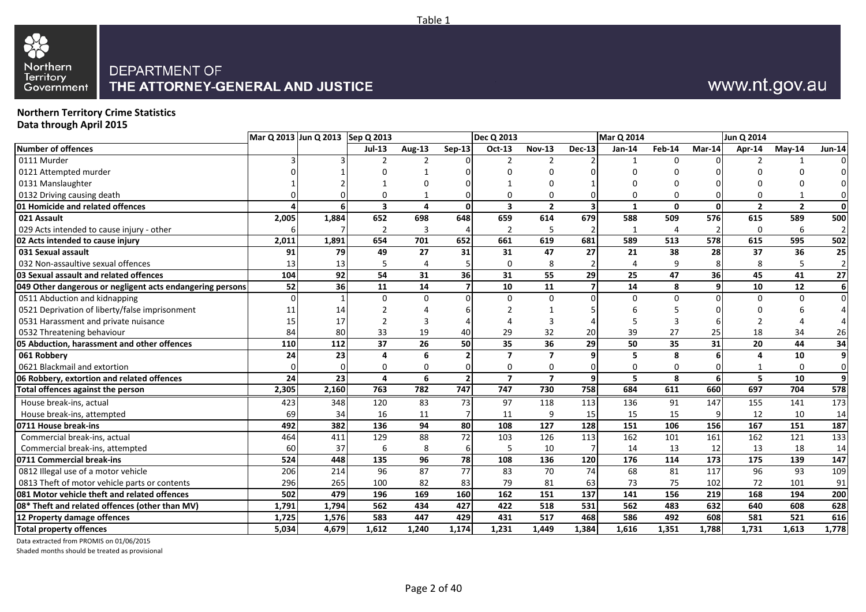

# www.nt.gov.au

#### **Northern Territory Crime Statistics Data through April 2015**

|                                                           | Mar Q 2013 Jun Q 2013 Sep Q 2013 |          |                |          |                          | <b>Dec Q 2013</b>       |                 |          | <b>Mar Q 2014</b> |              |          | Jun Q 2014               |                |                |
|-----------------------------------------------------------|----------------------------------|----------|----------------|----------|--------------------------|-------------------------|-----------------|----------|-------------------|--------------|----------|--------------------------|----------------|----------------|
| <b>Number of offences</b>                                 |                                  |          | $Jul-13$       | Aug-13   | $Sep-13$                 | Oct-13                  | <b>Nov-13</b>   | $Dec-13$ | $Jan-14$          | Feb-14       | Mar-14   | Apr-14                   | $May-14$       | <b>Jun-14</b>  |
| 0111 Murder                                               |                                  |          |                |          |                          |                         |                 |          |                   | $\Omega$     |          |                          |                |                |
| 0121 Attempted murder                                     |                                  |          |                |          |                          |                         |                 |          |                   |              |          |                          |                |                |
| 0131 Manslaughter                                         |                                  |          |                |          |                          |                         |                 |          |                   |              |          |                          |                |                |
| 0132 Driving causing death                                |                                  |          |                |          |                          |                         | $\Omega$        |          |                   |              |          |                          |                |                |
| 01 Homicide and related offences                          |                                  |          | 3              | 4        | 0                        | $\overline{\mathbf{3}}$ | $\overline{2}$  |          | $\mathbf{1}$      | $\mathbf{0}$ | $\Omega$ | $\overline{\phantom{a}}$ | $\overline{2}$ | $\mathbf{0}$   |
| 021 Assault                                               | 2,005                            | 1,884    | 652            | 698      | 648                      | 659                     | 614             | 679      | 588               | 509          | 576      | 615                      | 589            | 500            |
| 029 Acts intended to cause injury - other                 |                                  |          | $\overline{2}$ | 3        | 4                        | 2                       | 5               |          |                   | 4            |          | $\Omega$                 | 6              | $\overline{2}$ |
| 02 Acts intended to cause injury                          | 2,011                            | 1,891    | 654            | 701      | 652                      | 661                     | 619             | 681      | 589               | 513          | 578      | 615                      | 595            | 502            |
| 031 Sexual assault                                        | 91                               | 79       | 49             | 27       | 31                       | 31                      | 47              | 27       | 21                | 38           | 28       | 37                       | 36             | 25             |
| 032 Non-assaultive sexual offences                        | 13                               | 13       | 5              | 4        | 5                        | $\mathbf 0$             | 8               |          |                   | 9            |          | 8                        | 5              | $\overline{2}$ |
| 03 Sexual assault and related offences                    | 104                              | 92       | 54             | 31       | 36                       | 31                      | 55              | 29       | 25                | 47           | 36       | 45                       | 41             | 27             |
| 049 Other dangerous or negligent acts endangering persons | 52                               | 36       | 11             | 14       | $\overline{\phantom{a}}$ | 10                      | 11              |          | 14                | 8            | q        | 10                       | 12             | 6              |
| 0511 Abduction and kidnapping                             |                                  |          | <sup>0</sup>   | $\Omega$ | $\Omega$                 | $\Omega$                | $\mathbf 0$     |          | $\Omega$          | $\Omega$     |          |                          | $\Omega$       | $\Omega$       |
| 0521 Deprivation of liberty/false imprisonment            | 11                               | 14       |                |          |                          |                         |                 |          |                   |              |          |                          |                |                |
| 0531 Harassment and private nuisance                      | 15                               | 17       | 2              | 3        |                          |                         | 3               |          |                   |              |          |                          |                |                |
| 0532 Threatening behaviour                                | 84                               | 80       | 33             | 19       | 40                       | 29                      | 32              | 20       | 39                | 27           | 25       | 18                       | 34             | 26             |
| 05 Abduction, harassment and other offences               | 110                              | 112      | 37             | 26       | 50                       | 35                      | 36              | 29       | 50                | 35           | 31       | 20                       | 44             | 34             |
| 061 Robbery                                               | 24                               | 23       | 4              | 6        | $\overline{2}$           | $\overline{7}$          | $\overline{7}$  |          | 5                 | 8            |          |                          | 10             | $\mathbf{9}$   |
| 0621 Blackmail and extortion                              |                                  | $\Omega$ | 0              | $\Omega$ | 0                        | $\mathbf 0$             | $\mathbf 0$     |          | $\Omega$          | $\Omega$     |          |                          | $\Omega$       | $\mathbf 0$    |
| 06 Robbery, extortion and related offences                | 24                               | 23       | 4              | 6        | $\overline{2}$           | $\overline{7}$          | $\overline{7}$  | 9        | 5                 | 8            | 6        | 5                        | 10             | $\mathbf{9}$   |
| <b>Total offences against the person</b>                  | 2,305                            | 2,160    | 763            | 782      | 747                      | 747                     | 730             | 758      | 684               | 611          | 660      | 697                      | 704            | 578            |
| House break-ins, actual                                   | 423                              | 348      | 120            | 83       | 73                       | 97                      | 118             | 113      | 136               | 91           | 147      | 155                      | 141            | 173            |
| House break-ins, attempted                                | 69                               | 34       | 16             | 11       | 7                        | 11                      | 9               | 15       | 15                | 15           |          | 12                       | 10             | 14             |
| 0711 House break-ins                                      | 492                              | 382      | 136            | 94       | 80                       | 108                     | 127             | 128      | 151               | 106          | 156      | 167                      | 151            | 187            |
| Commercial break-ins, actual                              | 464                              | 411      | 129            | 88       | 72                       | 103                     | 126             | 113      | 162               | 101          | 161      | 162                      | 121            | 133            |
| Commercial break-ins, attempted                           | 60                               | 37       | 6              | 8        | 6                        | 5                       | 10              |          | 14                | 13           | 12       | 13                       | 18             | 14             |
| 0711 Commercial break-ins                                 | 524                              | 448      | 135            | 96       | 78                       | 108                     | $\frac{136}{ }$ | 120      | 176               | 114          | 173      | 175                      | 139            | 147            |
| 0812 Illegal use of a motor vehicle                       | 206                              | 214      | 96             | 87       | 77                       | 83                      | 70              | 74       | 68                | 81           | 117      | 96                       | 93             | 109            |
| 0813 Theft of motor vehicle parts or contents             | 296                              | 265      | 100            | 82       | 83                       | 79                      | 81              | 63       | 73                | 75           | 102      | 72                       | 101            | 91             |
| 081 Motor vehicle theft and related offences              | 502                              | 479      | 196            | 169      | 160                      | 162                     | 151             | 137      | 141               | 156          | 219      | 168                      | 194            | 200            |
| 08* Theft and related offences (other than MV)            | 1,791                            | 1,794    | 562            | 434      | 427                      | 422                     | 518             | 531      | 562               | 483          | 632      | 640                      | 608            | 628            |
| 12 Property damage offences                               | 1,725                            | 1,576    | 583            | 447      | 429                      | 431                     | 517             | 468      | 586               | 492          | 608      | 581                      | 521            | 616            |
| <b>Total property offences</b>                            | 5,034                            | 4,679    | 1,612          | 1,240    | 1,174                    | 1,231                   | 1,449           | 1,384    | 1,616             | 1,351        | 1,788    | 1,731                    | 1,613          | 1,778          |

Data extracted from PROMIS on 01/06/2015

Shaded months should be treated as provisional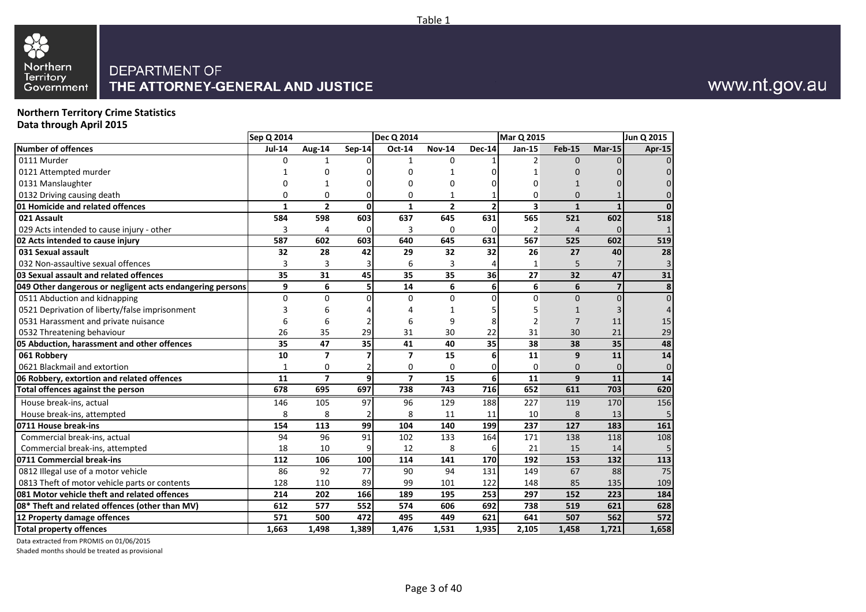

#### **Northern Territory Crime Statistics Data through April 2015**

|                                                           | <b>Sep Q 2014</b> |                |          | <b>Dec Q 2014</b> |                |                | <b>Mar Q 2015</b> |                |                | Jun Q 2015      |
|-----------------------------------------------------------|-------------------|----------------|----------|-------------------|----------------|----------------|-------------------|----------------|----------------|-----------------|
| <b>Number of offences</b>                                 | <b>Jul-14</b>     | Aug-14         | $Sep-14$ | Oct-14            | <b>Nov-14</b>  | <b>Dec-14</b>  | Jan-15            | <b>Feb-15</b>  | $Mar-15$       | Apr-15          |
| 0111 Murder                                               | $\mathbf 0$       | 1              | ŋ        | 1                 | $\mathbf 0$    |                | 2                 | $\Omega$       | 0              |                 |
| 0121 Attempted murder                                     |                   | 0              | ŋ        | 0                 | 1              |                | 1                 | O              |                |                 |
| 0131 Manslaughter                                         | O                 | 1              |          | 0                 | 0              |                | 0                 | $\mathbf{1}$   |                |                 |
| 0132 Driving causing death                                | $\mathbf 0$       | 0              | O        | 0                 | 1              |                | 0                 | $\Omega$       |                |                 |
| 01 Homicide and related offences                          | $\mathbf{1}$      | $\overline{2}$ | 0        | $\mathbf{1}$      | $\overline{2}$ | $\overline{2}$ | 3                 | $\mathbf{1}$   | $\mathbf{1}$   |                 |
| 021 Assault                                               | 584               | 598            | 603      | 637               | 645            | 631            | 565               | 521            | 602            | 518             |
| 029 Acts intended to cause injury - other                 | 3                 | 4              | O        | 3                 | 0              | 0              | 2                 | $\overline{4}$ | 0              |                 |
| 02 Acts intended to cause injury                          | 587               | 602            | 603      | 640               | 645            | 631            | 567               | 525            | 602            | 519             |
| 031 Sexual assault                                        | 32                | 28             | 42       | 29                | 32             | 32             | 26                | 27             | 40             | $\overline{28}$ |
| 032 Non-assaultive sexual offences                        | 3                 | 3              |          | 6                 | 3              | Δ              | $\mathbf{1}$      | 5              |                | 3               |
| 03 Sexual assault and related offences                    | 35                | 31             | 45       | 35                | 35             | 36             | 27                | 32             | 47             | 31              |
| 049 Other dangerous or negligent acts endangering persons | 9                 | 6              | 5        | 14                | 6              | 6              | 6                 | 6              | $\overline{7}$ | 8               |
| 0511 Abduction and kidnapping                             | $\mathbf 0$       | $\Omega$       | O        | $\mathbf 0$       | $\mathbf 0$    | <sup>0</sup>   | $\Omega$          | $\mathbf{0}$   | $\mathbf{0}$   | $\Omega$        |
| 0521 Deprivation of liberty/false imprisonment            | 3                 | 6              |          | 4                 | 1              |                | 5                 | 1              | 3              | 4               |
| 0531 Harassment and private nuisance                      | 6                 | 6              |          | 6                 | 9              | 8              | $\overline{2}$    | $\overline{7}$ | 11             | 15              |
| 0532 Threatening behaviour                                | 26                | 35             | 29       | 31                | 30             | 22             | 31                | 30             | 21             | 29              |
| 05 Abduction, harassment and other offences               | 35                | 47             | 35       | 41                | 40             | 35             | 38                | 38             | 35             | 48              |
| 061 Robbery                                               | 10                | 7              |          | 7                 | 15             | 6              | 11                | 9              | 11             | 14              |
| 0621 Blackmail and extortion                              | 1                 | 0              |          | 0                 | $\Omega$       | 0              | $\mathbf 0$       | 0              | 0              | $\mathbf 0$     |
| 06 Robbery, extortion and related offences                | 11                | $\overline{7}$ | q        | $\overline{ }$    | 15             | 6              | 11                | 9              | 11             | 14              |
| Total offences against the person                         | 678               | 695            | 697      | 738               | 743            | 716            | 652               | 611            | 703            | 620             |
| House break-ins, actual                                   | 146               | 105            | 97       | 96                | 129            | 188            | 227               | 119            | 170            | 156             |
| House break-ins, attempted                                | 8                 | 8              |          | 8                 | 11             | 11             | 10                | 8              | 13             | 5               |
| 0711 House break-ins                                      | 154               | 113            | 99       | 104               | 140            | 199            | 237               | 127            | 183            | 161             |
| Commercial break-ins, actual                              | 94                | 96             | 91       | 102               | 133            | 164            | 171               | 138            | 118            | 108             |
| Commercial break-ins, attempted                           | 18                | 10             | 9        | 12                | 8              | 6              | 21                | 15             | 14             | 5               |
| 0711 Commercial break-ins                                 | 112               | 106            | 100      | 114               | 141            | 170            | 192               | 153            | 132            | 113             |
| 0812 Illegal use of a motor vehicle                       | 86                | 92             | 77       | 90                | 94             | 131            | 149               | 67             | 88             | 75              |
| 0813 Theft of motor vehicle parts or contents             | 128               | 110            | 89       | 99                | 101            | 122            | 148               | 85             | 135            | 109             |
| 081 Motor vehicle theft and related offences              | 214               | 202            | 166      | 189               | 195            | 253            | 297               | 152            | 223            | 184             |
| 08* Theft and related offences (other than MV)            | 612               | 577            | 552      | 574               | 606            | 692            | 738               | 519            | 621            | 628             |
| 12 Property damage offences                               | 571               | 500            | 472      | 495               | 449            | 621            | 641               | 507            | 562            | 572             |
| <b>Total property offences</b>                            | 1,663             | 1,498          | 1,389    | 1,476             | 1,531          | 1,935          | 2,105             | 1,458          | 1,721          | 1,658           |

Data extracted from PROMIS on 01/06/2015

Shaded months should be treated as provisional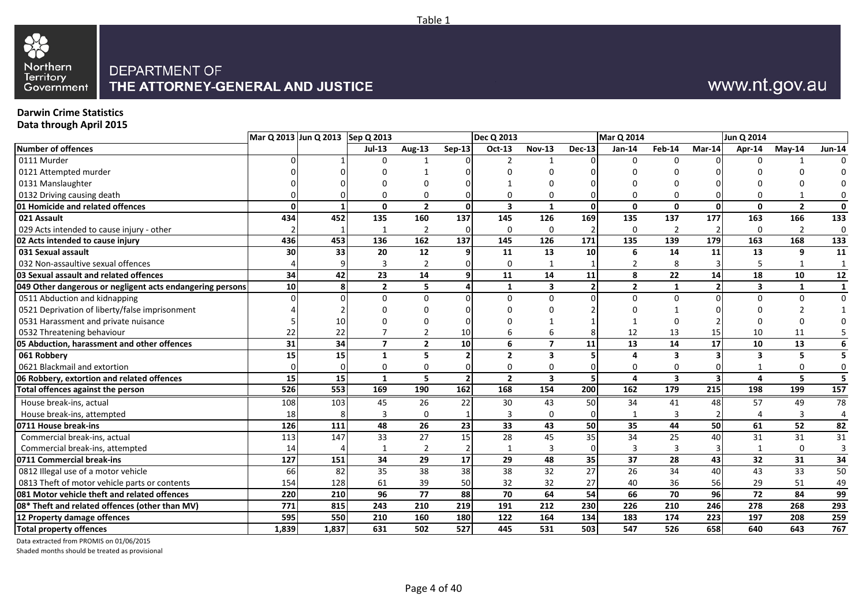

# www.nt.gov.au

#### **Darwin Crime Statistics**

**Data through April 2015**

| <b>Number of offences</b><br>$Sep-13$<br>Oct-13<br><b>Nov-13</b><br><b>Dec-13</b><br>$Jan-14$<br>Feb-14<br>Mar-14<br>Apr-14<br>$Jul-13$<br><b>Aug-13</b><br>$M$ ay-14<br>0111 Murder<br>U<br>$\Omega$<br>U<br>0121 Attempted murder<br>0131 Manslaughter<br>0132 Driving causing death<br>U<br>$\Omega$<br>0<br>3<br>$\mathbf{1}$<br>01 Homicide and related offences<br>$\Omega$<br>0<br>$\overline{2}$<br>$\mathbf{0}$<br>$\mathbf{0}$<br>$\mathbf{0}$<br>$\overline{2}$<br>$\Omega$<br>0<br>O<br>021 Assault<br>160<br>145<br>126<br>169<br>177<br>166<br>434<br>452<br>135<br>137<br>135<br>137<br>163<br>$\overline{2}$<br>$\overline{2}$<br>029 Acts intended to cause injury - other<br>0<br>0<br>$\Omega$<br>$\overline{2}$<br>$\Omega$<br>1<br>137<br>436<br>453<br>136<br>162<br>145<br>126<br>135<br>139<br>179<br>163<br>168<br>02 Acts intended to cause injury<br>171<br>30<br>33<br>20<br>12<br>11<br>13<br>14<br>13<br>031 Sexual assault<br>10<br>11<br>9<br>6<br>q<br>032 Non-assaultive sexual offences<br>0<br>$\mathbf{1}$<br>8<br>$\overline{22}$<br>34<br>23<br>11<br>14<br>18<br>03 Sexual assault and related offences<br>14<br>8<br>14<br>10<br>42<br>11<br>9<br>10<br>$\overline{\mathbf{3}}$<br>$\overline{2}$<br>5.<br>$\mathbf{1}$<br>$\overline{2}$<br>$\overline{2}$<br>1<br>$\overline{\mathbf{3}}$<br>$\mathbf{1}$<br>049 Other dangerous or negligent acts endangering persons<br>8<br>0511 Abduction and kidnapping<br>$\Omega$<br>$\mathbf 0$<br>$\Omega$<br>$\Omega$<br>$\Omega$<br>$\Omega$<br>0<br>$\Omega$<br>0521 Deprivation of liberty/false imprisonment<br>0531 Harassment and private nuisance<br>22<br>12<br>0532 Threatening behaviour<br>22<br>$\mathfrak{p}$<br>10<br>13<br>15<br>10<br>6<br>11<br>6<br>34<br>31<br>10<br>6<br>$\overline{\phantom{a}}$<br>13<br>14<br>17<br>10<br>13<br>05 Abduction, harassment and other offences<br>$\overline{\phantom{a}}$<br>$\overline{2}$<br>11<br>$\overline{\mathbf{3}}$<br>15<br>15<br>$\overline{2}$<br>061 Robbery<br>$\overline{\mathbf{3}}$<br>5<br>1<br>5<br>3<br>Δ<br>0621 Blackmail and extortion<br>0<br>$\Omega$<br>0<br>0<br>0<br>0<br>O<br>15<br>$\overline{2}$<br>$\overline{\mathbf{3}}$<br>$\overline{\mathbf{5}}$<br>06 Robbery, extortion and related offences<br>15<br>5<br>$\overline{\mathbf{3}}$<br>5<br>$\mathbf{1}$<br>$\overline{2}$<br>4<br>4<br>526<br>553<br>169<br>162<br>168<br>154<br>162<br>179<br>199<br>Total offences against the person<br>190<br>200<br>215<br>198<br>House break-ins, actual<br>108<br>103<br>45<br>26<br>22<br>30<br>43<br>50<br>34<br>57<br>49<br>41<br>48<br>House break-ins, attempted<br>18<br>$\Omega$<br>3<br>0<br>3<br>3<br>3<br>33<br>52<br>126<br>48<br>26<br>23<br>43<br><b>50</b><br>35<br>44<br>50<br>61<br>0711 House break-ins<br>111<br>27<br>15<br>$\overline{28}$<br>45<br>34<br>31<br>113<br>147<br>33<br>35<br>25<br>31<br>Commercial break-ins, actual<br>40<br>3<br>Commercial break-ins, attempted<br>$\overline{2}$<br>3<br>3<br>$\Omega$<br>14<br>1<br>-1<br>0711 Commercial break-ins<br>34<br>29<br>29<br>48<br>37<br>17<br>28<br>43<br>32<br>31<br>127<br>151<br>35<br>0812 Illegal use of a motor vehicle<br>35<br>38<br>38<br>38<br>32<br>27<br>26<br>34<br>43<br>33<br>66<br>82<br>40<br>0813 Theft of motor vehicle parts or contents<br>39<br>50<br>32<br>32<br>154<br>128<br>61<br>27<br>40<br>36<br>56<br>29<br>51<br>$\overline{70}$<br>$\overline{77}$<br>64<br>54<br>66<br>$\overline{70}$<br>$\overline{72}$<br>84<br>220<br>210<br>96<br>$\overline{\textbf{88}}$<br>96<br>081 Motor vehicle theft and related offences<br>219<br>246<br>268<br>08* Theft and related offences (other than MV)<br>771<br>815<br>243<br>210<br>191<br>212<br>230<br>226<br>210<br>278<br>180<br>164<br>595<br>550<br>210<br>160<br>122<br>223<br>197<br>12 Property damage offences<br>134<br>183<br>174<br>208<br>1,839<br>1,837<br>502<br>527<br>445<br>503<br>658<br>643<br><b>Total property offences</b><br>631<br>531<br>547<br>526<br>640 |  | Mar Q 2013 Jun Q 2013 Sep Q 2013 |  | <b>Dec Q 2013</b> |  | Mar Q 2014 |  | Jun Q 2014 |                         |
|----------------------------------------------------------------------------------------------------------------------------------------------------------------------------------------------------------------------------------------------------------------------------------------------------------------------------------------------------------------------------------------------------------------------------------------------------------------------------------------------------------------------------------------------------------------------------------------------------------------------------------------------------------------------------------------------------------------------------------------------------------------------------------------------------------------------------------------------------------------------------------------------------------------------------------------------------------------------------------------------------------------------------------------------------------------------------------------------------------------------------------------------------------------------------------------------------------------------------------------------------------------------------------------------------------------------------------------------------------------------------------------------------------------------------------------------------------------------------------------------------------------------------------------------------------------------------------------------------------------------------------------------------------------------------------------------------------------------------------------------------------------------------------------------------------------------------------------------------------------------------------------------------------------------------------------------------------------------------------------------------------------------------------------------------------------------------------------------------------------------------------------------------------------------------------------------------------------------------------------------------------------------------------------------------------------------------------------------------------------------------------------------------------------------------------------------------------------------------------------------------------------------------------------------------------------------------------------------------------------------------------------------------------------------------------------------------------------------------------------------------------------------------------------------------------------------------------------------------------------------------------------------------------------------------------------------------------------------------------------------------------------------------------------------------------------------------------------------------------------------------------------------------------------------------------------------------------------------------------------------------------------------------------------------------------------------------------------------------------------------------------------------------------------------------------------------------------------------------------------------------------------------------------------------------------------------------------------------------------------------------------------------------------------------------------------------------------------------------------------------------------------------------------------------------------------------------------------------------------------------------------------------------------------------------------------------------------------------------------------------------------------------------|--|----------------------------------|--|-------------------|--|------------|--|------------|-------------------------|
|                                                                                                                                                                                                                                                                                                                                                                                                                                                                                                                                                                                                                                                                                                                                                                                                                                                                                                                                                                                                                                                                                                                                                                                                                                                                                                                                                                                                                                                                                                                                                                                                                                                                                                                                                                                                                                                                                                                                                                                                                                                                                                                                                                                                                                                                                                                                                                                                                                                                                                                                                                                                                                                                                                                                                                                                                                                                                                                                                                                                                                                                                                                                                                                                                                                                                                                                                                                                                                                                                                                                                                                                                                                                                                                                                                                                                                                                                                                                                                                                                            |  |                                  |  |                   |  |            |  |            | <b>Jun-14</b>           |
|                                                                                                                                                                                                                                                                                                                                                                                                                                                                                                                                                                                                                                                                                                                                                                                                                                                                                                                                                                                                                                                                                                                                                                                                                                                                                                                                                                                                                                                                                                                                                                                                                                                                                                                                                                                                                                                                                                                                                                                                                                                                                                                                                                                                                                                                                                                                                                                                                                                                                                                                                                                                                                                                                                                                                                                                                                                                                                                                                                                                                                                                                                                                                                                                                                                                                                                                                                                                                                                                                                                                                                                                                                                                                                                                                                                                                                                                                                                                                                                                                            |  |                                  |  |                   |  |            |  |            |                         |
|                                                                                                                                                                                                                                                                                                                                                                                                                                                                                                                                                                                                                                                                                                                                                                                                                                                                                                                                                                                                                                                                                                                                                                                                                                                                                                                                                                                                                                                                                                                                                                                                                                                                                                                                                                                                                                                                                                                                                                                                                                                                                                                                                                                                                                                                                                                                                                                                                                                                                                                                                                                                                                                                                                                                                                                                                                                                                                                                                                                                                                                                                                                                                                                                                                                                                                                                                                                                                                                                                                                                                                                                                                                                                                                                                                                                                                                                                                                                                                                                                            |  |                                  |  |                   |  |            |  |            |                         |
|                                                                                                                                                                                                                                                                                                                                                                                                                                                                                                                                                                                                                                                                                                                                                                                                                                                                                                                                                                                                                                                                                                                                                                                                                                                                                                                                                                                                                                                                                                                                                                                                                                                                                                                                                                                                                                                                                                                                                                                                                                                                                                                                                                                                                                                                                                                                                                                                                                                                                                                                                                                                                                                                                                                                                                                                                                                                                                                                                                                                                                                                                                                                                                                                                                                                                                                                                                                                                                                                                                                                                                                                                                                                                                                                                                                                                                                                                                                                                                                                                            |  |                                  |  |                   |  |            |  |            |                         |
|                                                                                                                                                                                                                                                                                                                                                                                                                                                                                                                                                                                                                                                                                                                                                                                                                                                                                                                                                                                                                                                                                                                                                                                                                                                                                                                                                                                                                                                                                                                                                                                                                                                                                                                                                                                                                                                                                                                                                                                                                                                                                                                                                                                                                                                                                                                                                                                                                                                                                                                                                                                                                                                                                                                                                                                                                                                                                                                                                                                                                                                                                                                                                                                                                                                                                                                                                                                                                                                                                                                                                                                                                                                                                                                                                                                                                                                                                                                                                                                                                            |  |                                  |  |                   |  |            |  |            | 0                       |
|                                                                                                                                                                                                                                                                                                                                                                                                                                                                                                                                                                                                                                                                                                                                                                                                                                                                                                                                                                                                                                                                                                                                                                                                                                                                                                                                                                                                                                                                                                                                                                                                                                                                                                                                                                                                                                                                                                                                                                                                                                                                                                                                                                                                                                                                                                                                                                                                                                                                                                                                                                                                                                                                                                                                                                                                                                                                                                                                                                                                                                                                                                                                                                                                                                                                                                                                                                                                                                                                                                                                                                                                                                                                                                                                                                                                                                                                                                                                                                                                                            |  |                                  |  |                   |  |            |  |            | 0                       |
|                                                                                                                                                                                                                                                                                                                                                                                                                                                                                                                                                                                                                                                                                                                                                                                                                                                                                                                                                                                                                                                                                                                                                                                                                                                                                                                                                                                                                                                                                                                                                                                                                                                                                                                                                                                                                                                                                                                                                                                                                                                                                                                                                                                                                                                                                                                                                                                                                                                                                                                                                                                                                                                                                                                                                                                                                                                                                                                                                                                                                                                                                                                                                                                                                                                                                                                                                                                                                                                                                                                                                                                                                                                                                                                                                                                                                                                                                                                                                                                                                            |  |                                  |  |                   |  |            |  |            | 133                     |
|                                                                                                                                                                                                                                                                                                                                                                                                                                                                                                                                                                                                                                                                                                                                                                                                                                                                                                                                                                                                                                                                                                                                                                                                                                                                                                                                                                                                                                                                                                                                                                                                                                                                                                                                                                                                                                                                                                                                                                                                                                                                                                                                                                                                                                                                                                                                                                                                                                                                                                                                                                                                                                                                                                                                                                                                                                                                                                                                                                                                                                                                                                                                                                                                                                                                                                                                                                                                                                                                                                                                                                                                                                                                                                                                                                                                                                                                                                                                                                                                                            |  |                                  |  |                   |  |            |  |            | $\mathbf 0$             |
|                                                                                                                                                                                                                                                                                                                                                                                                                                                                                                                                                                                                                                                                                                                                                                                                                                                                                                                                                                                                                                                                                                                                                                                                                                                                                                                                                                                                                                                                                                                                                                                                                                                                                                                                                                                                                                                                                                                                                                                                                                                                                                                                                                                                                                                                                                                                                                                                                                                                                                                                                                                                                                                                                                                                                                                                                                                                                                                                                                                                                                                                                                                                                                                                                                                                                                                                                                                                                                                                                                                                                                                                                                                                                                                                                                                                                                                                                                                                                                                                                            |  |                                  |  |                   |  |            |  |            | 133                     |
|                                                                                                                                                                                                                                                                                                                                                                                                                                                                                                                                                                                                                                                                                                                                                                                                                                                                                                                                                                                                                                                                                                                                                                                                                                                                                                                                                                                                                                                                                                                                                                                                                                                                                                                                                                                                                                                                                                                                                                                                                                                                                                                                                                                                                                                                                                                                                                                                                                                                                                                                                                                                                                                                                                                                                                                                                                                                                                                                                                                                                                                                                                                                                                                                                                                                                                                                                                                                                                                                                                                                                                                                                                                                                                                                                                                                                                                                                                                                                                                                                            |  |                                  |  |                   |  |            |  |            | $\overline{11}$         |
|                                                                                                                                                                                                                                                                                                                                                                                                                                                                                                                                                                                                                                                                                                                                                                                                                                                                                                                                                                                                                                                                                                                                                                                                                                                                                                                                                                                                                                                                                                                                                                                                                                                                                                                                                                                                                                                                                                                                                                                                                                                                                                                                                                                                                                                                                                                                                                                                                                                                                                                                                                                                                                                                                                                                                                                                                                                                                                                                                                                                                                                                                                                                                                                                                                                                                                                                                                                                                                                                                                                                                                                                                                                                                                                                                                                                                                                                                                                                                                                                                            |  |                                  |  |                   |  |            |  |            | 1                       |
|                                                                                                                                                                                                                                                                                                                                                                                                                                                                                                                                                                                                                                                                                                                                                                                                                                                                                                                                                                                                                                                                                                                                                                                                                                                                                                                                                                                                                                                                                                                                                                                                                                                                                                                                                                                                                                                                                                                                                                                                                                                                                                                                                                                                                                                                                                                                                                                                                                                                                                                                                                                                                                                                                                                                                                                                                                                                                                                                                                                                                                                                                                                                                                                                                                                                                                                                                                                                                                                                                                                                                                                                                                                                                                                                                                                                                                                                                                                                                                                                                            |  |                                  |  |                   |  |            |  |            | 12                      |
|                                                                                                                                                                                                                                                                                                                                                                                                                                                                                                                                                                                                                                                                                                                                                                                                                                                                                                                                                                                                                                                                                                                                                                                                                                                                                                                                                                                                                                                                                                                                                                                                                                                                                                                                                                                                                                                                                                                                                                                                                                                                                                                                                                                                                                                                                                                                                                                                                                                                                                                                                                                                                                                                                                                                                                                                                                                                                                                                                                                                                                                                                                                                                                                                                                                                                                                                                                                                                                                                                                                                                                                                                                                                                                                                                                                                                                                                                                                                                                                                                            |  |                                  |  |                   |  |            |  |            | $\mathbf{1}$            |
|                                                                                                                                                                                                                                                                                                                                                                                                                                                                                                                                                                                                                                                                                                                                                                                                                                                                                                                                                                                                                                                                                                                                                                                                                                                                                                                                                                                                                                                                                                                                                                                                                                                                                                                                                                                                                                                                                                                                                                                                                                                                                                                                                                                                                                                                                                                                                                                                                                                                                                                                                                                                                                                                                                                                                                                                                                                                                                                                                                                                                                                                                                                                                                                                                                                                                                                                                                                                                                                                                                                                                                                                                                                                                                                                                                                                                                                                                                                                                                                                                            |  |                                  |  |                   |  |            |  |            | $\mathbf 0$             |
|                                                                                                                                                                                                                                                                                                                                                                                                                                                                                                                                                                                                                                                                                                                                                                                                                                                                                                                                                                                                                                                                                                                                                                                                                                                                                                                                                                                                                                                                                                                                                                                                                                                                                                                                                                                                                                                                                                                                                                                                                                                                                                                                                                                                                                                                                                                                                                                                                                                                                                                                                                                                                                                                                                                                                                                                                                                                                                                                                                                                                                                                                                                                                                                                                                                                                                                                                                                                                                                                                                                                                                                                                                                                                                                                                                                                                                                                                                                                                                                                                            |  |                                  |  |                   |  |            |  |            | 1                       |
|                                                                                                                                                                                                                                                                                                                                                                                                                                                                                                                                                                                                                                                                                                                                                                                                                                                                                                                                                                                                                                                                                                                                                                                                                                                                                                                                                                                                                                                                                                                                                                                                                                                                                                                                                                                                                                                                                                                                                                                                                                                                                                                                                                                                                                                                                                                                                                                                                                                                                                                                                                                                                                                                                                                                                                                                                                                                                                                                                                                                                                                                                                                                                                                                                                                                                                                                                                                                                                                                                                                                                                                                                                                                                                                                                                                                                                                                                                                                                                                                                            |  |                                  |  |                   |  |            |  |            |                         |
|                                                                                                                                                                                                                                                                                                                                                                                                                                                                                                                                                                                                                                                                                                                                                                                                                                                                                                                                                                                                                                                                                                                                                                                                                                                                                                                                                                                                                                                                                                                                                                                                                                                                                                                                                                                                                                                                                                                                                                                                                                                                                                                                                                                                                                                                                                                                                                                                                                                                                                                                                                                                                                                                                                                                                                                                                                                                                                                                                                                                                                                                                                                                                                                                                                                                                                                                                                                                                                                                                                                                                                                                                                                                                                                                                                                                                                                                                                                                                                                                                            |  |                                  |  |                   |  |            |  |            |                         |
|                                                                                                                                                                                                                                                                                                                                                                                                                                                                                                                                                                                                                                                                                                                                                                                                                                                                                                                                                                                                                                                                                                                                                                                                                                                                                                                                                                                                                                                                                                                                                                                                                                                                                                                                                                                                                                                                                                                                                                                                                                                                                                                                                                                                                                                                                                                                                                                                                                                                                                                                                                                                                                                                                                                                                                                                                                                                                                                                                                                                                                                                                                                                                                                                                                                                                                                                                                                                                                                                                                                                                                                                                                                                                                                                                                                                                                                                                                                                                                                                                            |  |                                  |  |                   |  |            |  |            | 6                       |
|                                                                                                                                                                                                                                                                                                                                                                                                                                                                                                                                                                                                                                                                                                                                                                                                                                                                                                                                                                                                                                                                                                                                                                                                                                                                                                                                                                                                                                                                                                                                                                                                                                                                                                                                                                                                                                                                                                                                                                                                                                                                                                                                                                                                                                                                                                                                                                                                                                                                                                                                                                                                                                                                                                                                                                                                                                                                                                                                                                                                                                                                                                                                                                                                                                                                                                                                                                                                                                                                                                                                                                                                                                                                                                                                                                                                                                                                                                                                                                                                                            |  |                                  |  |                   |  |            |  |            | 5                       |
|                                                                                                                                                                                                                                                                                                                                                                                                                                                                                                                                                                                                                                                                                                                                                                                                                                                                                                                                                                                                                                                                                                                                                                                                                                                                                                                                                                                                                                                                                                                                                                                                                                                                                                                                                                                                                                                                                                                                                                                                                                                                                                                                                                                                                                                                                                                                                                                                                                                                                                                                                                                                                                                                                                                                                                                                                                                                                                                                                                                                                                                                                                                                                                                                                                                                                                                                                                                                                                                                                                                                                                                                                                                                                                                                                                                                                                                                                                                                                                                                                            |  |                                  |  |                   |  |            |  |            | 0                       |
|                                                                                                                                                                                                                                                                                                                                                                                                                                                                                                                                                                                                                                                                                                                                                                                                                                                                                                                                                                                                                                                                                                                                                                                                                                                                                                                                                                                                                                                                                                                                                                                                                                                                                                                                                                                                                                                                                                                                                                                                                                                                                                                                                                                                                                                                                                                                                                                                                                                                                                                                                                                                                                                                                                                                                                                                                                                                                                                                                                                                                                                                                                                                                                                                                                                                                                                                                                                                                                                                                                                                                                                                                                                                                                                                                                                                                                                                                                                                                                                                                            |  |                                  |  |                   |  |            |  |            | $\overline{\mathbf{5}}$ |
|                                                                                                                                                                                                                                                                                                                                                                                                                                                                                                                                                                                                                                                                                                                                                                                                                                                                                                                                                                                                                                                                                                                                                                                                                                                                                                                                                                                                                                                                                                                                                                                                                                                                                                                                                                                                                                                                                                                                                                                                                                                                                                                                                                                                                                                                                                                                                                                                                                                                                                                                                                                                                                                                                                                                                                                                                                                                                                                                                                                                                                                                                                                                                                                                                                                                                                                                                                                                                                                                                                                                                                                                                                                                                                                                                                                                                                                                                                                                                                                                                            |  |                                  |  |                   |  |            |  |            | 157                     |
|                                                                                                                                                                                                                                                                                                                                                                                                                                                                                                                                                                                                                                                                                                                                                                                                                                                                                                                                                                                                                                                                                                                                                                                                                                                                                                                                                                                                                                                                                                                                                                                                                                                                                                                                                                                                                                                                                                                                                                                                                                                                                                                                                                                                                                                                                                                                                                                                                                                                                                                                                                                                                                                                                                                                                                                                                                                                                                                                                                                                                                                                                                                                                                                                                                                                                                                                                                                                                                                                                                                                                                                                                                                                                                                                                                                                                                                                                                                                                                                                                            |  |                                  |  |                   |  |            |  |            | 78                      |
|                                                                                                                                                                                                                                                                                                                                                                                                                                                                                                                                                                                                                                                                                                                                                                                                                                                                                                                                                                                                                                                                                                                                                                                                                                                                                                                                                                                                                                                                                                                                                                                                                                                                                                                                                                                                                                                                                                                                                                                                                                                                                                                                                                                                                                                                                                                                                                                                                                                                                                                                                                                                                                                                                                                                                                                                                                                                                                                                                                                                                                                                                                                                                                                                                                                                                                                                                                                                                                                                                                                                                                                                                                                                                                                                                                                                                                                                                                                                                                                                                            |  |                                  |  |                   |  |            |  |            | 4                       |
|                                                                                                                                                                                                                                                                                                                                                                                                                                                                                                                                                                                                                                                                                                                                                                                                                                                                                                                                                                                                                                                                                                                                                                                                                                                                                                                                                                                                                                                                                                                                                                                                                                                                                                                                                                                                                                                                                                                                                                                                                                                                                                                                                                                                                                                                                                                                                                                                                                                                                                                                                                                                                                                                                                                                                                                                                                                                                                                                                                                                                                                                                                                                                                                                                                                                                                                                                                                                                                                                                                                                                                                                                                                                                                                                                                                                                                                                                                                                                                                                                            |  |                                  |  |                   |  |            |  |            | 82                      |
|                                                                                                                                                                                                                                                                                                                                                                                                                                                                                                                                                                                                                                                                                                                                                                                                                                                                                                                                                                                                                                                                                                                                                                                                                                                                                                                                                                                                                                                                                                                                                                                                                                                                                                                                                                                                                                                                                                                                                                                                                                                                                                                                                                                                                                                                                                                                                                                                                                                                                                                                                                                                                                                                                                                                                                                                                                                                                                                                                                                                                                                                                                                                                                                                                                                                                                                                                                                                                                                                                                                                                                                                                                                                                                                                                                                                                                                                                                                                                                                                                            |  |                                  |  |                   |  |            |  |            | $\overline{31}$         |
|                                                                                                                                                                                                                                                                                                                                                                                                                                                                                                                                                                                                                                                                                                                                                                                                                                                                                                                                                                                                                                                                                                                                                                                                                                                                                                                                                                                                                                                                                                                                                                                                                                                                                                                                                                                                                                                                                                                                                                                                                                                                                                                                                                                                                                                                                                                                                                                                                                                                                                                                                                                                                                                                                                                                                                                                                                                                                                                                                                                                                                                                                                                                                                                                                                                                                                                                                                                                                                                                                                                                                                                                                                                                                                                                                                                                                                                                                                                                                                                                                            |  |                                  |  |                   |  |            |  |            | 3                       |
|                                                                                                                                                                                                                                                                                                                                                                                                                                                                                                                                                                                                                                                                                                                                                                                                                                                                                                                                                                                                                                                                                                                                                                                                                                                                                                                                                                                                                                                                                                                                                                                                                                                                                                                                                                                                                                                                                                                                                                                                                                                                                                                                                                                                                                                                                                                                                                                                                                                                                                                                                                                                                                                                                                                                                                                                                                                                                                                                                                                                                                                                                                                                                                                                                                                                                                                                                                                                                                                                                                                                                                                                                                                                                                                                                                                                                                                                                                                                                                                                                            |  |                                  |  |                   |  |            |  |            | 34                      |
|                                                                                                                                                                                                                                                                                                                                                                                                                                                                                                                                                                                                                                                                                                                                                                                                                                                                                                                                                                                                                                                                                                                                                                                                                                                                                                                                                                                                                                                                                                                                                                                                                                                                                                                                                                                                                                                                                                                                                                                                                                                                                                                                                                                                                                                                                                                                                                                                                                                                                                                                                                                                                                                                                                                                                                                                                                                                                                                                                                                                                                                                                                                                                                                                                                                                                                                                                                                                                                                                                                                                                                                                                                                                                                                                                                                                                                                                                                                                                                                                                            |  |                                  |  |                   |  |            |  |            | 50                      |
|                                                                                                                                                                                                                                                                                                                                                                                                                                                                                                                                                                                                                                                                                                                                                                                                                                                                                                                                                                                                                                                                                                                                                                                                                                                                                                                                                                                                                                                                                                                                                                                                                                                                                                                                                                                                                                                                                                                                                                                                                                                                                                                                                                                                                                                                                                                                                                                                                                                                                                                                                                                                                                                                                                                                                                                                                                                                                                                                                                                                                                                                                                                                                                                                                                                                                                                                                                                                                                                                                                                                                                                                                                                                                                                                                                                                                                                                                                                                                                                                                            |  |                                  |  |                   |  |            |  |            | 49                      |
|                                                                                                                                                                                                                                                                                                                                                                                                                                                                                                                                                                                                                                                                                                                                                                                                                                                                                                                                                                                                                                                                                                                                                                                                                                                                                                                                                                                                                                                                                                                                                                                                                                                                                                                                                                                                                                                                                                                                                                                                                                                                                                                                                                                                                                                                                                                                                                                                                                                                                                                                                                                                                                                                                                                                                                                                                                                                                                                                                                                                                                                                                                                                                                                                                                                                                                                                                                                                                                                                                                                                                                                                                                                                                                                                                                                                                                                                                                                                                                                                                            |  |                                  |  |                   |  |            |  |            | 99                      |
|                                                                                                                                                                                                                                                                                                                                                                                                                                                                                                                                                                                                                                                                                                                                                                                                                                                                                                                                                                                                                                                                                                                                                                                                                                                                                                                                                                                                                                                                                                                                                                                                                                                                                                                                                                                                                                                                                                                                                                                                                                                                                                                                                                                                                                                                                                                                                                                                                                                                                                                                                                                                                                                                                                                                                                                                                                                                                                                                                                                                                                                                                                                                                                                                                                                                                                                                                                                                                                                                                                                                                                                                                                                                                                                                                                                                                                                                                                                                                                                                                            |  |                                  |  |                   |  |            |  |            | 293                     |
|                                                                                                                                                                                                                                                                                                                                                                                                                                                                                                                                                                                                                                                                                                                                                                                                                                                                                                                                                                                                                                                                                                                                                                                                                                                                                                                                                                                                                                                                                                                                                                                                                                                                                                                                                                                                                                                                                                                                                                                                                                                                                                                                                                                                                                                                                                                                                                                                                                                                                                                                                                                                                                                                                                                                                                                                                                                                                                                                                                                                                                                                                                                                                                                                                                                                                                                                                                                                                                                                                                                                                                                                                                                                                                                                                                                                                                                                                                                                                                                                                            |  |                                  |  |                   |  |            |  |            | 259                     |
|                                                                                                                                                                                                                                                                                                                                                                                                                                                                                                                                                                                                                                                                                                                                                                                                                                                                                                                                                                                                                                                                                                                                                                                                                                                                                                                                                                                                                                                                                                                                                                                                                                                                                                                                                                                                                                                                                                                                                                                                                                                                                                                                                                                                                                                                                                                                                                                                                                                                                                                                                                                                                                                                                                                                                                                                                                                                                                                                                                                                                                                                                                                                                                                                                                                                                                                                                                                                                                                                                                                                                                                                                                                                                                                                                                                                                                                                                                                                                                                                                            |  |                                  |  |                   |  |            |  |            | 767                     |

Data extracted from PROMIS on 01/06/2015

Shaded months should be treated as provisional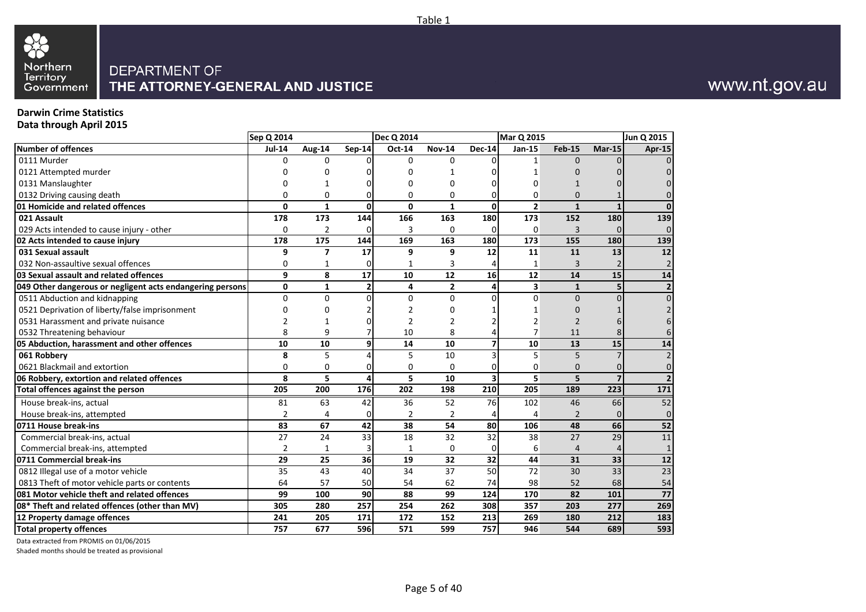

# www.nt.gov.au

#### **Darwin Crime Statistics Data through April 2015**

|                                                           | Sep Q 2014     |                |               | <b>Dec Q 2014</b> |                         |                | Mar Q 2015              |                 |                | Jun Q 2015      |
|-----------------------------------------------------------|----------------|----------------|---------------|-------------------|-------------------------|----------------|-------------------------|-----------------|----------------|-----------------|
| <b>Number of offences</b>                                 | <b>Jul-14</b>  | Aug-14         | <b>Sep-14</b> | Oct-14            | <b>Nov-14</b>           | <b>Dec-14</b>  | Jan-15                  | <b>Feb-15</b>   | $Mar-15$       | <b>Apr-15</b>   |
| 0111 Murder                                               | $\Omega$       | $\Omega$       |               | 0                 | 0                       |                | 1                       | $\Omega$        |                | $\Omega$        |
| 0121 Attempted murder                                     |                | 0              |               | 0                 |                         |                |                         |                 |                | $\Omega$        |
| 0131 Manslaughter                                         |                | 1              |               | 0                 | 0                       |                | O                       |                 |                | $\Omega$        |
| 0132 Driving causing death                                | 0              | 0              |               | 0                 | 0                       | 0              | 0                       | $\Omega$        |                | $\overline{0}$  |
| 01 Homicide and related offences                          | $\mathbf{0}$   | $\mathbf{1}$   | 0             | $\mathbf{0}$      | $\mathbf{1}$            | 0              | $\overline{2}$          | $\mathbf{1}$    | $\mathbf{1}$   | $\mathbf{0}$    |
| 021 Assault                                               | 178            | 173            | 144           | 166               | 163                     | 180            | 173                     | 152             | 180            | 139             |
| 029 Acts intended to cause injury - other                 | 0              | $\overline{2}$ |               | 3                 | 0                       | 0              | 0                       | 3               | $\Omega$       | $\overline{0}$  |
| 02 Acts intended to cause injury                          | 178            | 175            | 144           | 169               | 163                     | 180            | 173                     | 155             | 180            | 139             |
| 031 Sexual assault                                        | 9              | $\overline{7}$ | 17            | 9                 | 9                       | 12             | 11                      | 11              | 13             | $\overline{12}$ |
| 032 Non-assaultive sexual offences                        | 0              | 1              |               | 1                 | 3                       |                | 1                       |                 |                | $\overline{2}$  |
| 03 Sexual assault and related offences                    | 9              | 8              | 17            | 10                | 12                      | 16             | 12                      | 14              | 15             | 14              |
| 049 Other dangerous or negligent acts endangering persons | 0              | 1              | 2             | 4                 | $\overline{\mathbf{2}}$ | 4              | $\overline{\mathbf{3}}$ | $\mathbf{1}$    | 5              | $\mathbf{2}$    |
| 0511 Abduction and kidnapping                             | $\mathbf 0$    | $\Omega$       | n             | 0                 | 0                       | $\Omega$       | 0                       | $\Omega$        | $\Omega$       | $\overline{0}$  |
| 0521 Deprivation of liberty/false imprisonment            | n              | $\Omega$       |               |                   | 0                       |                | 1                       | $\Omega$        |                | 2 <sup>1</sup>  |
| 0531 Harassment and private nuisance                      |                | 1              |               |                   | $\overline{2}$          |                | $\overline{2}$          | $\overline{2}$  |                |                 |
| 0532 Threatening behaviour                                | 8              | 9              |               | 10                | 8                       |                | $\overline{7}$          | 11              |                | 6               |
| 05 Abduction, harassment and other offences               | 10             | 10             | 9             | 14                | 10                      | $\overline{7}$ | 10                      | 13              | 15             | 14              |
| 061 Robbery                                               | 8              | 5              |               | 5                 | 10                      |                | 5                       | 5               | $\overline{7}$ | $\overline{2}$  |
| 0621 Blackmail and extortion                              | 0              | 0              |               | 0                 | 0                       | 0              | 0                       | $\mathbf{0}$    | 0              | $\overline{0}$  |
| 06 Robbery, extortion and related offences                | 8              | 5              | 4             | 5                 | 10                      | 3              | 5                       | 5               | $\overline{z}$ | 2 <sup>1</sup>  |
| Total offences against the person                         | 205            | 200            | 176           | 202               | 198                     | 210            | 205                     | 189             | 223            | 171             |
| House break-ins, actual                                   | 81             | 63             | 42            | 36                | 52                      | 76             | 102                     | 46              | 66             | 52              |
| House break-ins, attempted                                | $\overline{2}$ | 4              | 0             | $\overline{2}$    | $\overline{2}$          | 4              | 4                       |                 | 0              | $\overline{0}$  |
| 0711 House break-ins                                      | 83             | 67             | 42            | 38                | 54                      | 80             | 106                     | 48              | 66             | 52              |
| Commercial break-ins, actual                              | 27             | 24             | 33            | 18                | 32                      | 32             | 38                      | 27              | 29             | 11              |
| Commercial break-ins, attempted                           | $\overline{2}$ | 1              |               | 1                 | 0                       | $\overline{0}$ | 6                       | $\overline{4}$  | $\overline{4}$ | $\mathbf 1$     |
| 0711 Commercial break-ins                                 | 29             | 25             | 36            | 19                | 32                      | 32             | 44                      | 31              | 33             | $\overline{12}$ |
| 0812 Illegal use of a motor vehicle                       | 35             | 43             | 40            | 34                | 37                      | 50             | 72                      | 30              | 33             | 23              |
| 0813 Theft of motor vehicle parts or contents             | 64             | 57             | 50            | 54                | 62                      | 74             | 98                      | 52              | 68             | 54              |
| 081 Motor vehicle theft and related offences              | 99             | 100            | 90            | 88                | 99                      | 124            | 170                     | $\overline{82}$ | 101            | $\overline{77}$ |
| 08* Theft and related offences (other than MV)            | 305            | 280            | 257           | 254               | 262                     | 308            | 357                     | 203             | 277            | 269             |
| 12 Property damage offences                               | 241            | 205            | 171           | 172               | 152                     | 213            | 269                     | 180             | 212            | 183             |
| <b>Total property offences</b>                            | 757            | 677            | 596           | 571               | 599                     | 757            | 946                     | 544             | 689            | 593             |

Data extracted from PROMIS on 01/06/2015

Shaded months should be treated as provisional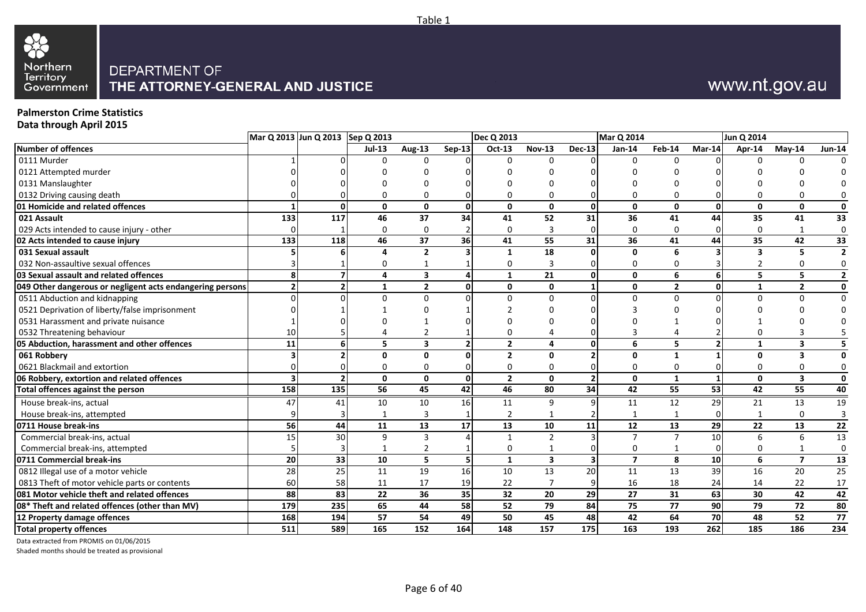

# www.nt.gov.au

### **Palmerston Crime Statistics**

**Data through April 2015**

|                                                           |                 | Mar Q 2013 Jun Q 2013 Sep Q 2013 |              |                |               | <b>Dec Q 2013</b> |                         |                         | Mar Q 2014     |                |        | Jun Q 2014      |                         |                |
|-----------------------------------------------------------|-----------------|----------------------------------|--------------|----------------|---------------|-------------------|-------------------------|-------------------------|----------------|----------------|--------|-----------------|-------------------------|----------------|
| <b>Number of offences</b>                                 |                 |                                  | $Jul-13$     | <b>Aug-13</b>  | <b>Sep-13</b> | Oct-13            | <b>Nov-13</b>           | <b>Dec-13</b>           | Jan-14         | Feb-14         | Mar-14 | Apr-14          | $May-14$                | <b>Jun-14</b>  |
| 0111 Murder                                               |                 |                                  |              |                |               |                   |                         |                         |                |                |        |                 |                         |                |
| 0121 Attempted murder                                     |                 |                                  |              |                |               |                   |                         |                         |                |                |        |                 |                         |                |
| 0131 Manslaughter                                         |                 |                                  |              |                |               |                   |                         |                         |                |                |        |                 |                         |                |
| 0132 Driving causing death                                |                 |                                  |              | U              |               | ŋ                 | $\Omega$                |                         |                |                |        |                 |                         | 0              |
| 01 Homicide and related offences                          |                 | $\Omega$                         | 0            | 0              | $\mathbf{0}$  | $\mathbf{0}$      | $\mathbf{0}$            | 0                       | $\mathbf{0}$   | $\Omega$       | O      | 0               | 0                       | $\mathbf 0$    |
| 021 Assault                                               | 133             | 117                              | 46           | 37             | 34            | 41                | 52                      | 31                      | 36             | 41             | 44     | 35              | 41                      | 33             |
| 029 Acts intended to cause injury - other                 | <sup>0</sup>    |                                  | $\mathbf 0$  | $\Omega$       |               | $\mathbf 0$       | $\overline{3}$          |                         | $\Omega$       | $\Omega$       |        | $\Omega$        | $\mathbf{1}$            | $\mathbf 0$    |
| 02 Acts intended to cause injury                          | 133             | 118                              | 46           | 37             | 36            | 41                | 55                      | 31                      | 36             | 41             | 44     | 35              | 42                      | 33             |
| 031 Sexual assault                                        |                 |                                  |              | $\overline{2}$ |               | $\mathbf{1}$      | 18                      |                         | $\Omega$       | 6              |        |                 | 5                       | $\overline{2}$ |
| 032 Non-assaultive sexual offences                        |                 |                                  |              |                |               | 0                 | 3                       |                         | 0              |                |        |                 |                         | 0              |
| 03 Sexual assault and related offences                    |                 |                                  | 4            | 3              |               | $\mathbf{1}$      | 21                      | 0                       | $\mathbf{0}$   | 6              | 6      | 5.              | 5                       | $\overline{2}$ |
| 049 Other dangerous or negligent acts endangering persons |                 |                                  | 1            | $\overline{2}$ | $\Omega$      | $\mathbf{0}$      | 0                       |                         | $\mathbf{0}$   | $\mathbf{2}$   | Û      |                 | $\overline{2}$          | $\mathbf 0$    |
| 0511 Abduction and kidnapping                             |                 |                                  |              | U              |               | $\Omega$          | $\Omega$                |                         | $\Omega$       | $\Omega$       |        |                 |                         | $\mathbf 0$    |
| 0521 Deprivation of liberty/false imprisonment            |                 |                                  |              |                |               |                   |                         |                         |                |                |        |                 |                         |                |
| 0531 Harassment and private nuisance                      |                 |                                  |              |                |               |                   |                         |                         |                |                |        |                 |                         |                |
| 0532 Threatening behaviour                                | 10 <sup>1</sup> |                                  |              |                |               |                   |                         |                         |                |                |        |                 |                         |                |
| 05 Abduction, harassment and other offences               | 11              |                                  | 5            | 3              |               | $\overline{2}$    | 4                       |                         | 6              | 5.             |        | 1               | 3                       | 5              |
| 061 Robbery                                               |                 |                                  | <sup>0</sup> | $\mathbf{0}$   |               | $\overline{2}$    | $\mathbf{0}$            |                         | $\Omega$       |                |        | O.              | 3                       | 0              |
| 0621 Blackmail and extortion                              |                 |                                  |              | U              |               | 0                 | 0                       |                         |                |                |        |                 |                         | 0              |
| 06 Robbery, extortion and related offences                |                 | 2                                | $\Omega$     | $\Omega$       | $\mathbf{0}$  | $\overline{2}$    | $\mathbf{0}$            | $\overline{2}$          | $\mathbf{0}$   | $\mathbf{1}$   |        | $\Omega$        | $\overline{\mathbf{3}}$ | 0              |
| Total offences against the person                         | 158             | 135                              | 56           | 45             | 42            | 46                | 80                      | 34                      | 42             | 55             | 53     | 42              | 55                      | 40             |
| House break-ins, actual                                   | 47              | 41                               | 10           | 10             | 16            | 11                | 9                       |                         | 11             | 12             | 29     | 21              | 13                      | 19             |
| House break-ins, attempted                                |                 |                                  |              | 3              |               | $\overline{2}$    | $\mathbf{1}$            |                         |                |                |        |                 | $\Omega$                | $\overline{3}$ |
| 0711 House break-ins                                      | 56              | 44                               | 11           | 13             | 17            | 13                | 10                      | 11                      | 12             | 13             | 29     | 22              | 13                      | 22             |
| Commercial break-ins, actual                              | 15 <sup>1</sup> | 30 <sup>1</sup>                  | 9            | 3              |               | $\overline{1}$    | $\overline{2}$          |                         | $\overline{7}$ | $\overline{7}$ | 10     | 6               | 6                       | 13             |
| Commercial break-ins, attempted                           |                 |                                  | -1           | 2              |               | 0                 | 1                       |                         | 0              |                |        | 0               |                         | $\mathbf 0$    |
| 0711 Commercial break-ins                                 | 20              | 33                               | 10           | 5              | 5             | $\mathbf{1}$      | $\overline{\mathbf{3}}$ | $\overline{\mathbf{3}}$ | $\overline{7}$ | 8              | 10     | 6               | $\overline{7}$          | 13             |
| 0812 Illegal use of a motor vehicle                       | 28              | 25                               | 11           | 19             | 16            | $10\,$            | 13                      | 20                      | 11             | 13             | 39     | 16              | 20                      | 25             |
| 0813 Theft of motor vehicle parts or contents             | <b>60</b>       | 58                               | 11           | 17             | 19            | 22                | $\overline{7}$          |                         | 16             | 18             | 24     | 14              | 22                      | 17             |
| 081 Motor vehicle theft and related offences              | 88              | 83                               | 22           | 36             | 35            | 32                | $\overline{20}$         | 29                      | 27             | 31             | 63     | 30 <sub>2</sub> | 42                      | 42             |
| 08* Theft and related offences (other than MV)            | 179             | 235                              | 65           | 44             | 58            | 52                | 79                      | 84                      | 75             | 77             | 90     | 79              | 72                      | 80             |
| 12 Property damage offences                               | 168             | 194                              | 57           | 54             | 49            | 50                | 45                      | 48                      | 42             | 64             | 70     | 48              | 52                      | 77             |
| <b>Total property offences</b>                            | 511             | 589                              | 165          | 152            | 164           | 148               | 157                     | 175                     | 163            | 193            | 262    | 185             | 186                     | 234            |
|                                                           |                 |                                  |              |                |               |                   |                         |                         |                |                |        |                 |                         |                |

Data extracted from PROMIS on 01/06/2015

Shaded months should be treated as provisional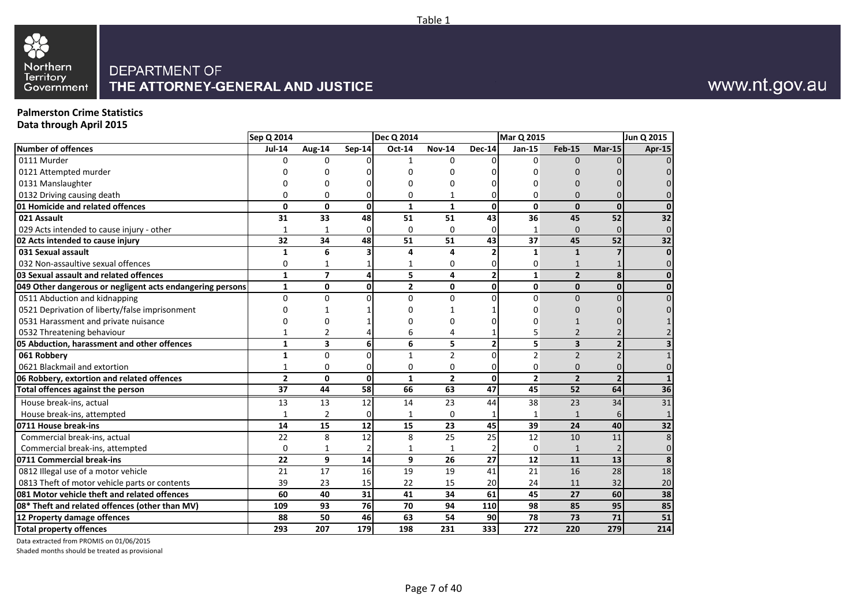# 88 Northern<br>Territory<br>Government

#### DEPARTMENT OF THE ATTORNEY-GENERAL AND JUSTICE

#### **Palmerston Crime Statistics Data through April 2015**

|                                                           | Sep Q 2014     |                |                | Dec Q 2014     |                |                         | <b>Mar Q 2015</b> |                |                          | Jun Q 2015              |
|-----------------------------------------------------------|----------------|----------------|----------------|----------------|----------------|-------------------------|-------------------|----------------|--------------------------|-------------------------|
| Number of offences                                        | <b>Jul-14</b>  | Aug-14         | <b>Sep-14</b>  | Oct-14         | <b>Nov-14</b>  | <b>Dec-14</b>           | <b>Jan-15</b>     | <b>Feb-15</b>  | $Mar-15$                 | Apr-15                  |
| 0111 Murder                                               | U              | $\Omega$       |                | 1              | $\Omega$       | ŋ                       | $\Omega$          | $\Omega$       |                          |                         |
| 0121 Attempted murder                                     |                |                |                | 0              |                |                         | ი                 |                |                          |                         |
| 0131 Manslaughter                                         |                | 0              |                | 0              | $\Omega$       |                         | ი                 |                |                          |                         |
| 0132 Driving causing death                                |                | $\Omega$       | 0              | 0              |                | 0                       | 0                 | 0              |                          |                         |
| 01 Homicide and related offences                          | $\Omega$       | $\mathbf 0$    | $\mathbf{0}$   | $\mathbf{1}$   | $\mathbf{1}$   | $\mathbf{0}$            | $\mathbf{0}$      | 0              | $\Omega$                 | $\Omega$                |
| 021 Assault                                               | 31             | 33             | 48             | 51             | 51             | 43                      | 36                | 45             | 52                       | 32                      |
| 029 Acts intended to cause injury - other                 | $\mathbf{1}$   | $\mathbf{1}$   | $\overline{0}$ | $\Omega$       | $\Omega$       | 0                       | $\mathbf{1}$      | $\Omega$       |                          | $\mathbf 0$             |
| 02 Acts intended to cause injury                          | 32             | 34             | 48             | 51             | 51             | $\overline{43}$         | 37                | 45             | 52                       | $\overline{32}$         |
| 031 Sexual assault                                        | $\mathbf{1}$   | 6              |                | 4              | 4              | $\overline{2}$          | $\mathbf{1}$      | $\mathbf{1}$   |                          | $\mathbf{0}$            |
| 032 Non-assaultive sexual offences                        | $\Omega$       |                |                | 1              | $\Omega$       | 0                       | 0                 | $\mathbf{1}$   |                          | $\Omega$                |
| 03 Sexual assault and related offences                    | $\mathbf{1}$   | $\overline{7}$ | 4              | 5              | 4              | $\overline{\mathbf{c}}$ | $\mathbf{1}$      | $\overline{2}$ | 8                        | $\mathbf{0}$            |
| 049 Other dangerous or negligent acts endangering persons | $\mathbf{1}$   | $\mathbf{0}$   | $\mathbf{0}$   | $\overline{2}$ | 0              | 0                       | $\mathbf{0}$      | 0              | 0                        | 0                       |
| 0511 Abduction and kidnapping                             | 0              | $\Omega$       | $\Omega$       | $\Omega$       | $\Omega$       | $\Omega$                | $\overline{0}$    | $\Omega$       |                          | $\Omega$                |
| 0521 Deprivation of liberty/false imprisonment            |                |                |                | O              |                |                         | ი                 | 0              |                          |                         |
| 0531 Harassment and private nuisance                      |                | $\Omega$       |                | n              | $\Omega$       | $\Omega$                | n                 | 1              |                          |                         |
| 0532 Threatening behaviour                                |                | 2              |                | 6              | 4              | $\mathbf{1}$            | 5                 | $\overline{2}$ |                          |                         |
| 05 Abduction, harassment and other offences               | $\mathbf{1}$   | 3              | 6              | 6              | 5              | $\overline{2}$          | 5                 | 3              | $\overline{\mathbf{z}}$  | $\overline{\mathbf{3}}$ |
| 061 Robbery                                               | $\mathbf{1}$   | $\Omega$       | $\Omega$       | 1              | $\overline{2}$ | $\Omega$                | $\overline{2}$    | $\overline{2}$ |                          | $\mathbf{1}$            |
| 0621 Blackmail and extortion                              | $\mathbf{1}$   | $\Omega$       | $\overline{0}$ | $\Omega$       | $\Omega$       | 0                       | 0                 | $\Omega$       |                          | $\Omega$                |
| 06 Robbery, extortion and related offences                | $\overline{2}$ | $\mathbf{0}$   | $\mathbf{0}$   | $\mathbf{1}$   | $\overline{2}$ | 0                       | $\overline{2}$    | $\overline{2}$ | $\overline{\phantom{a}}$ | $\mathbf{1}$            |
| Total offences against the person                         | 37             | 44             | 58             | 66             | 63             | 47                      | 45                | 52             | 64                       | 36                      |
| House break-ins, actual                                   | 13             | 13             | 12             | 14             | 23             | 44                      | 38                | 23             | 34                       | 31                      |
| House break-ins, attempted                                | $\mathbf{1}$   | $\overline{2}$ | $\overline{0}$ | 1              | $\mathbf 0$    | 1                       | 1                 | $\mathbf{1}$   | 6                        | $\mathbf{1}$            |
| 0711 House break-ins                                      | 14             | 15             | 12             | 15             | 23             | 45                      | 39                | 24             | 40                       | 32                      |
| Commercial break-ins, actual                              | 22             | 8              | 12             | 8              | 25             | 25                      | 12                | 10             | 11                       | 8                       |
| Commercial break-ins, attempted                           | $\mathbf 0$    | $\mathbf{1}$   | 2              | $\mathbf{1}$   | $\mathbf{1}$   | $\overline{2}$          | $\mathbf 0$       | $\mathbf{1}$   |                          | $\mathbf 0$             |
| 0711 Commercial break-ins                                 | 22             | 9              | 14             | 9              | 26             | 27                      | 12                | 11             | 13                       | 8                       |
| 0812 Illegal use of a motor vehicle                       | 21             | 17             | 16             | 19             | 19             | 41                      | 21                | 16             | 28                       | 18                      |
| 0813 Theft of motor vehicle parts or contents             | 39             | 23             | 15             | 22             | 15             | 20                      | 24                | 11             | 32                       | 20                      |
| 081 Motor vehicle theft and related offences              | 60             | 40             | 31             | 41             | 34             | 61                      | 45                | 27             | 60                       | 38                      |
| 08* Theft and related offences (other than MV)            | 109            | 93             | <b>76</b>      | 70             | 94             | 110                     | 98                | 85             | 95                       | 85                      |
| 12 Property damage offences                               | 88             | 50             | 46             | 63             | 54             | 90                      | 78                | 73             | 71                       | 51                      |
| <b>Total property offences</b>                            | 293            | 207            | 179            | 198            | 231            | 333                     | 272               | 220            | 279                      | 214                     |

Data extracted from PROMIS on 01/06/2015

Shaded months should be treated as provisional

# www.nt.gov.au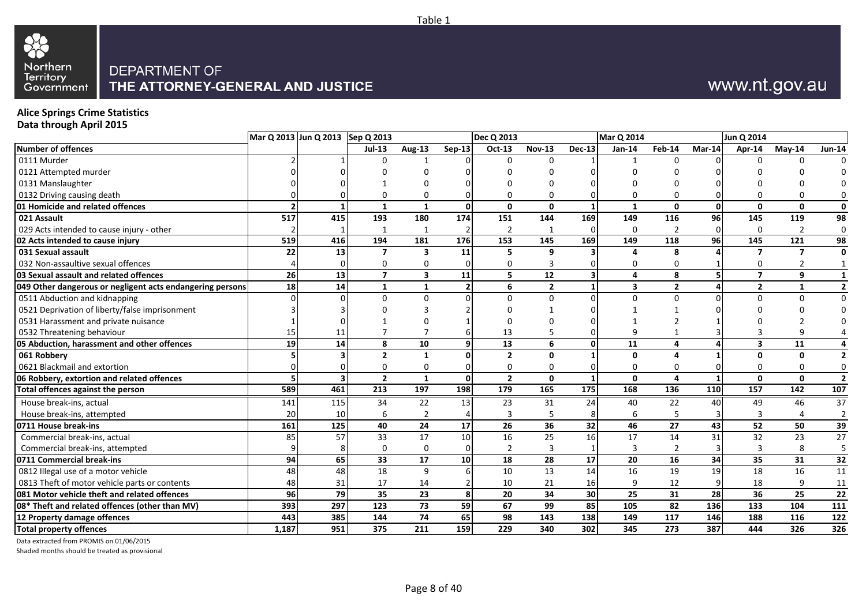

# www.nt.gov.au

### **Alice Springs Crime Statistics**

**Data through April 2015**

|                                                           |                 | Mar Q 2013 Jun Q 2013 Sep Q 2013 |                |                 |                | Dec Q 2013      |                |               | <b>Mar Q 2014</b>       |                |          | Jun Q 2014      |                 |                         |
|-----------------------------------------------------------|-----------------|----------------------------------|----------------|-----------------|----------------|-----------------|----------------|---------------|-------------------------|----------------|----------|-----------------|-----------------|-------------------------|
| Number of offences                                        |                 |                                  | $Jul-13$       | Aug-13          | <b>Sep-13</b>  | Oct-13          | <b>Nov-13</b>  | <b>Dec-13</b> | $Jan-14$                | Feb-14         | $Mar-14$ | Apr-14          | $May-14$        | <b>Jun-14</b>           |
| 0111 Murder                                               |                 |                                  |                |                 |                |                 |                |               |                         |                |          |                 |                 |                         |
| 0121 Attempted murder                                     |                 |                                  |                |                 |                |                 |                |               |                         |                |          |                 |                 |                         |
| 0131 Manslaughter                                         |                 |                                  |                |                 |                |                 |                |               |                         |                |          |                 |                 | $\Omega$                |
| 0132 Driving causing death                                |                 |                                  |                |                 |                | <sup>0</sup>    | $\Omega$       |               |                         |                |          |                 |                 | 0                       |
| 01 Homicide and related offences                          |                 |                                  | 1              | 1               | $\mathbf{0}$   | $\mathbf 0$     | $\mathbf{0}$   |               | $\mathbf{1}$            | $\mathbf{0}$   | $\Omega$ | $\Omega$        | $\mathbf 0$     | $\mathbf 0$             |
| 021 Assault                                               | 517             | 415                              | 193            | 180             | 174            | 151             | 144            | 169           | 149                     | 116            | 96       | 145             | 119             | 98                      |
| 029 Acts intended to cause injury - other                 |                 |                                  | $\mathbf{1}$   |                 |                | $\overline{2}$  |                |               | $\Omega$                | $\overline{2}$ | $\Omega$ | $\Omega$        | $\overline{2}$  | $\mathbf 0$             |
| 02 Acts intended to cause injury                          | 519             | 416                              | 194            | 181             | 176            | 153             | 145            | 169           | 149                     | 118            | 96       | 145             | 121             | 98                      |
| 031 Sexual assault                                        | 22              | 13                               | 7              | 3               | 11             | 5               | 9              |               | Δ                       | 8              |          |                 | $\overline{7}$  | $\mathbf{0}$            |
| 032 Non-assaultive sexual offences                        |                 |                                  | O.             | U               |                | 0               | $\overline{3}$ |               | $\Omega$                | <sup>0</sup>   |          | n               |                 |                         |
| 03 Sexual assault and related offences                    | 26              | 13                               | $\overline{7}$ | 3               | 11             | 5               | 12             | 31            | 4                       | 8              |          | $\overline{7}$  | 9               | $\mathbf{1}$            |
| 049 Other dangerous or negligent acts endangering persons | <b>18</b>       | 14                               | 1              | $\mathbf{1}$    | $\overline{2}$ | 6               | $\overline{2}$ | 1             | $\overline{\mathbf{3}}$ | $\overline{2}$ |          | $\overline{2}$  | 1               | $\overline{2}$          |
| 0511 Abduction and kidnapping                             |                 |                                  | <sup>n</sup>   | O               |                | $\Omega$        | $\Omega$       |               | $\Omega$                | $\Omega$       |          | $\Omega$        | $\Omega$        | $\mathbf 0$             |
| 0521 Deprivation of liberty/false imprisonment            |                 |                                  |                |                 |                |                 |                |               |                         |                |          |                 |                 | $\Omega$                |
| 0531 Harassment and private nuisance                      |                 |                                  |                |                 |                |                 |                |               |                         |                |          |                 |                 |                         |
| 0532 Threatening behaviour                                | 15 <sup>1</sup> |                                  |                |                 |                | 13              | 5              |               |                         |                |          |                 |                 |                         |
| 05 Abduction, harassment and other offences               | 19              | 14                               | 8              | 10              | q              | 13              | 6              | ٥I            | 11                      |                |          |                 | 11              | 4                       |
| 061 Robberv                                               |                 |                                  | $\overline{2}$ | 1               |                | $\overline{2}$  | $\mathbf 0$    |               | 0                       |                |          | ŋ               | $\mathbf{0}$    | $\overline{2}$          |
| 0621 Blackmail and extortion                              |                 |                                  |                | 0               |                | $\mathbf 0$     | $\Omega$       |               | $\Omega$                |                |          |                 | $\Omega$        | $\mathbf 0$             |
| 06 Robbery, extortion and related offences                |                 | $\overline{\mathbf{3}}$          | $\overline{2}$ | $\mathbf{1}$    | $\Omega$       | $\overline{2}$  | $\mathbf{0}$   |               | $\mathbf{0}$            | 4              |          | $\mathbf{0}$    | $\Omega$        | $\overline{\mathbf{2}}$ |
| Total offences against the person                         | 589             | 461                              | 213            | 197             | 198            | 179             | 165            | 175           | 168                     | 136            | 110      | 157             | 142             | $\frac{107}{10}$        |
| House break-ins, actual                                   | 141             | 115                              | 34             | 22              | 13             | 23              | 31             | 24            | 40                      | 22             | 40       | 49              | 46              | 37                      |
| House break-ins, attempted                                | <b>20</b>       | 10                               | 6              | $\overline{2}$  |                | $\overline{3}$  | 5              |               | 6                       | 5              |          |                 |                 | $\overline{2}$          |
| 0711 House break-ins                                      | 161             | 125                              | 40             | 24              | 17             | 26              | 36             | 32            | 46                      | 27             | 43       | 52              | 50              | 39                      |
| Commercial break-ins, actual                              | 85              | 57                               | 33             | 17              | 10             | 16              | 25             | 16            | 17                      | 14             | 31       | 32              | 23              | 27                      |
| Commercial break-ins, attempted                           |                 |                                  | 0              | 0               |                | $\overline{2}$  | $\overline{3}$ |               | 3                       |                |          |                 | 8               | $\overline{5}$          |
| 0711 Commercial break-ins                                 | 94              | 65                               | 33             | 17              | 10             | 18              | 28             | 17            | 20                      | 16             | 34       | 35              | 31              | $\overline{32}$         |
| 0812 Illegal use of a motor vehicle                       | 48              | 48                               | 18             | 9               |                | 10              | 13             | 14            | 16                      | 19             | 19       | 18              | 16              | 11                      |
| 0813 Theft of motor vehicle parts or contents             | 48              | 31                               | 17             | 14              |                | 10              | 21             | 16            |                         | 12             |          | 18              | 9               | 11                      |
| 081 Motor vehicle theft and related offences              | <b>96</b>       | 79                               | 35             | $\overline{23}$ | 8              | $\overline{20}$ | 34             | 30            | 25                      | 31             | 28       | $\overline{36}$ | $\overline{25}$ | $\overline{22}$         |
| 08* Theft and related offences (other than MV)            | 393             | 297                              | 123            | 73              | 59             | 67              | 99             | 85            | 105                     | 82             | 136      | 133             | 104             | 111                     |
| 12 Property damage offences                               | 443             | 385                              | 144            | 74              | 65             | $\overline{98}$ | 143            | 138           | 149                     | 117            | 146      | 188             | 116             | 122                     |
| <b>Total property offences</b>                            | 1,187           | 951                              | 375            | 211             | 159            | 229             | 340            | 302           | 345                     | 273            | 387      | 444             | 326             | 326                     |

Data extracted from PROMIS on 01/06/2015

Shaded months should be treated as provisional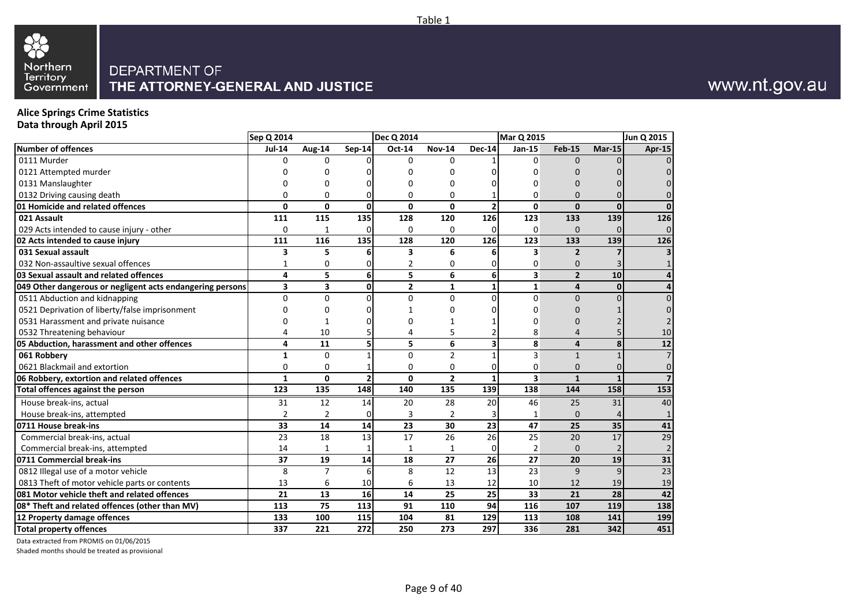# 88 Northern<br>Territory<br>Government

#### DEPARTMENT OF THE ATTORNEY-GENERAL AND JUSTICE

# www.nt.gov.au

### **Alice Springs Crime Statistics**

**Data through April 2015**

|                                                           | Sep Q 2014     |                |                 | <b>Dec Q 2014</b> |                |                         | <b>Mar Q 2015</b>       |                |                | Jun Q 2015      |
|-----------------------------------------------------------|----------------|----------------|-----------------|-------------------|----------------|-------------------------|-------------------------|----------------|----------------|-----------------|
| Number of offences                                        | <b>Jul-14</b>  | Aug-14         | Sep-14          | Oct-14            | <b>Nov-14</b>  | <b>Dec-14</b>           | Jan-15                  | <b>Feb-15</b>  | $Mar-15$       | Apr-15          |
| 0111 Murder                                               | $\Omega$       | 0              | <sup>0</sup>    | 0                 | $\Omega$       |                         | $\Omega$                | $\Omega$       |                |                 |
| 0121 Attempted murder                                     |                | n              |                 |                   | <sup>0</sup>   |                         | O                       |                |                |                 |
| 0131 Manslaughter                                         |                | 0              |                 | U                 | <sup>0</sup>   |                         | ŋ                       | n              |                |                 |
| 0132 Driving causing death                                | $\Omega$       | 0              | $\Omega$        | $\Omega$          | $\Omega$       |                         | $\Omega$                | $\Omega$       | U              |                 |
| 01 Homicide and related offences                          | $\mathbf{0}$   | $\mathbf{0}$   | $\mathbf 0$     | $\mathbf{0}$      | $\mathbf 0$    | $\overline{2}$          | 0                       | $\mathbf{0}$   | $\mathbf{0}$   |                 |
| 021 Assault                                               | 111            | 115            | 135             | 128               | 120            | 126                     | 123                     | 133            | 139            | 126             |
| 029 Acts intended to cause injury - other                 | 0              | 1              | $\Omega$        | 0                 | $\Omega$       | $\overline{0}$          | 0                       | $\Omega$       | $\Omega$       | $\Omega$        |
| 02 Acts intended to cause injury                          | 111            | 116            | 135             | 128               | 120            | 126                     | 123                     | 133            | 139            | 126             |
| 031 Sexual assault                                        | 3              | 5              | 6               | 3                 | 6              | 6                       | 3                       | $\overline{2}$ |                |                 |
| 032 Non-assaultive sexual offences                        | $\mathbf{1}$   | 0              | 0               | 2                 | $\Omega$       | 0                       | 0                       | $\mathbf{0}$   |                |                 |
| 03 Sexual assault and related offences                    | 4              | 5              | 6 <sup>1</sup>  | 5                 | 6              | $6 \overline{6}$        | 3                       | $\overline{2}$ | 10             |                 |
| 049 Other dangerous or negligent acts endangering persons | 3              | 3              | $\mathbf{0}$    | $\overline{2}$    | $\mathbf{1}$   | $\mathbf{1}$            | $\mathbf{1}$            | 4              | $\mathbf{0}$   |                 |
| 0511 Abduction and kidnapping                             | $\Omega$       | $\overline{0}$ | $\Omega$        | 0                 | $\Omega$       | $\Omega$                | $\overline{0}$          | $\Omega$       | $\Omega$       |                 |
| 0521 Deprivation of liberty/false imprisonment            | U              | 0              | $\Omega$        |                   | $\Omega$       | <sup>n</sup>            | 0                       |                |                |                 |
| 0531 Harassment and private nuisance                      | ŋ              | 1              | <sup>0</sup>    |                   |                |                         | O                       | 0              |                |                 |
| 0532 Threatening behaviour                                | 4              | 10             |                 |                   | 5              |                         | 8                       | 4              |                | 10              |
| 05 Abduction, harassment and other offences               | 4              | 11             | 5               | 5                 | 6              | $\overline{\mathbf{3}}$ | 8                       | $\overline{4}$ | 8 <sup>1</sup> | $\overline{12}$ |
| 061 Robbery                                               | $\mathbf{1}$   | $\Omega$       |                 | $\Omega$          | $\overline{2}$ |                         | 3                       | $\mathbf{1}$   |                |                 |
| 0621 Blackmail and extortion                              | 0              | 0              |                 | 0                 | $\Omega$       | $\overline{0}$          | 0                       | $\mathbf{0}$   | $\Omega$       | $\Omega$        |
| 06 Robbery, extortion and related offences                | $\mathbf{1}$   | $\mathbf{0}$   | $\overline{2}$  | $\Omega$          | $\overline{2}$ | 1                       | $\overline{\mathbf{3}}$ | $\mathbf{1}$   | $\mathbf{1}$   |                 |
| <b>Total offences against the person</b>                  | 123            | 135            | 148             | 140               | 135            | <b>139</b>              | 138                     | 144            | 158            | 153             |
| House break-ins, actual                                   | 31             | 12             | 14              | 20                | 28             | 20                      | 46                      | 25             | 31             | 40              |
| House break-ins, attempted                                | $\overline{2}$ | $\overline{2}$ | $\Omega$        | 3                 | $\overline{2}$ |                         | $\mathbf{1}$            | $\Omega$       | Δ              |                 |
| 0711 House break-ins                                      | 33             | 14             | 14              | 23                | 30             | 23                      | 47                      | 25             | 35             | 41              |
| Commercial break-ins, actual                              | 23             | 18             | 13              | 17                | 26             | 26                      | 25                      | 20             | 17             | $\overline{29}$ |
| Commercial break-ins, attempted                           | 14             | 1              |                 | 1                 | $\mathbf{1}$   | $\overline{0}$          | $\overline{2}$          | $\Omega$       |                | $\overline{2}$  |
| 0711 Commercial break-ins                                 | 37             | 19             | 14              | 18                | 27             | 26                      | 27                      | 20             | 19             | 31              |
| 0812 Illegal use of a motor vehicle                       | 8              | $\overline{7}$ | 6               | 8                 | 12             | 13                      | 23                      | $\mathbf{q}$   | 9              | $\overline{23}$ |
| 0813 Theft of motor vehicle parts or contents             | 13             | 6              | 10 <sup>1</sup> | 6                 | 13             | 12                      | 10                      | 12             | 19             | 19              |
| 081 Motor vehicle theft and related offences              | 21             | 13             | 16              | 14                | 25             | 25                      | 33                      | 21             | 28             | 42              |
| 08* Theft and related offences (other than MV)            | 113            | 75             | 113             | 91                | 110            | 94                      | 116                     | 107            | 119            | 138             |
| 12 Property damage offences                               | 133            | 100            | 115             | 104               | 81             | 129                     | 113                     | 108            | 141            | 199             |
| <b>Total property offences</b>                            | 337            | 221            | 272             | 250               | 273            | 297                     | 336                     | 281            | 342            | 451             |

Data extracted from PROMIS on 01/06/2015

Shaded months should be treated as provisional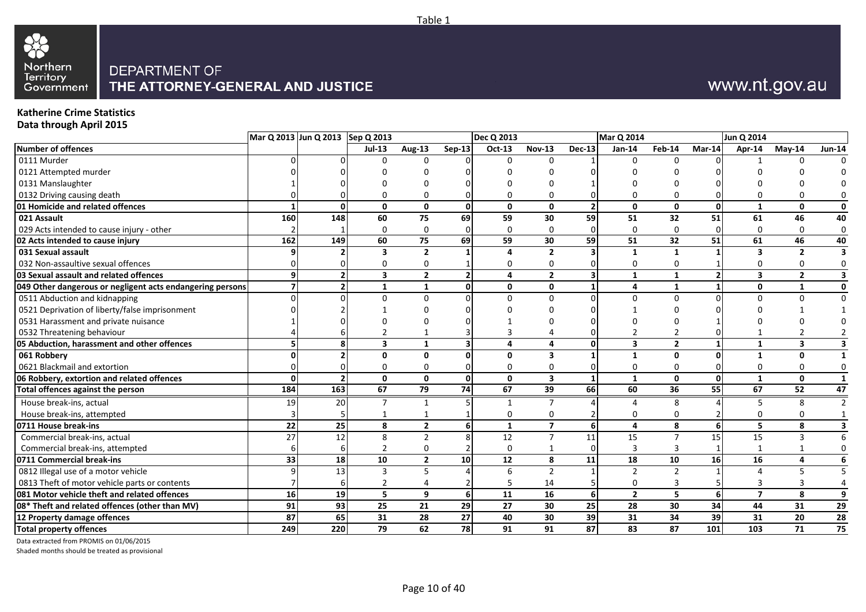

# www.nt.gov.au

#### **Katherine Crime Statistics Data through April 2015**

|                                                           | Mar Q 2013 Jun Q 2013 Sep Q 2013 |     |                         |                |                       | Dec Q 2013   |                 |               | Mar Q 2014     |                |        | Jun Q 2014              |                |               |
|-----------------------------------------------------------|----------------------------------|-----|-------------------------|----------------|-----------------------|--------------|-----------------|---------------|----------------|----------------|--------|-------------------------|----------------|---------------|
| <b>Number of offences</b>                                 |                                  |     | <b>Jul-13</b>           | <b>Aug-13</b>  | $Sep-13$              | Oct-13       | <b>Nov-13</b>   | <b>Dec-13</b> | Jan-14         | Feb-14         | Mar-14 | Apr-14                  | $Mav-14$       | <b>Jun-14</b> |
| 0111 Murder                                               |                                  |     |                         |                |                       | ∩            |                 |               | $\Omega$       | $\Omega$       |        |                         |                |               |
| 0121 Attempted murder                                     |                                  |     |                         |                |                       |              |                 |               |                |                |        |                         |                |               |
| 0131 Manslaughter                                         |                                  |     |                         |                |                       |              |                 |               |                |                |        |                         |                |               |
| 0132 Driving causing death                                |                                  |     |                         |                |                       |              |                 |               |                |                |        |                         |                |               |
| 01 Homicide and related offences                          |                                  |     | $\Omega$                | $\Omega$       | 0                     | $\mathbf{0}$ | 0               |               | $\Omega$       | $\Omega$       |        | $\mathbf{1}$            | 0              |               |
| 021 Assault                                               | 160                              | 148 | 60                      | 75             | 69                    | 59           | 30              | 59            | 51             | 32             | 51     | 61                      | 46             | 40            |
| 029 Acts intended to cause injury - other                 |                                  |     |                         | $\Omega$       |                       | $\Omega$     |                 |               | $\Omega$       | 0              |        | $\Omega$                | 0              | 0             |
| 02 Acts intended to cause injury                          | 162                              | 149 | 60                      | 75             | 69                    | 59           | 30              | 59            | 51             | 32             | 51     | 61                      | 46             | 40            |
| 031 Sexual assault                                        |                                  |     |                         | $\overline{2}$ |                       | 4            | $\overline{2}$  |               |                |                |        | $\mathbf{3}$            | $\overline{2}$ |               |
| 032 Non-assaultive sexual offences                        |                                  |     |                         |                |                       |              |                 |               |                |                |        |                         |                |               |
| 03 Sexual assault and related offences                    | 9                                |     | $\overline{\mathbf{3}}$ | $\overline{2}$ | 2 <sup>1</sup>        | 4            | $\overline{2}$  |               | $\mathbf{1}$   | 1              |        | $\overline{\mathbf{3}}$ | $\overline{2}$ |               |
| 049 Other dangerous or negligent acts endangering persons |                                  |     | 1                       | $\mathbf{1}$   | $\Omega$              | $\mathbf{0}$ | $\mathbf{0}$    |               | 4              |                |        | 0                       | 1              |               |
| 0511 Abduction and kidnapping                             |                                  |     |                         |                |                       |              |                 |               |                | O              |        | $\Omega$                |                |               |
| 0521 Deprivation of liberty/false imprisonment            |                                  |     |                         |                |                       |              |                 |               |                |                |        |                         |                |               |
| 0531 Harassment and private nuisance                      |                                  |     |                         |                |                       |              |                 |               |                |                |        |                         |                |               |
| 0532 Threatening behaviour                                |                                  |     |                         |                |                       |              |                 |               |                |                |        |                         |                |               |
| 05 Abduction, harassment and other offences               |                                  |     | 3                       | 1              |                       | 4            | 4               | $\Omega$      |                | $\overline{2}$ |        | 1                       | 3              |               |
| 061 Robbery                                               |                                  |     |                         | $\Omega$       |                       | $\Omega$     |                 |               |                | ŋ              |        |                         | 0              |               |
| 0621 Blackmail and extortion                              |                                  |     |                         |                |                       |              |                 |               |                |                |        | $\Omega$                | 0              |               |
| 06 Robbery, extortion and related offences                | $\Omega$                         |     | $\mathbf{0}$            | $\mathbf{0}$   | $\mathbf{0}$          | $\Omega$     | 3               |               | $\mathbf{1}$   | $\mathbf{0}$   |        | $\mathbf{1}$            | $\mathbf{0}$   |               |
| Total offences against the person                         | 184                              | 163 | 67                      | 79             | 74                    | 67           | 39              | 66            | 60             | 36             | 55     | 67                      | 52             | 47            |
| House break-ins, actual                                   | 19                               | 20  | 7                       | $\mathbf{1}$   |                       |              |                 |               |                | 8              |        | .5                      | 8              |               |
| House break-ins, attempted                                |                                  |     |                         |                |                       | $\mathbf 0$  | 0               |               |                | $\Omega$       |        | $\Omega$                | 0              |               |
| 0711 House break-ins                                      | 22                               | 25  | 8                       | $\overline{2}$ | $6 \overline{6}$      | $\mathbf{1}$ | $\overline{7}$  | 6             | 4              | 8              |        | 5                       | 8              |               |
| Commercial break-ins, actual                              | 27                               | 12  | 8                       | $\overline{2}$ | $\mathsf{\mathsf{R}}$ | 12           | $\overline{7}$  | 11            | 15             | $\overline{7}$ | 15     | 15                      | 3              |               |
| Commercial break-ins, attempted                           |                                  |     |                         |                |                       | $\Omega$     |                 |               | 3              | 3              |        |                         |                |               |
| 0711 Commercial break-ins                                 | 33                               | 18  | 10                      | $\overline{2}$ | 10                    | 12           | 8               | 11            | 18             | 10             | 16     | 16                      | 4              |               |
| 0812 Illegal use of a motor vehicle                       |                                  | 13  |                         | .5             |                       | 6            | $\overline{2}$  |               | 2              | 2              |        | 4                       |                |               |
| 0813 Theft of motor vehicle parts or contents             |                                  |     |                         | 4              |                       |              | 14              |               |                | 3              |        | 3                       |                |               |
| 081 Motor vehicle theft and related offences              | 16                               | 19  | 5                       | 9              | $6 \overline{6}$      | 11           | $\overline{16}$ | 6             | $\overline{2}$ | 5              | 6      | $\overline{\mathbf{z}}$ | 8              | 9             |
| 08* Theft and related offences (other than MV)            | 91                               | 93  | 25                      | 21             | 29                    | 27           | 30              | 25            | 28             | 30             | 34     | 44                      | 31             | 29            |
| 12 Property damage offences                               | 87                               | 65  | 31                      | 28             | 27                    | 40           | 30              | 39            | 31             | 34             | 39     | 31                      | 20             | 28            |
| <b>Total property offences</b>                            | 249                              | 220 | 79                      | 62             | <b>78</b>             | 91           | 91              | 87            | 83             | 87             | 101    | 103                     | 71             | 75            |

Data extracted from PROMIS on 01/06/2015

Shaded months should be treated as provisional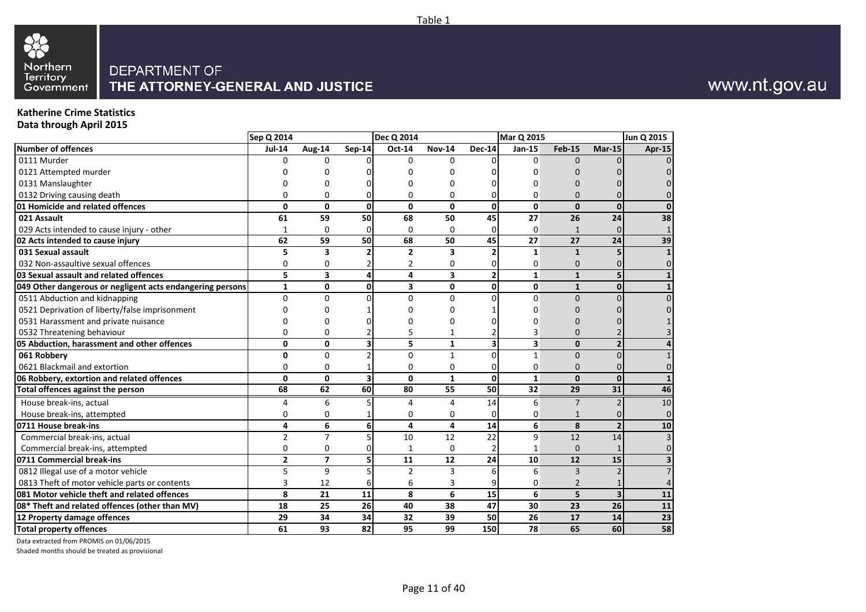

# www.nt.gov.au

#### **Katherine Crime Statistics Data through April 2015**

|                                                           | Sep Q 2014     |                          |                         | Dec Q 2014              |                         |                | Mar Q 2015    |                |                         | Jun Q 2015     |
|-----------------------------------------------------------|----------------|--------------------------|-------------------------|-------------------------|-------------------------|----------------|---------------|----------------|-------------------------|----------------|
| <b>Number of offences</b>                                 | <b>Jul-14</b>  | Aug-14                   | <b>Sep-14</b>           | Oct-14                  | <b>Nov-14</b>           | <b>Dec-14</b>  | <b>Jan-15</b> | <b>Feb-15</b>  | $Mar-15$                | Apr-15         |
| 0111 Murder                                               | n              | <sup>0</sup>             |                         | <sup>0</sup>            | $\Omega$                |                | $\Omega$      | $\Omega$       |                         | $\Omega$       |
| 0121 Attempted murder                                     |                |                          |                         |                         |                         |                | O             |                |                         | 0              |
| 0131 Manslaughter                                         |                |                          |                         |                         | O                       |                | n             |                |                         |                |
| 0132 Driving causing death                                | $\Omega$       | 0                        |                         | 0                       | $\Omega$                |                | $\Omega$      | $\Omega$       |                         | $\Omega$       |
| 01 Homicide and related offences                          | 0              | 0                        | 0                       | $\mathbf{0}$            | $\mathbf{0}$            | 0              | 0             | $\mathbf{0}$   | $\mathbf{0}$            | <sup>0</sup>   |
| 021 Assault                                               | 61             | 59                       | 50                      | 68                      | 50                      | 45             | 27            | 26             | 24                      | 38             |
| 029 Acts intended to cause injury - other                 | 1              | $\mathbf 0$              | $\Omega$                | 0                       | $\mathbf 0$             | 0              | $\mathbf 0$   | $\mathbf{1}$   | $\Omega$                |                |
| 02 Acts intended to cause injury                          | 62             | 59                       | 50                      | 68                      | 50                      | 45             | 27            | 27             | 24                      | 39             |
| 031 Sexual assault                                        | 5              | 3                        |                         | $\overline{2}$          | $\overline{\mathbf{3}}$ | $\overline{2}$ | $\mathbf{1}$  | $\mathbf{1}$   |                         | $\mathbf{1}$   |
| 032 Non-assaultive sexual offences                        | 0              | 0                        |                         | 2                       | $\Omega$                | 0              | $\Omega$      | $\Omega$       |                         | $\Omega$       |
| 03 Sexual assault and related offences                    | 5              | 3                        | 4                       | 4                       | 3                       | $\overline{2}$ | $\mathbf{1}$  | $\mathbf{1}$   | 5                       | $\mathbf{1}$   |
| 049 Other dangerous or negligent acts endangering persons | $\mathbf{1}$   | 0                        | $\mathbf{0}$            | $\overline{\mathbf{3}}$ | $\mathbf{0}$            | 0              | $\mathbf{0}$  | $\mathbf{1}$   | $\mathbf 0$             | $\mathbf{1}$   |
| 0511 Abduction and kidnapping                             | $\Omega$       | $\Omega$                 |                         | 0                       | $\Omega$                | $\Omega$       | $\Omega$      | $\Omega$       |                         | $\Omega$       |
| 0521 Deprivation of liberty/false imprisonment            |                |                          |                         |                         |                         |                | n             |                |                         |                |
| 0531 Harassment and private nuisance                      |                |                          |                         |                         | n                       |                | O             | n              |                         |                |
| 0532 Threatening behaviour                                | $\Omega$       | $\Omega$                 |                         | 5                       | 1                       |                | 3             | $\Omega$       |                         |                |
| 05 Abduction, harassment and other offences               | 0              | 0                        | $\overline{\mathbf{3}}$ | 5                       | $\mathbf{1}$            | 3              | 3             | $\mathbf{0}$   | $\overline{2}$          | 4              |
| 061 Robbery                                               | 0              | $\Omega$                 |                         | $\Omega$                | $\mathbf{1}$            | $\Omega$       | $\mathbf{1}$  | $\Omega$       | $\Omega$                | $\mathbf{1}$   |
| 0621 Blackmail and extortion                              | $\mathbf 0$    | $\Omega$                 |                         | 0                       | $\mathbf 0$             | 0              | $\mathbf 0$   | $\Omega$       | C                       | 0              |
| 06 Robbery, extortion and related offences                | 0              | 0                        | $\overline{\mathbf{3}}$ | $\mathbf{0}$            | $\mathbf{1}$            | $\mathbf{0}$   | $\mathbf{1}$  | $\mathbf{0}$   | $\mathbf{0}$            | $\mathbf{1}$   |
| Total offences against the person                         | 68             | 62                       | 60                      | 80                      | 55                      | 50             | 32            | 29             | 31                      | 46             |
| House break-ins, actual                                   | 4              | 6                        | 5                       | 4                       | 4                       | 14             | 6             | $\overline{7}$ | $\mathcal{I}$           | 10             |
| House break-ins, attempted                                | $\mathbf 0$    | $\mathbf 0$              |                         | 0                       | 0                       | $\mathbf 0$    | $\mathbf 0$   | 1              | $\sqrt{ }$              | $\overline{0}$ |
| 0711 House break-ins                                      | 4              | 6                        | 6                       | 4                       | 4                       | 14             | 6             | 8              | $\overline{2}$          | 10             |
| Commercial break-ins, actual                              | $\overline{2}$ | $\overline{7}$           | 5                       | 10                      | 12                      | 22             | 9             | 12             | 14                      | $\overline{3}$ |
| Commercial break-ins, attempted                           | $\Omega$       | $\Omega$                 |                         | $\mathbf{1}$            | $\Omega$                |                | $\mathbf{1}$  | $\Omega$       |                         | $\Omega$       |
| 0711 Commercial break-ins                                 | $\overline{2}$ | $\overline{\phantom{a}}$ | 5                       | 11                      | 12                      | 24             | 10            | 12             | 15                      |                |
| 0812 Illegal use of a motor vehicle                       | 5              | 9                        |                         | $\overline{2}$          | 3                       | 6              | 6             | $\overline{3}$ |                         |                |
| 0813 Theft of motor vehicle parts or contents             | 3              | 12                       | 6                       | 6                       |                         |                | 0             | 2              |                         | 4              |
| 081 Motor vehicle theft and related offences              | 8              | 21                       | 11                      | 8                       | 6                       | 15             | 6             | 5              | $\overline{\mathbf{3}}$ | 11             |
| 08* Theft and related offences (other than MV)            | 18             | 25                       | 26                      | 40                      | 38                      | 47             | 30            | 23             | 26                      | ${\bf 11}$     |
| 12 Property damage offences                               | 29             | 34                       | 34                      | 32                      | 39                      | 50             | 26            | 17             | 14                      | 23             |
| <b>Total property offences</b>                            | 61             | 93                       | 82                      | 95                      | 99                      | 150            | 78            | 65             | 60                      | 58             |

Data extracted from PROMIS on 01/06/2015

Shaded months should be treated as provisional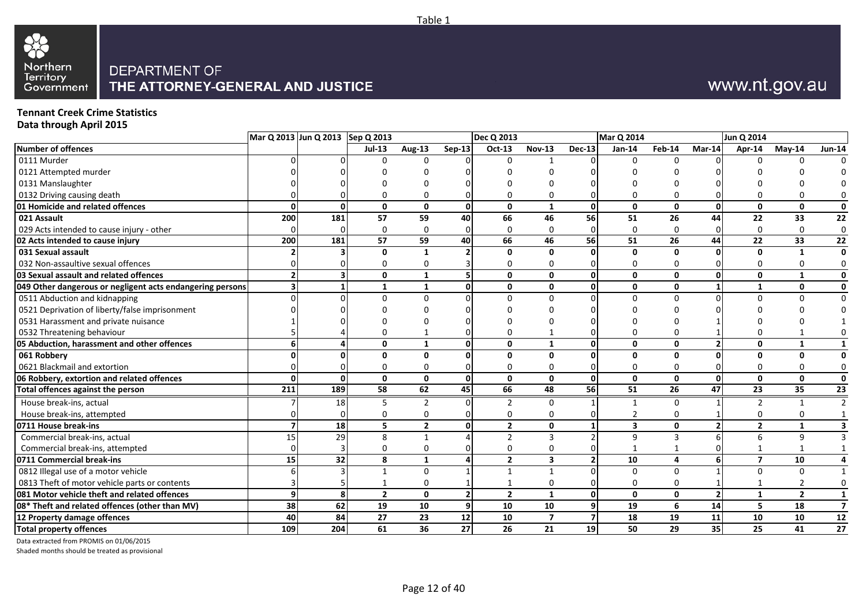

# www.nt.gov.au

### **Tennant Creek Crime Statistics**

**Data through April 2015**

|                                                           |              | Mar Q 2013 Jun Q 2013 Sep Q 2013 |                |                |                | <b>Dec Q 2013</b>        |                         |                 | Mar Q 2014              |                |          | Jun Q 2014     |                |                 |
|-----------------------------------------------------------|--------------|----------------------------------|----------------|----------------|----------------|--------------------------|-------------------------|-----------------|-------------------------|----------------|----------|----------------|----------------|-----------------|
| Number of offences                                        |              |                                  | $Jul-13$       | <b>Aug-13</b>  | <b>Sep-13</b>  | Oct-13                   | <b>Nov-13</b>           | <b>Dec-13</b>   | $Jan-14$                | Feb-14         | $Mar-14$ | Apr-14         | $May-14$       | <b>Jun-14</b>   |
| 0111 Murder                                               |              |                                  | <sup>n</sup>   | 0              |                | $\Omega$                 |                         |                 |                         |                |          |                | U              |                 |
| 0121 Attempted murder                                     |              |                                  |                |                |                |                          |                         |                 |                         |                |          |                |                |                 |
| 0131 Manslaughter                                         |              |                                  |                |                |                |                          |                         |                 |                         |                |          |                |                |                 |
| 0132 Driving causing death                                |              |                                  |                |                |                | $\Omega$                 | 0                       |                 |                         |                |          |                |                | 0               |
| 01 Homicide and related offences                          | $\Omega$     | $\Omega$                         | $\Omega$       | $\mathbf{0}$   | $\mathbf{0}$   | $\mathbf{0}$             | $\mathbf{1}$            | ΩI              | $\mathbf{0}$            | $\mathbf{0}$   | ŋ        | 0              | $\mathbf{0}$   | 0               |
| 021 Assault                                               | 200          | 181                              | 57             | 59             | 40             | 66                       | 46                      | 56              | 51                      | 26             | 44       | 22             | 33             | 22              |
| 029 Acts intended to cause injury - other                 |              |                                  | $\Omega$       | $\Omega$       |                | $\Omega$                 | $\mathbf 0$             |                 | $\Omega$                | $\Omega$       |          | 0              | $\Omega$       | $\mathbf 0$     |
| 02 Acts intended to cause injury                          | 200          | 181                              | 57             | 59             | 40             | 66                       | 46                      | <b>56</b>       | 51                      | 26             | 44       | 22             | 33             | $\overline{22}$ |
| 031 Sexual assault                                        |              |                                  | 0              |                |                | $\mathbf{0}$             | $\mathbf{0}$            |                 | $\Omega$                | $\mathbf{0}$   |          | n              |                | $\mathbf 0$     |
| 032 Non-assaultive sexual offences                        |              |                                  |                | O              |                | 0                        | $\Omega$                |                 |                         |                |          |                |                | 0               |
| 03 Sexual assault and related offences                    |              |                                  | $\Omega$       | 1              | 5              | 0                        | $\mathbf 0$             | 0               | $\mathbf{0}$            | 0              | ŋ        | 0              | -1             | 0               |
| 049 Other dangerous or negligent acts endangering persons |              |                                  | 1              | 1              | 0              | 0                        | 0                       | ΩI              | 0                       | 0              |          | 1              | $\Omega$       | $\mathbf 0$     |
| 0511 Abduction and kidnapping                             |              |                                  | $\Omega$       | $\Omega$       |                | $\Omega$                 | $\Omega$                |                 | $\Omega$                | $\Omega$       |          | U              |                | $\Omega$        |
| 0521 Deprivation of liberty/false imprisonment            |              |                                  |                |                |                |                          |                         |                 |                         |                |          |                |                |                 |
| 0531 Harassment and private nuisance                      |              |                                  |                |                |                |                          |                         |                 |                         |                |          |                |                |                 |
| 0532 Threatening behaviour                                |              |                                  |                |                |                | 0                        | -1                      |                 |                         |                |          |                |                |                 |
| 05 Abduction, harassment and other offences               | 6            |                                  | 0              | 1              | 0              | $\mathbf{0}$             | 1                       | ΩI              | 0                       | 0              |          | 0              | -1             | 1               |
| 061 Robbery                                               |              |                                  | $\Omega$       | $\Omega$       | n              | $\mathbf{0}$             | $\mathbf{0}$            | U               | $\mathbf{0}$            | $\mathbf{0}$   |          | O.             | $\Omega$       | $\mathbf 0$     |
| 0621 Blackmail and extortion                              |              |                                  | 0              | 0              | 0              | 0                        | $\mathbf{0}$            |                 | 0                       | O              |          | U              | 0              | $\mathbf 0$     |
| 06 Robbery, extortion and related offences                | $\Omega$     | $\mathbf{0}$                     | $\mathbf{0}$   | $\mathbf{0}$   | $\Omega$       | $\mathbf{0}$             | $\mathbf{0}$            | $\mathbf{0}$    | $\Omega$                | $\mathbf{0}$   | $\Omega$ | 0              | $\Omega$       | $\mathbf 0$     |
| Total offences against the person                         | 211          | 189                              | 58             | 62             | 45             | 66                       | 48                      | <b>56</b>       | 51                      | 26             | 47       | 23             | 35             | $\overline{23}$ |
| House break-ins, actual                                   |              | 18                               |                |                |                | 2                        | 0                       |                 |                         | 0              |          |                |                | $\overline{2}$  |
| House break-ins, attempted                                |              |                                  |                | U              |                | 0                        | 0                       |                 |                         |                |          |                |                |                 |
| 0711 House break-ins                                      |              | 18                               | 5              | $\overline{2}$ | 0              | $\overline{2}$           | $\mathbf 0$             |                 | $\overline{\mathbf{3}}$ | 0              |          | $\overline{2}$ | $\mathbf{1}$   | 3               |
| Commercial break-ins, actual                              | 15           | 29                               | 8              | 1              |                | $\overline{\phantom{a}}$ | 3                       |                 | 9                       | $\overline{3}$ |          |                | q              |                 |
| Commercial break-ins, attempted                           |              |                                  | $\Omega$       | $\Omega$       |                | $\Omega$                 | 0                       |                 |                         |                |          |                |                |                 |
| 0711 Commercial break-ins                                 | 15           | 32                               | 8              | 1              |                | $\overline{2}$           | $\overline{\mathbf{3}}$ | $\overline{2}$  | 10                      | 4              |          | $\overline{7}$ | 10             | 4               |
| 0812 Illegal use of a motor vehicle                       |              |                                  |                | $\Omega$       |                | $\mathbf{1}$             | $\mathbf{1}$            |                 | $\Omega$                | $\Omega$       |          | U              | $\Omega$       | 1               |
| 0813 Theft of motor vehicle parts or contents             |              |                                  |                | 0              |                | $\mathbf{1}$             | 0                       |                 | 0                       |                |          |                |                | 0               |
| 081 Motor vehicle theft and related offences              | $\mathbf{9}$ | 8                                | $\overline{2}$ | 0              | $\overline{2}$ | $\overline{2}$           | 1                       | 0               | $\mathbf{0}$            | $\mathbf{0}$   |          | $\mathbf{1}$   | $\overline{2}$ | $\mathbf{1}$    |
| 08* Theft and related offences (other than MV)            | 38           | 62                               | 19             | 10             | 9              | 10                       | 10                      | 9               | 19                      | 6              | 14       | 5              | 18             | $\overline{7}$  |
| 12 Property damage offences                               | 40           | 84                               | 27             | 23             | 12             | 10                       | $\overline{7}$          | 7               | 18                      | 19             | 11       | 10             | 10             | 12              |
| <b>Total property offences</b>                            | 109          | 204                              | 61             | 36             | 27             | 26                       | 21                      | 19 <sup>1</sup> | 50                      | 29             | 35       | 25             | 41             | 27              |

Data extracted from PROMIS on 01/06/2015

Shaded months should be treated as provisional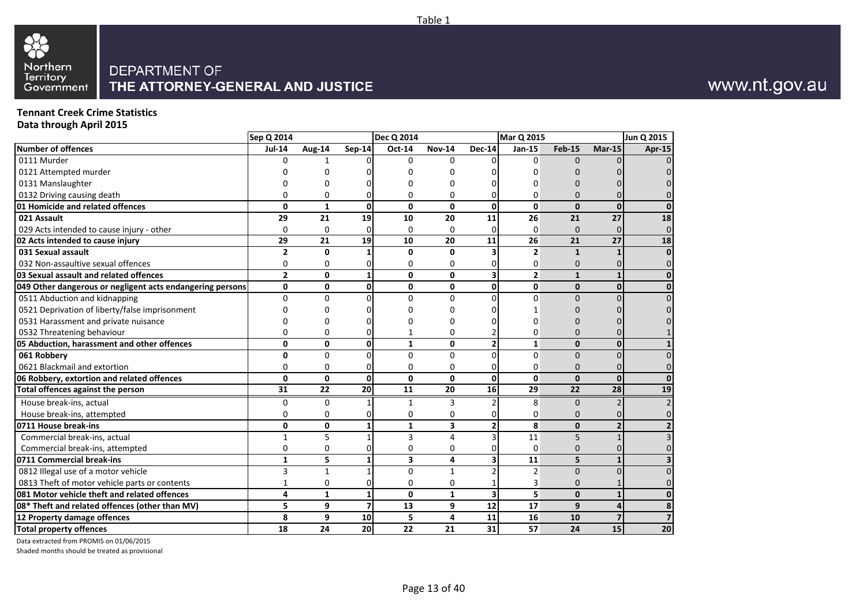

# www.nt.gov.au

### **Tennant Creek Crime Statistics**

**Data through April 2015**

|                                                           | Sep Q 2014     |              |                 | <b>Dec Q 2014</b>       |               |                         | Mar Q 2015     |               |                 | Jun Q 2015 |
|-----------------------------------------------------------|----------------|--------------|-----------------|-------------------------|---------------|-------------------------|----------------|---------------|-----------------|------------|
| <b>Number of offences</b>                                 | <b>Jul-14</b>  | Aug-14       | <b>Sep-14</b>   | $\overline{Oct}$ -14    | <b>Nov-14</b> | <b>Dec-14</b>           | Jan-15         | <b>Feb-15</b> | $Mar-15$        | Apr-15     |
| 0111 Murder                                               | U              | 1            |                 | $\Omega$                | $\Omega$      |                         | $\Omega$       | $\Omega$      |                 |            |
| 0121 Attempted murder                                     |                | n            |                 | n                       |               |                         | n              |               |                 |            |
| 0131 Manslaughter                                         |                | n            |                 | 0                       |               |                         | n              |               |                 |            |
| 0132 Driving causing death                                | O              | 0            | 0               | 0                       | 0             | 0                       | 0              | $\Omega$      |                 |            |
| 01 Homicide and related offences                          | $\mathbf{0}$   | $\mathbf{1}$ | 0               | $\mathbf{0}$            | $\mathbf{0}$  | $\mathbf{0}$            | $\mathbf{0}$   | $\mathbf{0}$  | $\mathbf{0}$    |            |
| 021 Assault                                               | 29             | 21           | 19              | 10                      | 20            | 11                      | 26             | 21            | 27              | 18         |
| 029 Acts intended to cause injury - other                 | $\mathbf 0$    | 0            | $\Omega$        | $\Omega$                | $\Omega$      | $\Omega$                | 0              | $\Omega$      | U               |            |
| 02 Acts intended to cause injury                          | 29             | 21           | 19              | 10                      | 20            | 11                      | 26             | 21            | $\overline{27}$ | 18         |
| 031 Sexual assault                                        | $\overline{2}$ | $\mathbf{0}$ |                 | 0                       | 0             |                         | $\overline{2}$ | $\mathbf{1}$  |                 |            |
| 032 Non-assaultive sexual offences                        | 0              | 0            |                 | 0                       | 0             |                         | 0              | $\mathbf{0}$  |                 |            |
| 03 Sexual assault and related offences                    | $\overline{2}$ | 0            | $\mathbf{1}$    | $\mathbf{0}$            | $\mathbf{0}$  | $\overline{\mathbf{3}}$ | $\overline{2}$ | $\mathbf{1}$  | $\mathbf{1}$    |            |
| 049 Other dangerous or negligent acts endangering persons | 0              | 0            | 0               | $\mathbf{0}$            | 0             | $\mathbf{0}$            | 0              | $\mathbf{0}$  | $\mathbf{0}$    |            |
| 0511 Abduction and kidnapping                             | $\Omega$       | 0            | $\Omega$        | $\Omega$                | $\Omega$      | <sup>0</sup>            | $\Omega$       | $\Omega$      | $\Omega$        |            |
| 0521 Deprivation of liberty/false imprisonment            |                |              |                 | U                       |               |                         |                |               |                 |            |
| 0531 Harassment and private nuisance                      |                |              |                 |                         | n             |                         | n              |               |                 |            |
| 0532 Threatening behaviour                                | ŋ              | ሰ            | 0               | 1                       | $\Omega$      |                         | 0              | $\Omega$      |                 |            |
| 05 Abduction, harassment and other offences               | 0              | 0            | 0               | $\mathbf{1}$            | 0             | 2 <sub>l</sub>          | $\mathbf{1}$   | $\mathbf{0}$  | $\mathbf{0}$    |            |
| 061 Robbery                                               | $\Omega$       | $\Omega$     | 0               | $\Omega$                | $\Omega$      | $\Omega$                | $\Omega$       | $\Omega$      | $\Omega$        |            |
| 0621 Blackmail and extortion                              | $\mathbf 0$    | 0            | 0               | 0                       | $\mathbf 0$   | 0                       | 0              | $\mathbf{0}$  | $\Omega$        |            |
| 06 Robbery, extortion and related offences                | $\Omega$       | $\mathbf{0}$ | 0               | $\Omega$                | $\Omega$      | $\Omega$                | $\mathbf{0}$   | $\Omega$      | $\mathbf{0}$    |            |
| Total offences against the person                         | 31             | 22           | 20              | 11                      | 20            | 16                      | 29             | 22            | 28              | 19         |
| House break-ins, actual                                   | 0              | $\Omega$     |                 | 1                       | 3             | $\overline{2}$          | 8              | $\Omega$      |                 |            |
| House break-ins, attempted                                | $\mathbf 0$    | 0            | 01              | 0                       | $\mathbf 0$   | 0                       | 0              | $\Omega$      |                 |            |
| 0711 House break-ins                                      | $\mathbf{0}$   | 0            | $\mathbf{1}$    | $\mathbf{1}$            | 3             | $\overline{2}$          | 8              | $\mathbf{0}$  | $\overline{2}$  |            |
| Commercial break-ins, actual                              | 1              | 5            | 1               | 3                       | 4             | 3                       | 11             | 5             |                 |            |
| Commercial break-ins, attempted                           | $\mathbf 0$    | 0            | O.              | 0                       | $\Omega$      |                         | $\overline{0}$ | $\Omega$      |                 |            |
| 0711 Commercial break-ins                                 | $\mathbf{1}$   | 5            | $\mathbf{1}$    | $\overline{\mathbf{3}}$ | 4             | $\overline{\mathbf{3}}$ | 11             | 5             | 1               |            |
| 0812 Illegal use of a motor vehicle                       | 3              | $\mathbf{1}$ |                 | $\Omega$                | $\mathbf{1}$  |                         | $\overline{2}$ | $\Omega$      | $\Omega$        |            |
| 0813 Theft of motor vehicle parts or contents             | 1              | 0            | 0               | 0                       | 0             |                         | 3              | 0             |                 |            |
| 081 Motor vehicle theft and related offences              | 4              | $\mathbf{1}$ | $\mathbf{1}$    | 0                       | $\mathbf{1}$  | $\overline{\mathbf{3}}$ | 5              | $\mathbf{0}$  | $\mathbf{1}$    |            |
| 08* Theft and related offences (other than MV)            | 5              | 9            | $\overline{7}$  | 13                      | 9             | 12                      | 17             | 9             | 4               |            |
| 12 Property damage offences                               | 8              | 9            | 10              | 5                       | 4             | 11                      | 16             | 10            | $\overline{7}$  |            |
| <b>Total property offences</b>                            | 18             | 24           | 20 <sup>1</sup> | 22                      | 21            | 31                      | 57             | 24            | 15              | 20         |

Data extracted from PROMIS on 01/06/2015

Shaded months should be treated as provisional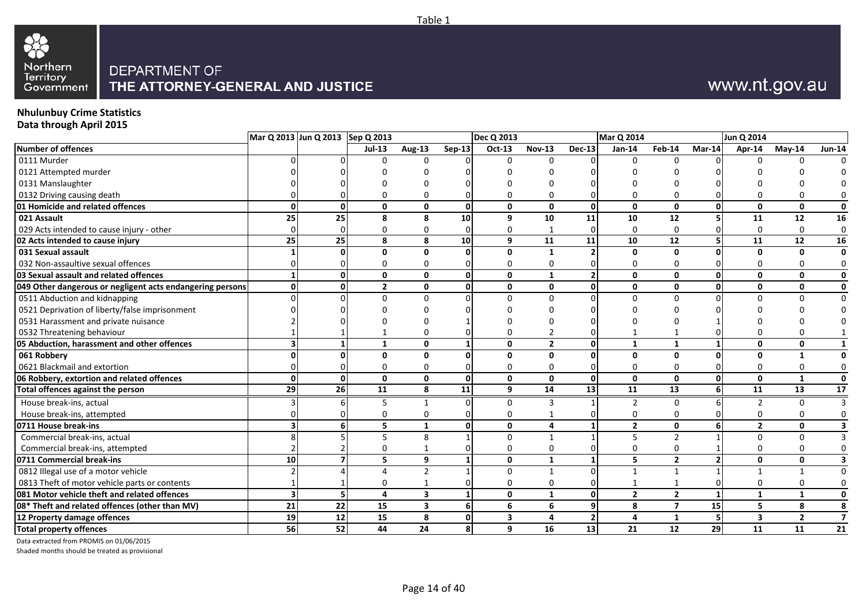

# www.nt.gov.au

#### **Nhulunbuy Crime Statistics Data through April 2015**

|                                                           |    | Mar Q 2013 Jun Q 2013 Sep Q 2013 |                |                         |              | Dec Q 2013              |               |               | <b>Mar Q 2014</b> |                          |          | Jun Q 2014              |                |                         |
|-----------------------------------------------------------|----|----------------------------------|----------------|-------------------------|--------------|-------------------------|---------------|---------------|-------------------|--------------------------|----------|-------------------------|----------------|-------------------------|
| <b>Number of offences</b>                                 |    |                                  | <b>Jul-13</b>  | <b>Aug-13</b>           | $Sep-13$     | Oct-13                  | <b>Nov-13</b> | <b>Dec-13</b> | $Jan-14$          | Feb-14                   | Mar-14   | Apr-14                  | $Mav-14$       | <b>Jun-14</b>           |
| 0111 Murder                                               |    |                                  | <sup>0</sup>   | $\Omega$                |              | $\Omega$                | U             |               | $\Omega$          | $\Omega$                 |          | $\Omega$                | $\Omega$       |                         |
| 0121 Attempted murder                                     |    |                                  |                |                         |              |                         |               |               |                   |                          |          |                         |                |                         |
| 0131 Manslaughter                                         |    |                                  |                |                         |              |                         |               |               |                   |                          |          |                         |                |                         |
| 0132 Driving causing death                                |    |                                  |                |                         |              |                         |               |               |                   |                          |          |                         |                |                         |
| 01 Homicide and related offences                          | n  | ŋ                                | 0              | 0                       | $\Omega$     | $\mathbf{0}$            | $\mathbf{0}$  |               | $\mathbf{0}$      | 0                        |          | $\mathbf{0}$            | $\mathbf{0}$   |                         |
| 021 Assault                                               | 25 | 25                               |                | 8                       | 10           | 9                       | 10            | 11            | 10                | 12                       |          | 11                      | 12             | 16                      |
| 029 Acts intended to cause injury - other                 |    |                                  |                | 0                       |              | $\Omega$                |               |               | $\Omega$          | $\Omega$                 |          | $\Omega$                | $\mathbf 0$    | $\mathbf 0$             |
| 02 Acts intended to cause injury                          | 25 | 25                               | 8              | 8                       | 10           | 9                       | 11            | 11            | 10                | 12                       |          | 11                      | 12             | 16                      |
| 031 Sexual assault                                        |    |                                  | U              | 0                       | $\Omega$     | $\mathbf{0}$            | 1             |               | $\mathbf{0}$      | $\mathbf{0}$             |          | $\mathbf{0}$            | $\mathbf{0}$   | $\mathbf 0$             |
| 032 Non-assaultive sexual offences                        |    |                                  |                | 0                       |              | 0                       | 0             |               | 0                 | $\Omega$                 |          | $\Omega$                | $\Omega$       | $\mathbf 0$             |
| 03 Sexual assault and related offences                    |    |                                  | O.             | $\mathbf{0}$            | $\mathbf{0}$ | $\mathbf 0$             | $\mathbf{1}$  |               | 0                 | 0                        |          | $\mathbf{0}$            | $\Omega$       | $\mathbf 0$             |
| 049 Other dangerous or negligent acts endangering persons |    |                                  | $\overline{2}$ | 0                       | $\mathbf{0}$ | $\mathbf 0$             | 0             |               | 0                 | 0                        |          | 0                       | $\Omega$       | $\mathbf 0$             |
| 0511 Abduction and kidnapping                             |    |                                  |                |                         |              | $\Omega$                | U             |               | 0                 | U                        |          |                         |                |                         |
| 0521 Deprivation of liberty/false imprisonment            |    |                                  |                |                         |              |                         |               |               |                   |                          |          |                         |                |                         |
| 0531 Harassment and private nuisance                      |    |                                  |                |                         |              |                         |               |               |                   |                          |          |                         |                |                         |
| 0532 Threatening behaviour                                |    |                                  |                |                         |              |                         |               |               |                   |                          |          |                         |                |                         |
| 05 Abduction, harassment and other offences               |    |                                  |                | $\mathbf{0}$            |              | $\mathbf{0}$            | $\mathbf{2}$  | ŋ             | 1                 | 1                        |          | 0                       | $\Omega$       |                         |
| 061 Robbery                                               |    |                                  |                | ŋ                       |              | $\mathbf{0}$            | $\mathbf{0}$  |               | $\mathbf{0}$      | U                        |          |                         | 1              | 0                       |
| 0621 Blackmail and extortion                              |    |                                  |                |                         |              | 0                       | 0             |               |                   | U                        |          | n                       | $\Omega$       |                         |
| 06 Robbery, extortion and related offences                | n  | U                                | 0              | 0                       | $\mathbf{0}$ | $\mathbf 0$             | 0             | <sup>0</sup>  | 0                 | 0                        | $\Omega$ | 0                       | 1              | $\mathbf{0}$            |
| Total offences against the person                         | 29 | 26                               | 11             | 8                       | 11           | 9                       | 14            | 13            | 11                | 13                       |          | 11                      | 13             | 17                      |
| House break-ins, actual                                   |    |                                  | 5.             | -1                      |              | $\mathbf 0$             | 3             |               | 2                 | 0                        |          | 2                       | 0              | 3                       |
| House break-ins, attempted                                |    |                                  |                |                         |              | 0                       |               |               | 0                 | 0                        |          | $\Omega$                | $\Omega$       |                         |
| 0711 House break-ins                                      |    |                                  | 5              | $\mathbf{1}$            | $\Omega$     | $\mathbf 0$             | 4             |               | $\overline{2}$    | $\mathbf{0}$             |          | $\overline{2}$          | 0              |                         |
| Commercial break-ins, actual                              |    |                                  |                | 8                       |              | $\Omega$                | $\mathbf{1}$  |               | 5                 | $\mathcal{P}$            |          | $\Omega$                | $\Omega$       |                         |
| Commercial break-ins, attempted                           |    |                                  |                |                         |              | 0                       | 0             |               | 0                 | 0                        |          |                         |                |                         |
| 0711 Commercial break-ins                                 | 10 |                                  | 5              | 9                       |              | $\mathbf{0}$            | $\mathbf{1}$  |               | 5                 | $\overline{2}$           |          | $\mathbf{0}$            | $\Omega$       |                         |
| 0812 Illegal use of a motor vehicle                       |    |                                  |                |                         |              | 0                       |               |               |                   | 1                        |          |                         |                |                         |
| 0813 Theft of motor vehicle parts or contents             |    |                                  |                |                         |              | 0                       | 0             |               |                   |                          |          |                         | 0              |                         |
| 081 Motor vehicle theft and related offences              | 3  | 5                                | Δ              | 3                       |              | 0                       | $\mathbf{1}$  |               | $\overline{2}$    | $\overline{2}$           |          | 1                       | 1              | $\mathbf 0$             |
| 08* Theft and related offences (other than MV)            | 21 | 22                               | 15             | $\overline{\mathbf{3}}$ | $6 \mid$     | 6                       | 6             |               | 8                 | $\overline{\phantom{a}}$ | 15       | 5.                      | 8              | 8                       |
| 12 Property damage offences                               | 19 | 12                               | 15             | 8                       | $\mathbf{0}$ | $\overline{\mathbf{3}}$ | 4             |               | 4                 | $\mathbf{1}$             |          | $\overline{\mathbf{3}}$ | $\overline{2}$ | $\overline{\mathbf{z}}$ |
| <b>Total property offences</b>                            | 56 | 52                               | 44             | 24                      | 8            | 9                       | 16            | 13            | 21                | 12                       | 29       | 11                      | 11             | 21                      |

Data extracted from PROMIS on 01/06/2015

Shaded months should be treated as provisional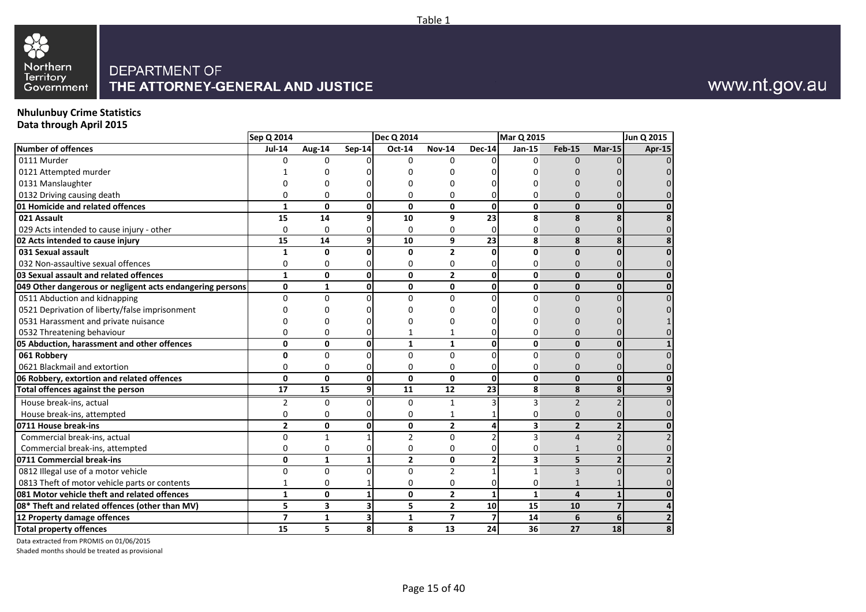

#### **Nhulunbuy Crime Statistics Data through April 2015**

|                                                           | Sep Q 2014     |                 |                         | Dec Q 2014     |                |                         | <b>Mar Q 2015</b> |                |          | Jun Q 2015     |
|-----------------------------------------------------------|----------------|-----------------|-------------------------|----------------|----------------|-------------------------|-------------------|----------------|----------|----------------|
| <b>Number of offences</b>                                 | <b>Jul-14</b>  | Aug-14          | Sep-14                  | Oct-14         | <b>Nov-14</b>  | <b>Dec-14</b>           | <b>Jan-15</b>     | <b>Feb-15</b>  | $Mar-15$ | Apr-15         |
| 0111 Murder                                               | $\Omega$       | $\Omega$        | $\Omega$                | $\Omega$       | $\Omega$       |                         | $\Omega$          | $\Omega$       |          |                |
| 0121 Attempted murder                                     |                | ი               |                         | 0              | ŋ              |                         | U                 |                |          |                |
| 0131 Manslaughter                                         |                | ი               |                         | ი              | ŋ              |                         |                   |                |          |                |
| 0132 Driving causing death                                | 0              | 0               | $\Omega$                | 0              | 0              | ი                       | 0                 | $\Omega$       |          |                |
| 01 Homicide and related offences                          | $\mathbf{1}$   | 0               | $\mathbf{0}$            | 0              | $\mathbf 0$    | $\mathbf{0}$            | 0                 | $\mathbf{0}$   | n        | 0              |
| 021 Assault                                               | 15             | 14              | 9                       | 10             | 9              | 23                      | 8                 | 8              |          | 8              |
| 029 Acts intended to cause injury - other                 | $\mathbf{0}$   | $\mathbf 0$     | $\Omega$                | 0              | $\Omega$       | 0                       | 0                 | $\Omega$       |          | $\Omega$       |
| 02 Acts intended to cause injury                          | 15             | 14              | 9                       | 10             | 9              | 23                      | 8                 | 8              |          | 8              |
| 031 Sexual assault                                        | 1              | $\mathbf{0}$    | 0                       | 0              | $\overline{2}$ | 0                       | 0                 | $\mathbf{0}$   |          | 0              |
| 032 Non-assaultive sexual offences                        | $\Omega$       | $\Omega$        | $\Omega$                | 0              | 0              | 0                       | 0                 | $\Omega$       |          |                |
| 03 Sexual assault and related offences                    | $\mathbf{1}$   | $\mathbf{0}$    | οl                      | $\mathbf{0}$   | $\overline{2}$ | $\mathbf{0}$            | $\mathbf{0}$      | $\mathbf{0}$   | ŋ        | $\bf{0}$       |
| 049 Other dangerous or negligent acts endangering persons | 0              | $\mathbf{1}$    | 0                       | 0              | 0              | 0                       | $\mathbf 0$       | 0              |          | 0              |
| 0511 Abduction and kidnapping                             | $\Omega$       | $\mathbf 0$     | $\Omega$                | $\Omega$       | $\Omega$       | 0                       | $\Omega$          | $\mathbf{0}$   |          | 0              |
| 0521 Deprivation of liberty/false imprisonment            | n              | O               | <sup>0</sup>            | 0              | U              |                         | n                 | O              |          |                |
| 0531 Harassment and private nuisance                      |                | 0               | $\Omega$                | 0              | 0              | N                       | n                 | $\Omega$       |          |                |
| 0532 Threatening behaviour                                | $\Omega$       | 0               | $\Omega$                |                | 1              | 0                       | 0                 | $\Omega$       |          |                |
| 05 Abduction, harassment and other offences               | 0              | $\mathbf{0}$    | $\mathbf{0}$            | $\mathbf{1}$   | $\mathbf{1}$   | 0                       | 0                 | $\mathbf{0}$   | $\Omega$ | 1              |
| 061 Robbery                                               | $\mathbf{0}$   | $\Omega$        | $\Omega$                | 0              | $\Omega$       | $\overline{0}$          | $\Omega$          | $\Omega$       |          | 0              |
| 0621 Blackmail and extortion                              | $\mathbf 0$    | 0               | $\Omega$                | 0              | $\Omega$       | 0                       | 0                 | $\mathbf{0}$   |          |                |
| 06 Robbery, extortion and related offences                | $\mathbf{0}$   | $\mathbf{0}$    | 0                       | $\mathbf{0}$   | $\Omega$       | 0                       | $\mathbf{0}$      | $\mathbf{0}$   |          | $\bf{0}$       |
| Total offences against the person                         | 17             | $\overline{15}$ | $\boldsymbol{9}$        | 11             | 12             | $\overline{23}$         | 8                 | 8              | 8        | 9              |
| House break-ins, actual                                   | 2              | 0               | $\Omega$                | $\mathbf 0$    | $\mathbf{1}$   | 3                       | 3                 | $\overline{2}$ |          | $\mathbf 0$    |
| House break-ins, attempted                                | $\mathbf 0$    | 0               | $\overline{0}$          | 0              | 1              |                         | 0                 | $\mathbf{0}$   |          | ი              |
| 0711 House break-ins                                      | $\overline{2}$ | 0               | $\mathbf{0}$            | 0              | $\overline{2}$ | 4                       | 3                 | $\overline{2}$ |          | 0              |
| Commercial break-ins, actual                              | $\mathbf 0$    | $\mathbf{1}$    |                         | $\overline{2}$ | $\Omega$       | $\overline{2}$          | 3                 | $\overline{4}$ |          | $\overline{2}$ |
| Commercial break-ins, attempted                           | $\mathbf{0}$   | $\mathbf 0$     | $\Omega$                | 0              | 0              | 0                       | 0                 | $\mathbf{1}$   |          |                |
| 0711 Commercial break-ins                                 | 0              | $\mathbf{1}$    | $\mathbf{1}$            | $\overline{2}$ | 0              | 2                       | 3                 | 5              |          | $\overline{2}$ |
| 0812 Illegal use of a motor vehicle                       | $\mathbf 0$    | $\mathbf 0$     | $\Omega$                | $\Omega$       | $\overline{2}$ | $\mathbf{1}$            | $\mathbf{1}$      | 3              |          | 0              |
| 0813 Theft of motor vehicle parts or contents             | 1              | 0               |                         | 0              | 0              | 0                       | 0                 | 1              |          |                |
| 081 Motor vehicle theft and related offences              | $\mathbf{1}$   | $\mathbf 0$     | $\mathbf{1}$            | 0              | $\mathbf{2}$   | $\mathbf{1}$            | $\mathbf{1}$      | 4              |          | $\bf{0}$       |
| 08* Theft and related offences (other than MV)            | 5              | 3               | 3                       | 5              | $\mathbf{2}$   | 10                      | 15                | 10             |          | 4              |
| 12 Property damage offences                               | $\overline{7}$ | $\mathbf{1}$    | $\overline{\mathbf{3}}$ | $\mathbf{1}$   | $\overline{7}$ | $\overline{\mathbf{z}}$ | 14                | 6              | 6        | $\overline{2}$ |
| <b>Total property offences</b>                            | 15             | 5               | 8 <sup>1</sup>          | 8              | 13             | 24                      | 36                | 27             | 18       | 8              |
|                                                           |                |                 |                         |                |                |                         |                   |                |          |                |

Data extracted from PROMIS on 01/06/2015

Shaded months should be treated as provisional

# www.nt.gov.au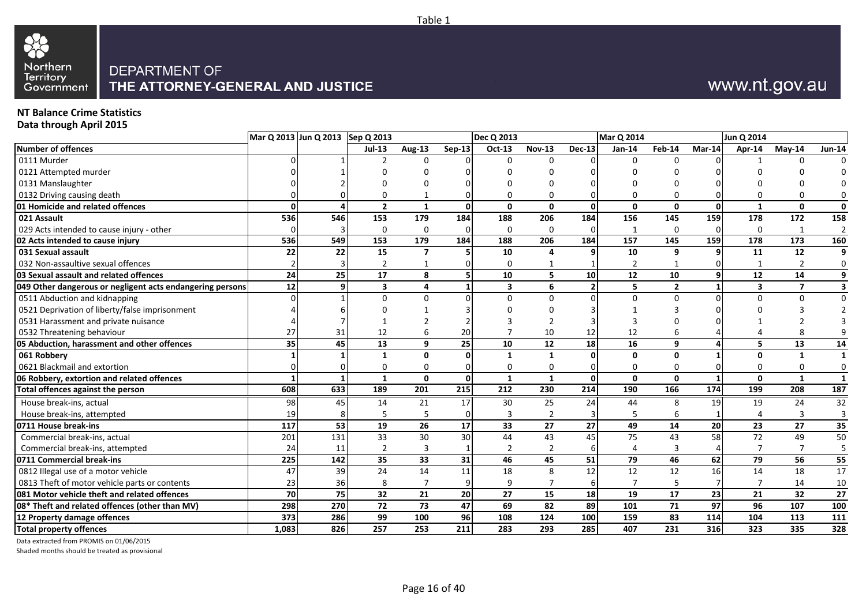

# www.nt.gov.au

#### **NT Balance Crime Statistics**

**Data through April 2015**

|                                                           |                 | Mar Q 2013 Jun Q 2013 Sep Q 2013 |                         |               |               | <b>Dec Q 2013</b>       |                |                 | Mar Q 2014      |                 |          | Jun Q 2014              |                 |                         |
|-----------------------------------------------------------|-----------------|----------------------------------|-------------------------|---------------|---------------|-------------------------|----------------|-----------------|-----------------|-----------------|----------|-------------------------|-----------------|-------------------------|
| Number of offences                                        |                 |                                  | $Jul-13$                | <b>Aug-13</b> | <b>Sep-13</b> | <b>Oct-13</b>           | <b>Nov-13</b>  | $Dec-13$        | $Jan-14$        | Feb-14          | Mar-14   | Apr-14                  | $M$ ay-14       | <b>Jun-14</b>           |
| 0111 Murder                                               |                 |                                  |                         | <sup>0</sup>  |               | $\Omega$                | $\Omega$       |                 | $\Omega$        | U               |          |                         | $\Omega$        |                         |
| 0121 Attempted murder                                     |                 |                                  |                         |               |               |                         |                |                 |                 |                 |          |                         |                 |                         |
| 0131 Manslaughter                                         |                 |                                  |                         |               |               |                         |                |                 |                 |                 |          |                         |                 |                         |
| 0132 Driving causing death                                |                 |                                  |                         |               |               | ŋ                       | 0              |                 |                 |                 |          |                         |                 | 0                       |
| 01 Homicide and related offences                          | 0               |                                  | $\overline{2}$          | $\mathbf{1}$  | $\Omega$      | $\mathbf{0}$            | $\mathbf{0}$   | <sup>0</sup>    | $\Omega$        | $\mathbf{0}$    | $\Omega$ |                         | $\mathbf 0$     | 0                       |
| 021 Assault                                               | 536             | 546                              | 153                     | 179           | 184           | 188                     | 206            | 184             | 156             | 145             | 159      | 178                     | 172             | 158                     |
| 029 Acts intended to cause injury - other                 |                 |                                  | $\mathbf 0$             | $\Omega$      |               | 0                       | 0              |                 | $\mathbf{1}$    | $\Omega$        |          | $\mathbf 0$             | $\mathbf{1}$    | $\overline{2}$          |
| 02 Acts intended to cause injury                          | 536             | 549                              | 153                     | 179           | 184           | 188                     | 206            | 184             | 157             | 145             | 159      | 178                     | 173             | 160                     |
| 031 Sexual assault                                        | 22              | 22                               | 15                      |               |               | 10                      | 4              |                 | 10              | 9               |          | 11                      | $\overline{12}$ | 9                       |
| 032 Non-assaultive sexual offences                        |                 |                                  |                         |               |               | 0                       | -1             |                 | 2               |                 |          |                         | 2               | 0                       |
| 03 Sexual assault and related offences                    | 24              | 25                               | 17                      | 8             | 5             | $\overline{10}$         | 5              | 10 <sup>1</sup> | $\overline{12}$ | 10              |          | $12$                    | 14              | 9                       |
| 049 Other dangerous or negligent acts endangering persons | 12              | 9                                | $\overline{\mathbf{3}}$ | 4             | -1            | $\overline{\mathbf{3}}$ | 6              | $\overline{2}$  | 5               | $\overline{2}$  |          | $\overline{\mathbf{3}}$ | $\overline{ }$  | $\overline{\mathbf{3}}$ |
| 0511 Abduction and kidnapping                             | U               |                                  | U                       | $\Omega$      |               | $\Omega$                | $\Omega$       |                 | $\Omega$        | $\Omega$        |          | 0                       | $\Omega$        | $\mathbf 0$             |
| 0521 Deprivation of liberty/false imprisonment            |                 |                                  |                         |               |               |                         |                |                 |                 |                 |          |                         |                 |                         |
| 0531 Harassment and private nuisance                      |                 |                                  |                         |               |               |                         |                |                 |                 |                 |          |                         |                 |                         |
| 0532 Threatening behaviour                                | 27              | 31                               | 12                      | 6             | 20            |                         | 10             | 12              | 12              |                 |          |                         |                 |                         |
| 05 Abduction, harassment and other offences               | 35 <sup>1</sup> | 45                               | 13                      | 9             | 25            | 10                      | 12             | 18              | 16              | 9               |          | 5                       | 13              | 14                      |
| 061 Robbery                                               |                 |                                  | 1                       | $\mathbf{0}$  | - 0           | $\mathbf{1}$            | $\mathbf{1}$   |                 | $\Omega$        | $\mathbf{0}$    |          | U                       | -1              | $\mathbf{1}$            |
| 0621 Blackmail and extortion                              | 0               |                                  | 0                       | 0             |               | 0                       | 0              |                 | 0               |                 |          | U                       | 0               | 0                       |
| 06 Robbery, extortion and related offences                |                 |                                  | $\mathbf{1}$            | $\mathbf{0}$  | $\Omega$      | $\mathbf{1}$            | $\mathbf{1}$   | 0               | $\mathbf{0}$    | $\mathbf{0}$    |          | $\Omega$                | $\mathbf{1}$    | $\mathbf{1}$            |
| Total offences against the person                         | 608             | 633                              | 189                     | 201           | 215           | 212                     | 230            | 214             | 190             | 166             | 174      | 199                     | 208             | 187                     |
| House break-ins, actual                                   | 98              | 45                               | 14                      | 21            | 17            | 30                      | 25             | 24              | 44              | 8               | 19       | 19                      | 24              | 32                      |
| House break-ins, attempted                                | 19              |                                  | 5                       | 5             |               | 3                       | $\overline{2}$ |                 | 5               | 6               |          |                         | 3               | 3                       |
| 0711 House break-ins                                      | 117             | 53                               | 19                      | 26            | 17            | 33                      | 27             | 27 <sup>1</sup> | 49              | 14              | 20       | 23                      | 27              | 35                      |
| Commercial break-ins, actual                              | 201             | 131                              | 33                      | 30            | 30            | 44                      | 43             | 45              | 75              | 43              | 58       | 72                      | 49              | $\overline{50}$         |
| Commercial break-ins, attempted                           | 24              | 11                               | $\overline{2}$          | 3             |               | $\overline{2}$          | $\overline{2}$ |                 | $\Delta$        | 3               |          | 7                       | 7               | 5                       |
| 0711 Commercial break-ins                                 | 225             | 142                              | 35                      | 33            | 31            | 46                      | 45             | 51              | 79              | 46              | 62       | 79                      | 56              | 55                      |
| 0812 Illegal use of a motor vehicle                       | 47              | 39                               | 24                      | 14            | 11            | 18                      | 8              | 12              | 12              | 12              | 16       | 14                      | 18              | 17                      |
| 0813 Theft of motor vehicle parts or contents             | 23              | 36                               | 8                       | 7             |               | 9                       | $\overline{7}$ |                 |                 |                 |          |                         | 14              | 10                      |
| 081 Motor vehicle theft and related offences              | 70              | $\overline{75}$                  | 32                      | 21            | 20            | $\overline{27}$         | 15             | <b>18</b>       | 19              | $\overline{17}$ | 23       | 21                      | $\overline{32}$ | $\overline{27}$         |
| 08* Theft and related offences (other than MV)            | 298             | 270                              | 72                      | 73            | 47            | 69                      | 82             | 89              | 101             | 71              | 97       | 96                      | 107             | 100                     |
| 12 Property damage offences                               | 373             | 286                              | 99                      | 100           | 96            | 108                     | 124            | 100             | 159             | 83              | 114      | 104                     | 113             | 111                     |
| <b>Total property offences</b>                            | 1,083           | 826                              | 257                     | 253           | 211           | 283                     | 293            | 285             | 407             | 231             | 316      | 323                     | 335             | 328                     |

Data extracted from PROMIS on 01/06/2015

Shaded months should be treated as provisional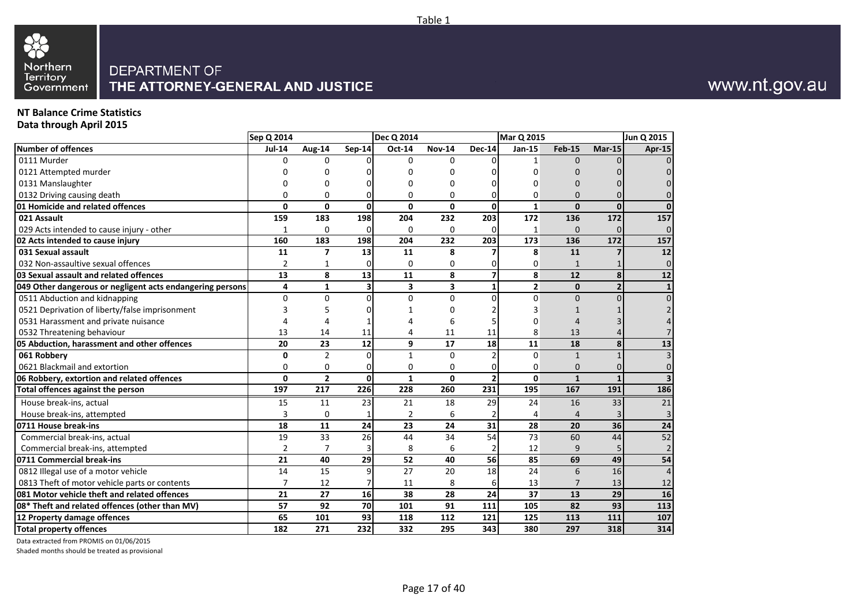# 88 Northern<br>Territory<br>Government

#### DEPARTMENT OF THE ATTORNEY-GENERAL AND JUSTICE

### **NT Balance Crime Statistics**

**Data through April 2015**

|                                                           | Sep Q 2014      |                          |               | <b>Dec Q 2014</b> |               |                         | <b>Mar Q 2015</b> |                |                         | Jun Q 2015               |
|-----------------------------------------------------------|-----------------|--------------------------|---------------|-------------------|---------------|-------------------------|-------------------|----------------|-------------------------|--------------------------|
| Number of offences                                        | <b>Jul-14</b>   | <b>Aug-14</b>            | <b>Sep-14</b> | Oct-14            | <b>Nov-14</b> | <b>Dec-14</b>           | Jan-15            | <b>Feb-15</b>  | $Mar-15$                | Apr-15                   |
| 0111 Murder                                               | <sup>n</sup>    | $\Omega$                 |               | 0                 | $\Omega$      | $\Omega$                | $\mathbf{1}$      | $\Omega$       |                         | $\Omega$                 |
| 0121 Attempted murder                                     |                 | ŋ                        |               | U                 | 0             | U                       | U                 |                |                         | $\Omega$                 |
| 0131 Manslaughter                                         |                 | ŋ                        |               | 0                 | $\Omega$      | U                       | $\Omega$          | $\Omega$       |                         | $\Omega$                 |
| 0132 Driving causing death                                | U               | $\Omega$                 |               | 0                 | $\Omega$      | $\Omega$                | $\Omega$          | $\Omega$       | $\Omega$                | $\overline{0}$           |
| 01 Homicide and related offences                          | $\mathbf{0}$    | $\mathbf{0}$             | $\mathbf{0}$  | $\Omega$          | $\mathbf{0}$  | $\mathbf 0$             | $\mathbf{1}$      | $\mathbf{0}$   | $\mathbf 0$             | $\mathbf{0}$             |
| 021 Assault                                               | 159             | 183                      | 198           | 204               | 232           | 203                     | 172               | 136            | 172                     | 157                      |
| 029 Acts intended to cause injury - other                 | 1               | $\mathbf 0$              | 0             | 0                 | $\Omega$      | 0                       | 1                 | $\Omega$       | $\Omega$                | $\overline{0}$           |
| 02 Acts intended to cause injury                          | 160             | 183                      | 198           | 204               | 232           | 203                     | 173               | 136            | 172                     | 157                      |
| 031 Sexual assault                                        | 11              | $\overline{\phantom{a}}$ | 13            | 11                | 8             | 7                       | 8                 | 11             | 7                       | $\overline{12}$          |
| 032 Non-assaultive sexual offences                        | 2               | 1                        | 0             | 0                 | 0             | 0                       | 0                 | $\mathbf{1}$   |                         | $\overline{0}$           |
| 03 Sexual assault and related offences                    | 13              | 8                        | 13            | 11                | 8             | $\overline{\mathbf{z}}$ | 8                 | 12             | $\overline{\mathbf{8}}$ | $\overline{\mathbf{12}}$ |
| 049 Other dangerous or negligent acts endangering persons | 4               | $\mathbf{1}$             | 3             | 3                 | 3             | $\mathbf{1}$            | $\overline{2}$    | $\mathbf{0}$   | $\overline{2}$          | $1\overline{ }$          |
| 0511 Abduction and kidnapping                             | $\Omega$        | $\Omega$                 | $\Omega$      | 0                 | $\Omega$      | $\Omega$                | $\Omega$          | $\Omega$       | $\Omega$                | $\overline{0}$           |
| 0521 Deprivation of liberty/false imprisonment            |                 | 5                        |               |                   | $\Omega$      |                         | 3                 |                |                         | 2 <sup>1</sup>           |
| 0531 Harassment and private nuisance                      |                 | 4                        |               |                   | 6             | 5                       | $\Omega$          |                |                         | 4                        |
| 0532 Threatening behaviour                                | 13              | 14                       | 11            | 4                 | 11            | 11                      | 8                 | 13             |                         | $\overline{7}$           |
| 05 Abduction, harassment and other offences               | 20              | 23                       | 12            | 9                 | 17            | 18                      | 11                | 18             | 8                       | 13                       |
| 061 Robbery                                               | $\mathbf{0}$    | $\overline{2}$           | $\Omega$      | $\mathbf{1}$      | $\Omega$      | $\overline{2}$          | $\Omega$          | $\mathbf{1}$   |                         | $\overline{3}$           |
| 0621 Blackmail and extortion                              | $\overline{0}$  | $\mathbf 0$              | 0             | 0                 | $\Omega$      | $\mathbf 0$             | $\mathbf 0$       | $\mathbf{0}$   | $\Omega$                | $\overline{0}$           |
| 06 Robbery, extortion and related offences                | 0               | $\overline{2}$           | $\mathbf{0}$  | $\mathbf{1}$      | $\mathbf{0}$  | $\overline{2}$          | $\mathbf{0}$      | $\mathbf{1}$   | $\mathbf{1}$            | $\overline{\mathbf{3}}$  |
| Total offences against the person                         | 197             | 217                      | 226           | 228               | 260           | 231                     | 195               | 167            | 191                     | 186                      |
| House break-ins, actual                                   | 15              | 11                       | 23            | 21                | 18            | 29                      | 24                | 16             | 33                      | 21                       |
| House break-ins, attempted                                | 3               | $\mathbf 0$              |               | $\overline{2}$    | 6             | $\overline{2}$          | 4                 | $\overline{4}$ | 3                       | 3 <sup>1</sup>           |
| 0711 House break-ins                                      | 18              | 11                       | 24            | 23                | 24            | 31                      | 28                | 20             | 36                      | ${\bf 24}$               |
| Commercial break-ins, actual                              | $\overline{19}$ | 33                       | 26            | 44                | 34            | 54                      | $\overline{73}$   | 60             | 44                      | 52                       |
| Commercial break-ins, attempted                           | $\overline{2}$  | $\overline{7}$           |               | 8                 | 6             | $\overline{2}$          | 12                | 9              | 5 <sub>l</sub>          | 2 <sup>1</sup>           |
| 0711 Commercial break-ins                                 | 21              | 40                       | 29            | 52                | 40            | 56                      | 85                | 69             | 49                      | 54                       |
| 0812 Illegal use of a motor vehicle                       | 14              | 15                       | 9             | 27                | 20            | 18                      | 24                | 6              | 16                      | $\overline{4}$           |
| 0813 Theft of motor vehicle parts or contents             | 7               | 12                       |               | 11                | 8             | 6                       | 13                | 7              | 13                      | 12                       |
| 081 Motor vehicle theft and related offences              | 21              | 27                       | 16            | 38                | 28            | 24                      | 37                | 13             | 29                      | 16                       |
| 08* Theft and related offences (other than MV)            | 57              | 92                       | 70            | 101               | 91            | 111                     | 105               | 82             | 93                      | 113                      |
| 12 Property damage offences                               | 65              | 101                      | 93            | 118               | 112           | 121                     | 125               | 113            | 111                     | 107                      |
| <b>Total property offences</b>                            | 182             | 271                      | 232           | 332               | 295           | 343                     | 380               | 297            | 318                     | 314                      |

Data extracted from PROMIS on 01/06/2015

Shaded months should be treated as provisional

# www.nt.gov.au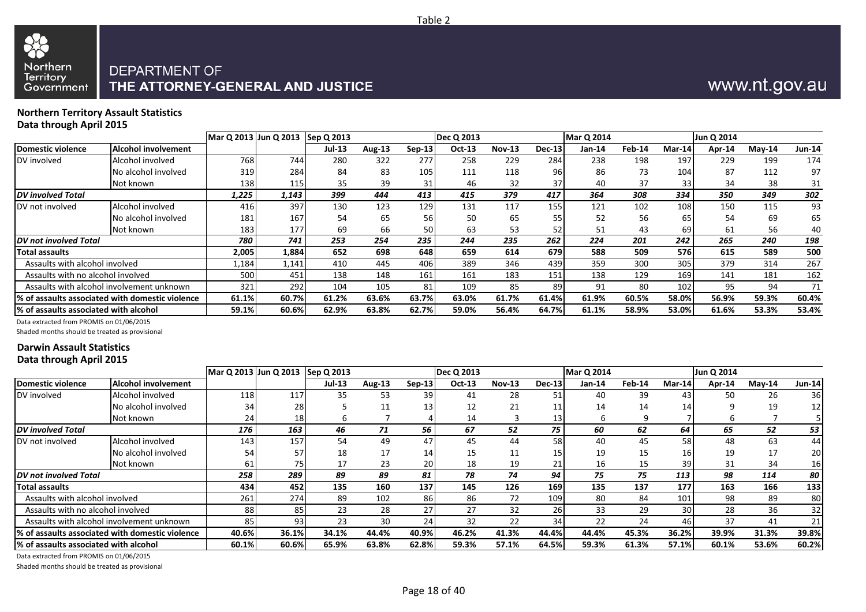

#### **Northern Territory Assault Statistics Data through April 2015**

|                                               |                                                  | Mar Q 2013 Jun Q 2013 Sep Q 2013 |       |        |               |          | Dec Q 2013 |               |               | <b>Mar Q 2014</b> |        |        | Jun Q 2014 |          |               |
|-----------------------------------------------|--------------------------------------------------|----------------------------------|-------|--------|---------------|----------|------------|---------------|---------------|-------------------|--------|--------|------------|----------|---------------|
| <b>Domestic violence</b>                      | <b>Alcohol involvement</b>                       |                                  |       | Jul-13 | <b>Aug-13</b> | $Sep-13$ | $Oct-13$   | <b>Nov-13</b> | <b>Dec-13</b> | $Jan-14$          | Feb-14 | Mar-14 | Apr-14     | $Mav-14$ | <b>Jun-14</b> |
| DV involved                                   | Alcohol involved                                 | 768                              | 744   | 280    | 322           | 277      | 258        | 229           | 284           | 238               | 198    | 197    | 229        | 199      | 174           |
|                                               | No alcohol involved                              | 319                              | 284   | 84     | 83            | 105      | 111        | 118           | 96            | 86                | 73     | 104    | 87         | 112      | 97            |
|                                               | Not known                                        | 138                              | 115   | 35     | 39            | 31       | 46         | 32            | 37            | 40                | 37     | 33     | 34         | 38       | 31            |
| <b>DV</b> involved Total                      |                                                  | 1,225                            | 1,143 | 399    | 444           | 413      | 415        | 379           | 417           | 364               | 308    | 334    | 350        | 349      | 302           |
| DV not involved                               | Alcohol involved                                 | 416                              | 397   | 130    | 123           | 129      | 131        | 117           | 155           | 121               | 102    | 108    | 150        | 115      | 93            |
|                                               | No alcohol involved                              | 181                              | 167   | 54     | 65            | 56       | 50         | 65            | 55            | 52                | 56     | 65     | 54         | 69       | 65            |
|                                               | Not known                                        | 183                              | 177   | 69     | 66            | 50       | 63         | 53            | 52            | 51                | 43     | 69     | 61         | 56       | 40            |
| DV not involved Total                         |                                                  | 780                              | 741   | 253    | 254           | 235      | 244        | 235           | 262           | 224               | 201    | 242    | 265        | 240      | 198           |
| Total assaults                                |                                                  | 2,005                            | 1,884 | 652    | 698           | 648      | 659        | 614           | 679           | 588               | 509    | 576    | 615        | 589      | 500           |
| Assaults with alcohol involved                |                                                  | 1,184                            | 1,141 | 410    | 445           | 406      | 389        | 346           | 439           | 359               | 300    | 305    | 379        | 314      | 267           |
| Assaults with no alcohol involved             |                                                  | 500                              | 451   | 138    | 148           | 161      | 161        | 183           | 151           | 138               | 129    | 169    | 141        | 181      | 162           |
|                                               | Assaults with alcohol involvement unknown        | 321                              | 292   | 104    | 105           | 81       | 109        | 85            | 89            | 91                | 80     | 102    | 95         | 94       | 71            |
|                                               | l% of assaults associated with domestic violence | 61.1%                            | 60.7% | 61.2%  | 63.6%         | 63.7%    | 63.0%      | 61.7%         | 61.4%         | 61.9%             | 60.5%  | 58.0%  | 56.9%      | 59.3%    | 60.4%         |
| <b>I% of assaults associated with alcohol</b> |                                                  | 59.1%                            | 60.6% | 62.9%  | 63.8%         | 62.7%    | 59.0%      | 56.4%         | 64.7%         | 61.1%             | 58.9%  | 53.0%  | 61.6%      | 53.3%    | 53.4%         |

Data extracted from PROMIS on 01/06/2015

Shaded months should be treated as provisional

#### **Darwin Assault Statistics Data through April 2015**

|                                        |                                                  |       | Mar Q 2013 Jun Q 2013 Sep Q 2013 |               |               |          | <b>Dec Q 2013</b> |               |               | <b>Mar Q 2014</b> |        |                 | Jun Q 2014 |           |                 |
|----------------------------------------|--------------------------------------------------|-------|----------------------------------|---------------|---------------|----------|-------------------|---------------|---------------|-------------------|--------|-----------------|------------|-----------|-----------------|
| Domestic violence                      | Alcohol involvement                              |       |                                  | <b>Jul-13</b> | <b>Aug-13</b> | $Sep-13$ | Oct-13            | <b>Nov-13</b> | <b>Dec-13</b> | Jan-14            | Feb-14 | Mar-14          | Apr-14     | $M$ ay-14 | Jun-14          |
| DV involved                            | Alcohol involved                                 | 118   | 117                              | 35            | 53            | 39       | 41                | 28            | 51            | 40                | 39     | 43              | 50         | 26        | 36              |
|                                        | No alcohol involved                              | 34    | 28                               |               | 11            | 13       | 12                | 21            | 11            | 14                | 14     | 14              |            | 19        | 12              |
|                                        | Not known                                        | 24    | 18                               | b             |               |          | 14                |               | 13            | b                 | q      |                 |            |           |                 |
| <b>DV</b> involved Total               |                                                  | 176   | 163                              | 46            | 71            | 56       | 67                | 52            | 75            | 60                | 62     | 64              | 65         | 52        | 53              |
| DV not involved                        | Alcohol involved                                 | 143   | 157                              | 54            | 49            | 47       | 45                | 44            | 58            | 40                | 45     | 58              | 48         | 63        | 44              |
|                                        | No alcohol involved                              | 54    | 57                               | 18            | 17            | 14       | 15                | 11            | 15            | 19                | 15     | 16              | 19         | 17        | 20              |
|                                        | Not known                                        | 61    | 75I                              | 17            | 23            | 20       | 18                | 19            | 21            | 16                | 15     | 39              | 31         | 34        | 16              |
| <b>IDV</b> not involved Total          |                                                  | 258   | 289                              | 89            | 89            | 81       | 78                | 74            | 94            | 75                | 75     | 113             | 98         | 114       | 80              |
| <b>Total assaults</b>                  |                                                  | 434   | 452                              | 135           | 160           | 137      | 145               | 126           | 169           | 135               | 137    | 177             | 163        | 166       | 133             |
| Assaults with alcohol involved         |                                                  | 261   | 274                              | 89            | 102           | 86       | 86                | 72            | 109           | 80                | 84     | 101             | 98         | 89        | 80              |
| Assaults with no alcohol involved      |                                                  | 88    | 85                               | 23            | 28            | 27       | 27                | 32            | 26            | 33                | 29     | 30 <sub>1</sub> | 28         | 36        | 32 <sub>1</sub> |
|                                        | Assaults with alcohol involvement unknown        | 85    | 93                               | 23            | 30            | 24       | 32                | 22            | 34            | 22                | 24     | 46              | 37         | 41        | 21              |
|                                        | l% of assaults associated with domestic violence | 40.6% | 36.1%                            | 34.1%         | 44.4%         | 40.9%    | 46.2%             | 41.3%         | 44.4%         | 44.4%             | 45.3%  | 36.2%           | 39.9%      | 31.3%     | 39.8%           |
| 1% of assaults associated with alcohol |                                                  | 60.1% | 60.6%                            | 65.9%         | 63.8%         | 62.8%    | 59.3%             | 57.1%         | 64.5%         | 59.3%             | 61.3%  | 57.1%           | 60.1%      | 53.6%     | 60.2%           |

Data extracted from PROMIS on 01/06/2015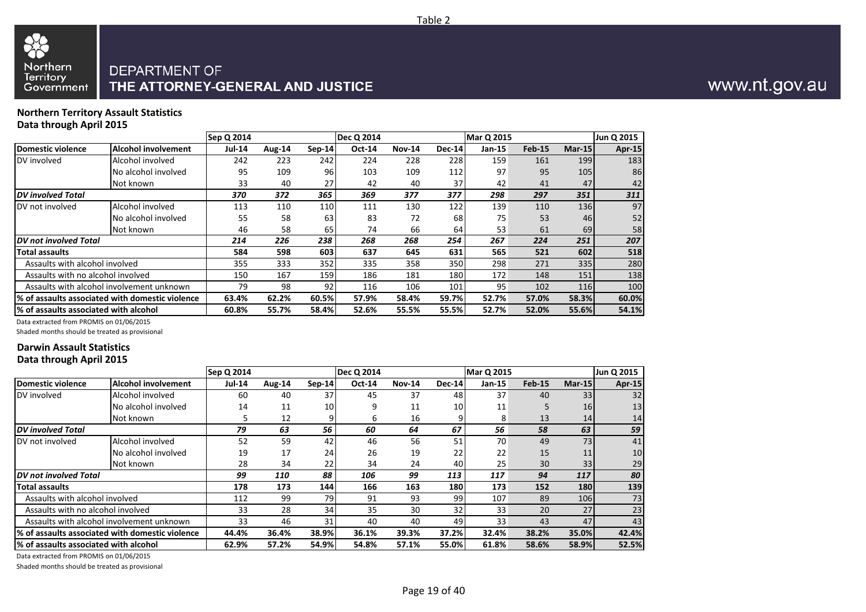

#### **Northern Territory Assault Statistics Data through April 2015**

|                                        |                                                  | <b>Sep Q 2014</b> |        |          | <b>Dec Q 2014</b> |               |        | <b>Mar Q 2015</b> |               |        | Jun Q 2015 |
|----------------------------------------|--------------------------------------------------|-------------------|--------|----------|-------------------|---------------|--------|-------------------|---------------|--------|------------|
| Domestic violence                      | <b>Alcohol involvement</b>                       | <b>Jul-14</b>     | Aug-14 | $Sep-14$ | <b>Oct-14</b>     | <b>Nov-14</b> | Dec-14 | Jan-15            | <b>Feb-15</b> | Mar-15 | Apr-15     |
| DV involved                            | Alcohol involved                                 | 242               | 223    | 242      | 224               | 228           | 228    | 159               | 161           | 199    | 183        |
|                                        | No alcohol involved                              | 95                | 109    | 96       | 103               | 109           | 112    | 97                | 95            | 105    | 86         |
|                                        | Not known                                        | 33                | 40     | 27       | 42                | 40            | 37     | 42                | 41            | 47     | 42         |
| DV involved Total                      |                                                  | 370               | 372    | 365      | 369               | 377           | 377    | 298               | 297           | 351    | 311        |
| DV not involved                        | Alcohol involved                                 | 113               | 110    | 110      | 111               | 130           | 122    | 139               | 110           | 136    | 97         |
|                                        | No alcohol involved                              | 55                | 58     | 63       | 83                | 72            | 68     | 75                | 53            | 46     | 52         |
|                                        | Not known                                        | 46                | 58     | 65       | 74                | 66            | 64     | 53                | 61            | 69     | 58         |
| <b>IDV</b> not involved Total          |                                                  | 214               | 226    | 238      | 268               | 268           | 254    | 267               | 224           | 251    | 207        |
| Total assaults                         |                                                  | 584               | 598    | 603      | 637               | 645           | 631    | 565               | 521           | 602    | 518        |
| Assaults with alcohol involved         |                                                  | 355               | 333    | 352      | 335               | 358           | 350    | 298               | 271           | 335    | 280        |
| Assaults with no alcohol involved      |                                                  | 150               | 167    | 159      | 186               | 181           | 180    | 172               | 148           | 151    | 138        |
|                                        | Assaults with alcohol involvement unknown        | 79                | 98     | 92       | 116               | 106           | 101    | 95                | 102           | 116    | 100        |
|                                        | 1% of assaults associated with domestic violence | 63.4%             | 62.2%  | 60.5%    | 57.9%             | 58.4%         | 59.7%  | 52.7%             | 57.0%         | 58.3%  | 60.0%      |
| 1% of assaults associated with alcohol |                                                  | 60.8%             | 55.7%  | 58.4%    | 52.6%             | 55.5%         | 55.5%  | 52.7%             | 52.0%         | 55.6%  | 54.1%      |

Data extracted from PROMIS on 01/06/2015

Shaded months should be treated as provisional

#### **Darwin Assault Statistics Data through April 2015**

|                                       |                                                  | Sep Q 2014    |        |        | <b>Dec Q 2014</b> |               |        | <b>Mar Q 2015</b> |               |           | Jun Q 2015 |
|---------------------------------------|--------------------------------------------------|---------------|--------|--------|-------------------|---------------|--------|-------------------|---------------|-----------|------------|
| Domestic violence                     | Alcohol involvement                              | <b>Jul-14</b> | Aug-14 | Sep-14 | <b>Oct-14</b>     | <b>Nov-14</b> | Dec-14 | Jan-15            | <b>Feb-15</b> | Mar-15    | Apr-15     |
| DV involved                           | Alcohol involved                                 | 60            | 40     | 37     | 45                | 37            | 48     | 37                | 40            | 33        | 32         |
|                                       | No alcohol involved                              | 14            | 11     | 10     | 9                 | 11            | 10     | 11                |               | <b>16</b> | 13         |
|                                       | Not known                                        | 5             | 12     |        | 6                 | 16            |        | 8                 | 13            | 14        | 14         |
| DV involved Total                     |                                                  | 79            | 63     | 56     | 60                | 64            | 67     | 56                | 58            | 63        | 59         |
| DV not involved                       | Alcohol involved                                 | 52            | 59     | 42     | 46                | 56            | 51     | 70                | 49            | 73        | 41         |
|                                       | No alcohol involved                              | 19            | 17     | 24     | 26                | 19            | 22     | 22                | 15            | 11        | 10         |
|                                       | Not known                                        | 28            | 34     | 22     | 34                | 24            | 40     | 25 <sub>1</sub>   | 30            | 33        | 29         |
| DV not involved Total                 |                                                  | 99            | 110    | 88     | 106               | 99            | 113    | 117               | 94            | 117       | 80         |
| Total assaults                        |                                                  | 178           | 173    | 144    | 166               | 163           | 180    | 173               | 152           | 180       | 139        |
| Assaults with alcohol involved        |                                                  | 112           | 99     | 79     | 91                | 93            | 99     | 107               | 89            | 106       | 73         |
| Assaults with no alcohol involved     |                                                  | 33            | 28     | 34     | 35                | 30            | 32     | 33 <sub>1</sub>   | 20            | 27        | 23         |
|                                       | Assaults with alcohol involvement unknown        | 33            | 46     | 31     | 40                | 40            | 49     | 33                | 43            | 47        | 43         |
|                                       | 1% of assaults associated with domestic violence | 44.4%         | 36.4%  | 38.9%  | 36.1%             | 39.3%         | 37.2%  | 32.4%             | 38.2%         | 35.0%     | 42.4%      |
| % of assaults associated with alcohol |                                                  | 62.9%         | 57.2%  | 54.9%  | 54.8%             | 57.1%         | 55.0%  | 61.8%             | 58.6%         | 58.9%     | 52.5%      |

Data extracted from PROMIS on 01/06/2015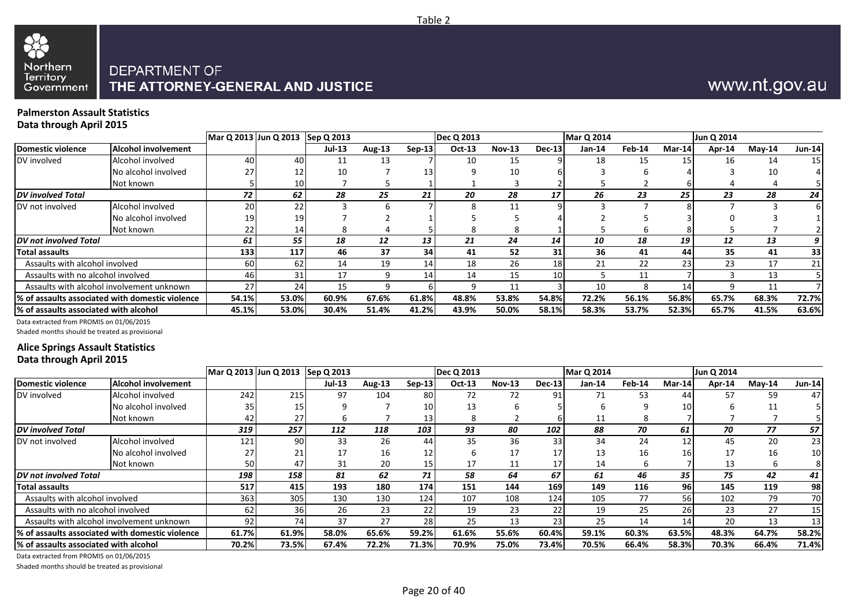

# www.nt.gov.au

#### **Palmerston Assault Statistics Data through April 2015**

|                                       |                                                 | Mar Q 2013 Jun Q 2013 Sep Q 2013 |       |        |        |          | <b>Dec Q 2013</b> |          |                 | <b>Mar Q 2014</b> |        |                 | Jun Q 2014 |          |               |
|---------------------------------------|-------------------------------------------------|----------------------------------|-------|--------|--------|----------|-------------------|----------|-----------------|-------------------|--------|-----------------|------------|----------|---------------|
| Domestic violence                     | <b>Alcohol involvement</b>                      |                                  |       | Jul-13 | Aug-13 | $Sep-13$ | Oct-13            | $Nov-13$ | <b>Dec-13</b>   | $Jan-14$          | Feb-14 | Mar-14          | Apr-14     | $Mav-14$ | <b>Jun-14</b> |
| DV involved                           | Alcohol involved                                | 40                               | 40    | 11     | 13     |          | 10                | 15       |                 | 18                | 15     | 15 <sub>l</sub> | 16         | 14       | 15            |
|                                       | No alcohol involved                             |                                  |       | 10     |        | 13       |                   | 10       |                 |                   |        |                 |            |          |               |
|                                       | Not known                                       |                                  | 10    |        |        |          |                   |          |                 |                   |        |                 |            |          |               |
| <b>DV</b> involved Total              |                                                 | 72                               | 62    | 28     | 25     | 21       | 20                | 28       | 17              | 26                | 23     | 25              | 23         | 28       | 24            |
| DV not involved                       | Alcohol involved                                | 20                               | 22    |        | h      |          |                   | 11       |                 |                   |        |                 |            |          |               |
|                                       | No alcohol involved                             | 19                               | 19.   |        |        |          |                   |          |                 |                   |        |                 |            |          |               |
|                                       | Not known                                       |                                  | 14    |        |        |          |                   |          |                 |                   |        |                 |            |          |               |
| <b>DV</b> not involved Total          |                                                 | 61                               | 55    | 18     | 12     | 13       | 21                | 24       | 14              | 10                | 18     | 19              | 12         | 13       |               |
| <b>Total assaults</b>                 |                                                 | 133                              | 117   | 46     | 37     | 34       | 41                | 52       | 31              | 36                | 41     | 44              | 35         | 41       | 33            |
| Assaults with alcohol involved        |                                                 | 60                               | 62    | 14     | 19     | 14       | 18                | 26       | 18              | 21                | 22     | 23              | 23         | 17       | 21            |
| Assaults with no alcohol involved     |                                                 | 46                               | 31    | 17     | 9      | 14       | 14                | 15       | 10 <sup>1</sup> |                   | 11     |                 |            | 13       |               |
|                                       | Assaults with alcohol involvement unknown       | 27                               | 24    | 15     | q      |          | q                 | 11       |                 | 10                | 8      | 14              | 9          | 11       |               |
|                                       | % of assaults associated with domestic violence | 54.1%                            | 53.0% | 60.9%  | 67.6%  | 61.8%    | 48.8%             | 53.8%    | 54.8%           | 72.2%             | 56.1%  | 56.8%           | 65.7%      | 68.3%    | 72.7%         |
| % of assaults associated with alcohol |                                                 | 45.1%                            | 53.0% | 30.4%  | 51.4%  | 41.2%    | 43.9%             | 50.0%    | 58.1%           | 58.3%             | 53.7%  | 52.3%           | 65.7%      | 41.5%    | 63.6%         |

Data extracted from PROMIS on 01/06/2015

Shaded months should be treated as provisional

### **Alice Springs Assault Statistics**

| Data through April 2015 |  |
|-------------------------|--|
|-------------------------|--|

|                                       |                                                  |       | Mar Q 2013 Jun Q 2013 Sep Q 2013 |               |        |                 | Dec Q 2013 |               |                 | <b>Mar Q 2014</b> |        |                 | Jun Q 2014 |           |                 |
|---------------------------------------|--------------------------------------------------|-------|----------------------------------|---------------|--------|-----------------|------------|---------------|-----------------|-------------------|--------|-----------------|------------|-----------|-----------------|
| Domestic violence                     | <b>Alcohol involvement</b>                       |       |                                  | <b>Jul-13</b> | Aug-13 | $Sep-13$        | Oct-13     | <b>Nov-13</b> | Dec-13          | Jan-14            | Feb-14 | Mar-14          | Apr-14     | $M$ ay-14 | <b>Jun-14</b>   |
| DV involved                           | Alcohol involved                                 | 242   | 215                              | 97            | 104    | 80 l            | 72         | 72            | 91              | 71                | 53     | 44              | 57         | 59        | 47              |
|                                       | No alcohol involved                              | 35.   |                                  | q             |        | 10 <sup>1</sup> | 13         |               |                 | h                 |        | 10              |            | 11        |                 |
|                                       | Not known                                        |       | 27                               |               |        | 13 <sup>1</sup> | 8          |               |                 | 11                | 8      |                 |            |           |                 |
| <b>IDV</b> involved Total             |                                                  | 319   | 257                              | 112           | 118    | 103             | 93         | 80            | 102             | 88                | 70     | 61              | 70         | 77        | 57              |
| DV not involved                       | Alcohol involved                                 | 121   | 90                               | 33            | 26     | 44              | 35         | 36            | 33 <sup>1</sup> | 34                | 24     | 12              | 45         | 20        | 23              |
|                                       | No alcohol involved                              |       | 21                               | 17            | 16     | 12 <sub>1</sub> |            | 17            | 17              | 13                | 16     | 16 <sub>1</sub> | 17         | 16        | 10 <sup>1</sup> |
|                                       | Not known                                        | 50    | 47                               | 31            | 20     | 15              | 17         | 11            | $17 \,$         | 14                | h      |                 | 13         |           |                 |
| <b>IDV</b> not involved Total         |                                                  | 198   | 158                              | 81            | 62     | 71              | 58         | 64            | 67              | 61                | 46     | 35              | 75         | 42        | 41              |
| <b>Total assaults</b>                 |                                                  | 517   | 415                              | 193           | 180    | 174 l           | 151        | 144           | <b>169</b>      | 149               | 116    | <b>961</b>      | 145        | 119       | 98              |
| Assaults with alcohol involved        |                                                  | 363   | 305                              | 130           | 130    | 124             | 107        | 108           | 124             | 105               | 77     | 56              | 102        | 79        | 70              |
| Assaults with no alcohol involved     |                                                  | 62    | 36                               | 26            | 23     | 22              | 19         | 23            | 22              | 19                | 25     | 26              | 23         | 27        | 15 <sub>1</sub> |
|                                       | Assaults with alcohol involvement unknown        | 92    | 74                               | 37            | 27     | 28              | 25         | 13            | 23 I            | 25                | 14     | 14              | 20         | 13        | 13              |
|                                       | 1% of assaults associated with domestic violence | 61.7% | 61.9%                            | 58.0%         | 65.6%  | 59.2%           | 61.6%      | 55.6%         | 60.4%           | 59.1%             | 60.3%  | 63.5%           | 48.3%      | 64.7%     | 58.2%           |
| % of assaults associated with alcohol |                                                  | 70.2% | 73.5%                            | 67.4%         | 72.2%  | 71.3%           | 70.9%      | 75.0%         | <b>73.4%</b>    | 70.5%             | 66.4%  | 58.3%           | 70.3%      | 66.4%     | 71.4%           |

Data extracted from PROMIS on 01/06/2015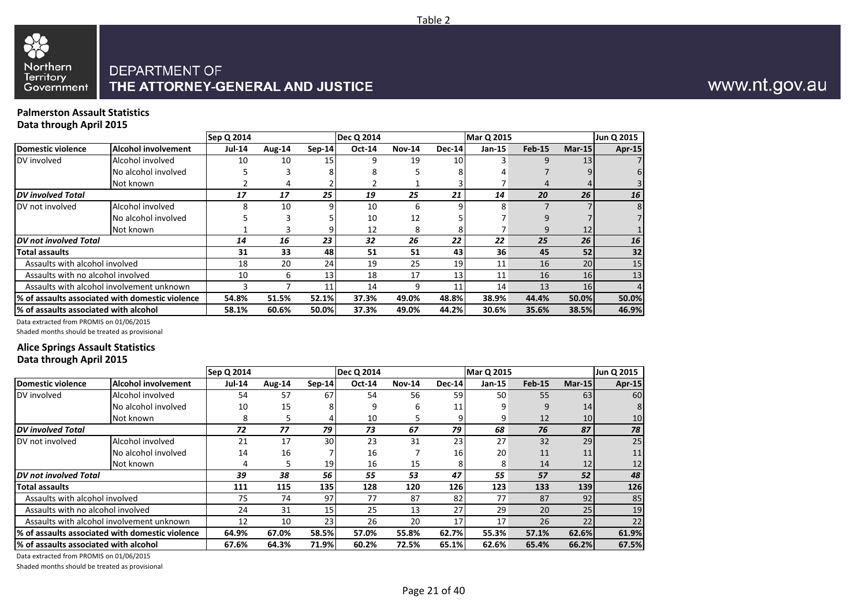

#### **Palmerston Assault Statistics Data through April 2015**

|                                       |                                                  | Sep Q 2014    |        |          | <b>Dec Q 2014</b> |               |               | <b>Mar Q 2015</b> |               |        | Jun Q 2015    |
|---------------------------------------|--------------------------------------------------|---------------|--------|----------|-------------------|---------------|---------------|-------------------|---------------|--------|---------------|
| Domestic violence                     | <b>Alcohol involvement</b>                       | <b>Jul-14</b> | Aug-14 | $Sep-14$ | <b>Oct-14</b>     | <b>Nov-14</b> | <b>Dec-14</b> | $Jan-15$          | <b>Feb-15</b> | Mar-15 | <b>Apr-15</b> |
| DV involved                           | Alcohol involved                                 | 10            | 10     | 15       | q                 | 19            | 10            |                   |               | 13     |               |
|                                       | No alcohol involved                              |               |        |          |                   |               |               |                   |               |        | 6             |
|                                       | Not known                                        |               |        |          |                   |               |               |                   |               |        |               |
| <b>DV</b> involved Total              |                                                  | 17            | 17     | 25       | 19                | 25            | 21            | 14                | 20            | 26     | 16            |
| DV not involved                       | Alcohol involved                                 | 8             | 10     |          | 10                | 6             |               |                   |               |        | 8             |
|                                       | No alcohol involved                              |               |        |          | 10                | 12            |               |                   |               |        |               |
|                                       | Not known                                        |               |        |          | 12                |               |               |                   |               | 12     |               |
| <b>DV</b> not involved Total          |                                                  | 14            | 16     | 23       | 32                | 26            | 22            | 22                | 25            | 26     | 16            |
| <b>Total assaults</b>                 |                                                  | 31            | 33     | 48       | 51                | 51            | 43            | 36                | 45            | 52     | 32            |
| Assaults with alcohol involved        |                                                  | 18            | 20     | 24       | 19                | 25            | 19            | 11                | 16            | 20     | 15            |
| Assaults with no alcohol involved     |                                                  | 10            | 6      | 13       | 18                | 17            | 13            | 11                | 16            | 16     | 13            |
|                                       | Assaults with alcohol involvement unknown        |               |        | 11       | 14                | 9             | 11            | 14                | 13            | 16     |               |
|                                       | 1% of assaults associated with domestic violence | 54.8%         | 51.5%  | 52.1%    | 37.3%             | 49.0%         | 48.8%         | 38.9%             | 44.4%         | 50.0%  | 50.0%         |
| % of assaults associated with alcohol |                                                  | 58.1%         | 60.6%  | 50.0%    | 37.3%             | 49.0%         | 44.2%         | 30.6%             | 35.6%         | 38.5%  | 46.9%         |

Data extracted from PROMIS on 01/06/2015

Shaded months should be treated as provisional

#### **Alice Springs Assault Statistics**

|  | Data through April 2015 |  |  |  |
|--|-------------------------|--|--|--|
|--|-------------------------|--|--|--|

|                                        |                                                  | Sep Q 2014    |        |                 | Dec Q 2014    |               |              | Mar Q 2015 |          |        | Jun Q 2015    |
|----------------------------------------|--------------------------------------------------|---------------|--------|-----------------|---------------|---------------|--------------|------------|----------|--------|---------------|
| Domestic violence                      | <b>Alcohol involvement</b>                       | <b>Jul-14</b> | Aug-14 | Sep-14          | <b>Oct-14</b> | <b>Nov-14</b> | Dec-14       | $Jan-15$   | $Feb-15$ | Mar-15 | <b>Apr-15</b> |
| DV involved                            | Alcohol involved                                 | 54            | 57     | 67              | 54            | 56            | 59           | 50         | 55       | 63     | 60            |
|                                        | No alcohol involved                              | 10            | 15     |                 | q             | 6             | 11           | 9          | g        | 14     |               |
|                                        | Not known                                        | 8             | 5      |                 | 10            |               |              | 9          | 12       | 10     | 10            |
| <b>IDV</b> involved Total              |                                                  | 72            | 77     | 79              | 73            | 67            | 79           | 68         | 76       | 87     | 78            |
| DV not involved                        | Alcohol involved                                 | 21            | 17     | 30              | 23            | 31            | 23           | 27         | 32       | 29     | 25            |
|                                        | No alcohol involved                              | 14            | 16     |                 | 16            |               | 16           | 20         | 11       | 11     | 11            |
|                                        | Not known                                        |               | 5      | 19              | 16            | 15            |              | 8          | 14       | 12     | 12            |
| DV not involved Total                  |                                                  | 39            | 38     | 56              | 55            | 53            | 47           | 55         | 57       | 52     | 48            |
| <b>Total assaults</b>                  |                                                  | 111           | 115    | 135             | 128           | 120           | 126          | 123        | 133      | 139    | 126           |
| Assaults with alcohol involved         |                                                  | 75            | 74     | 97              | 77            | 87            | 82           | 77         | 87       | 92     | 85            |
| Assaults with no alcohol involved      |                                                  | 24            | 31     | 15 <sub>l</sub> | 25            | 13            | 27           | 29         | 20       | 25     | 19            |
|                                        | Assaults with alcohol involvement unknown        | 12            | 10     | 23              | 26            | 20            | 17           | 17         | 26       | 22     | 22            |
|                                        | 1% of assaults associated with domestic violence | 64.9%         | 67.0%  | 58.5%           | 57.0%         | 55.8%         | <b>62.7%</b> | 55.3%      | 57.1%    | 62.6%  | 61.9%         |
| 1% of assaults associated with alcohol |                                                  | 67.6%         | 64.3%  | 71.9%           | 60.2%         | 72.5%         | 65.1%        | 62.6%      | 65.4%    | 66.2%  | 67.5%         |

Data extracted from PROMIS on 01/06/2015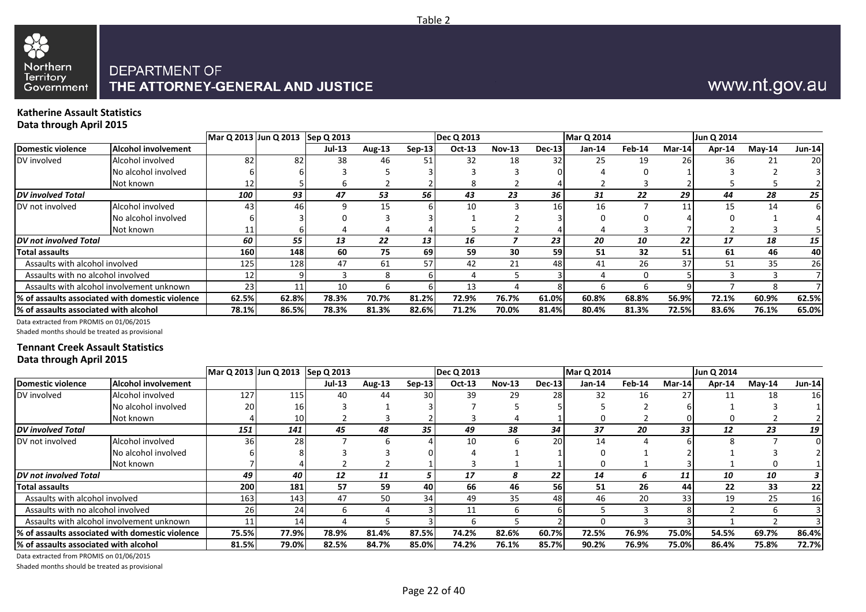

# www.nt.gov.au

#### **Katherine Assault Statistics Data through April 2015**

| - - -                                  |                                                 | Mar Q 2013 Jun Q 2013 Sep Q 2013 |       |               |        |                 | Dec Q 2013 |               |          | <b>Mar Q 2014</b> |        |           | Jun Q 2014 |           |               |
|----------------------------------------|-------------------------------------------------|----------------------------------|-------|---------------|--------|-----------------|------------|---------------|----------|-------------------|--------|-----------|------------|-----------|---------------|
| Domestic violence                      | <b>Alcohol involvement</b>                      |                                  |       | <b>Jul-13</b> | Aug-13 | $Sep-13$        | $Oct-13$   | <b>Nov-13</b> | $Dec-13$ | Jan-14            | Feb-14 | Mar-14    | Apr-14     | $M$ ay-14 | <b>Jun-14</b> |
| DV involved                            | Alcohol involved                                | 82                               | 82    | 38            | 46     | 51              | 32         | 18            | 32       | 25                | 19     | <b>26</b> | 36         | 21        | 20            |
|                                        | No alcohol involved                             |                                  |       |               |        |                 |            |               |          |                   |        |           |            |           |               |
|                                        | Not known                                       |                                  |       |               |        |                 |            |               |          |                   |        |           |            |           |               |
| DV involved Total                      |                                                 | 100                              | 93    | 47            | 53     | 56              | 43         | 23            | 36       | 31                | 22     | 29        | 44         | 28        | 25            |
| DV not involved                        | Alcohol involved                                | 43                               | 46    | q             | 15     | 61              | 10         |               | 16       | 16                |        | 11        | 15         | 14        | 6             |
|                                        | No alcohol involved                             |                                  |       |               |        |                 |            |               |          |                   |        |           |            |           |               |
|                                        | Not known                                       |                                  |       |               |        |                 |            |               |          |                   |        |           |            |           |               |
| DV not involved Total                  |                                                 | 60                               | 55    | 13            | 22     | 13 <sup>1</sup> | 16         |               | 23       | 20                | 10     | 22        | 17         | 18        | 15            |
| <b>Total assaults</b>                  |                                                 | 160                              | 148 I | 60            | 75     | 69              | 59         | 30            | 59       | 51                | 32     | 51        | 61         | 46        | 40            |
| Assaults with alcohol involved         |                                                 | 125                              | 128   | 47            | 61     | 57              | 42         | 21            | 48       | 41                | 26     | 37        | 51         | 35        | 26            |
| Assaults with no alcohol involved      |                                                 | 12                               |       |               | 8      |                 |            |               |          |                   |        |           |            |           |               |
|                                        | Assaults with alcohol involvement unknown       | 23                               | 11    | 10            | h      | ы               | 13         |               |          |                   | h      |           |            |           |               |
|                                        | % of assaults associated with domestic violence | 62.5%                            | 62.8% | 78.3%         | 70.7%  | 81.2%           | 72.9%      | 76.7%         | 61.0%    | 60.8%             | 68.8%  | 56.9%     | 72.1%      | 60.9%     | 62.5%         |
| 1% of assaults associated with alcohol |                                                 | 78.1%                            | 86.5% | 78.3%         | 81.3%  | 82.6%           | 71.2%      | 70.0%         | 81.4%    | 80.4%             | 81.3%  | 72.5%l    | 83.6%      | 76.1%     | 65.0%         |

Data extracted from PROMIS on 01/06/2015

Shaded months should be treated as provisional

#### **Tennant Creek Assault Statistics Data through April 2015**

|                                       |                                                 | Mar Q 2013 Jun Q 2013 Sep Q 2013 |                 |               |        |          | Dec Q 2013 |               |               | <b>Mar Q 2014</b> |        |        | Jun Q 2014 |           |           |
|---------------------------------------|-------------------------------------------------|----------------------------------|-----------------|---------------|--------|----------|------------|---------------|---------------|-------------------|--------|--------|------------|-----------|-----------|
| <b>Domestic violence</b>              | <b>Alcohol involvement</b>                      |                                  |                 | <b>Jul-13</b> | Aug-13 | $Sep-13$ | Oct-13     | <b>Nov-13</b> | <b>Dec-13</b> | Jan-14            | Feb-14 | Mar-14 | Apr-14     | $M$ ay-14 | Jun-14    |
| DV involved                           | Alcohol involved                                | 127                              | 115             | 40            | 44     | 301      | 39         | 29            | 28            | 32                | 16     | 27     | 11         | 18        | <b>16</b> |
|                                       | No alcohol involved                             | 20                               | 16              |               |        |          |            |               |               |                   |        |        |            |           |           |
|                                       | Not known                                       |                                  | 10 <sub>l</sub> |               |        |          |            |               |               |                   |        |        |            |           |           |
| <b>DV</b> involved Total              |                                                 | 151                              | 141             | 45            | 48     | 35       | 49         | 38            | 34            | 37                | 20     | 33     | 12         | 23        | 19        |
| DV not involved                       | Alcohol involved                                | 36I                              | 28              |               |        |          | 10         | h             | 20            | 14                |        |        |            |           |           |
|                                       | No alcohol involved                             |                                  |                 |               |        |          |            |               |               |                   |        |        |            |           |           |
|                                       | Not known                                       |                                  |                 |               |        |          |            |               |               |                   |        |        |            |           |           |
| DV not involved Total                 |                                                 | 49                               | 40              | 12            | 11     | э        | 17         | 8             | 22            | 14                | b.     | 11     | 10         | 10        |           |
| <b>Total assaults</b>                 |                                                 | 200                              | 181.            | 57            | 59     | 40       | 66         | 46            | <b>561</b>    | 51                | 26     | 44     | 22         | 33        | 22        |
| Assaults with alcohol involved        |                                                 | 163                              | 143             | 47            | 50     | 34       | 49         | 35            | 48            | 46                | 20     | 33     | 19         | 25        | 16        |
| Assaults with no alcohol involved     |                                                 | 261                              | 24 <sub>l</sub> | 6             |        |          | 11         | <sub>h</sub>  |               |                   |        |        |            |           |           |
|                                       | Assaults with alcohol involvement unknown       |                                  | 14 <sub>l</sub> |               |        |          | h          |               |               | -0                |        |        |            |           |           |
|                                       | % of assaults associated with domestic violence | 75.5%                            | 77.9%           | 78.9%         | 81.4%  | 87.5%    | 74.2%      | 82.6%         | 60.7%         | 72.5%             | 76.9%  | 75.0%  | 54.5%      | 69.7%     | 86.4%     |
| % of assaults associated with alcohol |                                                 | 81.5%                            | 79.0%           | 82.5%         | 84.7%  | 85.0%    | 74.2%      | 76.1%         | 85.7%         | 90.2%             | 76.9%  | 75.0%  | 86.4%      | 75.8%     | 72.7%     |

Data extracted from PROMIS on 01/06/2015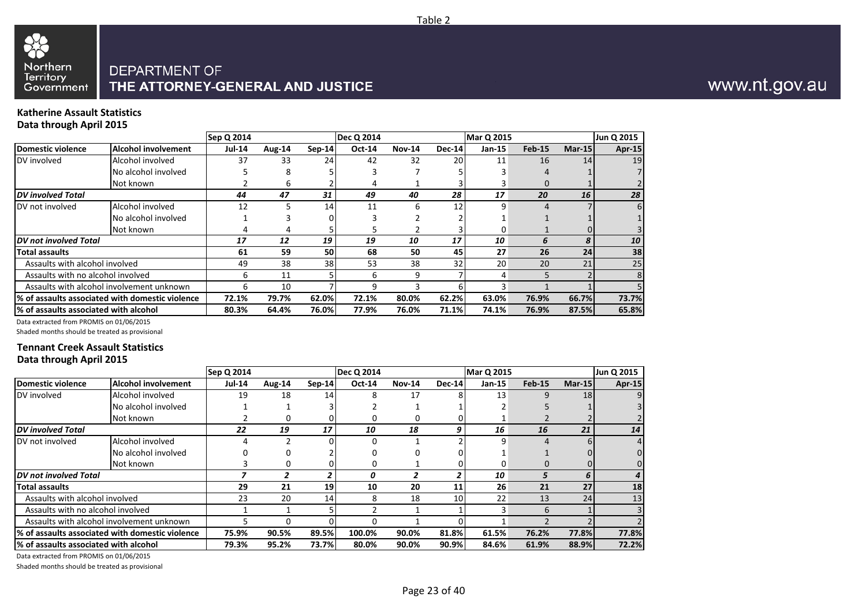

#### **Katherine Assault Statistics Data through April 2015**

|                                       |                                                  | Sep Q 2014    |        |          | <b>Dec Q 2014</b> |               |               | <b>Mar Q 2015</b> |          |        | Jun Q 2015    |
|---------------------------------------|--------------------------------------------------|---------------|--------|----------|-------------------|---------------|---------------|-------------------|----------|--------|---------------|
| Domestic violence                     | <b>Alcohol involvement</b>                       | <b>Jul-14</b> | Aug-14 | $Sep-14$ | <b>Oct-14</b>     | <b>Nov-14</b> | <b>Dec-14</b> | Jan-15            | $Feb-15$ | Mar-15 | <b>Apr-15</b> |
| DV involved                           | Alcohol involved                                 | 37            | 33     | 24       | 42                | 32            | 20            | 11                | 16       | 14     | 19            |
|                                       | No alcohol involved                              |               |        |          |                   |               |               |                   |          |        |               |
|                                       | Not known                                        |               | 6      |          |                   |               |               |                   | 0        |        |               |
| <b>IDV</b> involved Total             |                                                  | 44            | 47     | 31       | 49                | 40            | 28            | 17                | 20       | 16     | 28            |
| DV not involved                       | Alcohol involved                                 | 12            |        | 14       | 11                | 6             | 12            |                   |          |        | 61            |
|                                       | No alcohol involved                              |               |        |          |                   |               |               |                   |          |        |               |
|                                       | Not known                                        |               |        |          |                   |               |               |                   |          |        |               |
| <b>DV</b> not involved Total          |                                                  | 17            | 12     | 19       | 19                | 10            | 17            | 10                | 6        | 8      | 10            |
| Total assaults                        |                                                  | 61            | 59     | 50       | 68                | 50            | 45            | 27                | 26       | 24     | 38            |
| Assaults with alcohol involved        |                                                  | 49            | 38     | 38       | 53                | 38            | 32            | 20                | 20       | 21     | 25            |
| Assaults with no alcohol involved     |                                                  | 6             | 11     |          | 6                 | 9             |               | 4                 |          |        | 8             |
|                                       | Assaults with alcohol involvement unknown        | 6             | 10     |          | q                 |               |               |                   |          |        |               |
|                                       | 1% of assaults associated with domestic violence | 72.1%         | 79.7%  | 62.0%    | 72.1%             | 80.0%         | 62.2%         | 63.0%             | 76.9%    | 66.7%  | 73.7%         |
| % of assaults associated with alcohol |                                                  | 80.3%         | 64.4%  | 76.0%    | 77.9%             | 76.0%         | 71.1%         | 74.1%             | 76.9%    | 87.5%  | 65.8%         |

Data extracted from PROMIS on 01/06/2015

Shaded months should be treated as provisional

#### **Tennant Creek Assault Statistics Data through April 2015**

|                                       |                                                 | Sep Q 2014    |        |          | <b>Dec Q 2014</b> |               |        | <b>Mar Q 2015</b> |               |           | Jun Q 2015    |
|---------------------------------------|-------------------------------------------------|---------------|--------|----------|-------------------|---------------|--------|-------------------|---------------|-----------|---------------|
| Domestic violence                     | <b>Alcohol involvement</b>                      | <b>Jul-14</b> | Aug-14 | $Sep-14$ | <b>Oct-14</b>     | <b>Nov-14</b> | Dec-14 | $Jan-15$          | <b>Feb-15</b> | Mar-15    | <b>Apr-15</b> |
| DV involved                           | Alcohol involved                                | 19            | 18     | 14       | 8                 | 17            |        | 13                |               | <b>18</b> |               |
|                                       | No alcohol involved                             |               |        |          |                   |               |        |                   |               |           |               |
|                                       | Not known                                       |               | 0      |          |                   |               |        |                   |               |           |               |
| <b>DV</b> involved Total              |                                                 | 22            | 19     | 17       | 10                | 18            | 9      | 16                | 16            | 21        | 14            |
| DV not involved                       | Alcohol involved                                |               |        |          | $\Omega$          |               |        |                   |               |           |               |
|                                       | No alcohol involved                             |               |        |          |                   |               |        |                   |               |           |               |
|                                       | Not known                                       |               | 0      |          |                   |               |        |                   |               |           |               |
| <b>DV</b> not involved Total          |                                                 |               |        |          | 0                 |               |        | 10                |               | 6         |               |
| Total assaults                        |                                                 | 29            | 21     | 19       | 10                | 20            | 11     | 26                | 21            | 27        | 18            |
| Assaults with alcohol involved        |                                                 | 23            | 20     | 14       | 8                 | 18            | 10     | 22                | 13            | 24        | 13            |
| Assaults with no alcohol involved     |                                                 |               |        |          |                   |               |        | 3                 |               |           |               |
|                                       | Assaults with alcohol involvement unknown       |               | 0      |          | n                 |               |        |                   |               |           |               |
|                                       | % of assaults associated with domestic violence | 75.9%         | 90.5%  | 89.5%    | 100.0%            | 90.0%         | 81.8%  | 61.5%             | 76.2%         | 77.8%     | 77.8%         |
| % of assaults associated with alcohol |                                                 | 79.3%         | 95.2%  | 73.7%    | 80.0%             | 90.0%         | 90.9%l | 84.6%             | 61.9%         | 88.9%     | 72.2%         |

Data extracted from PROMIS on 01/06/2015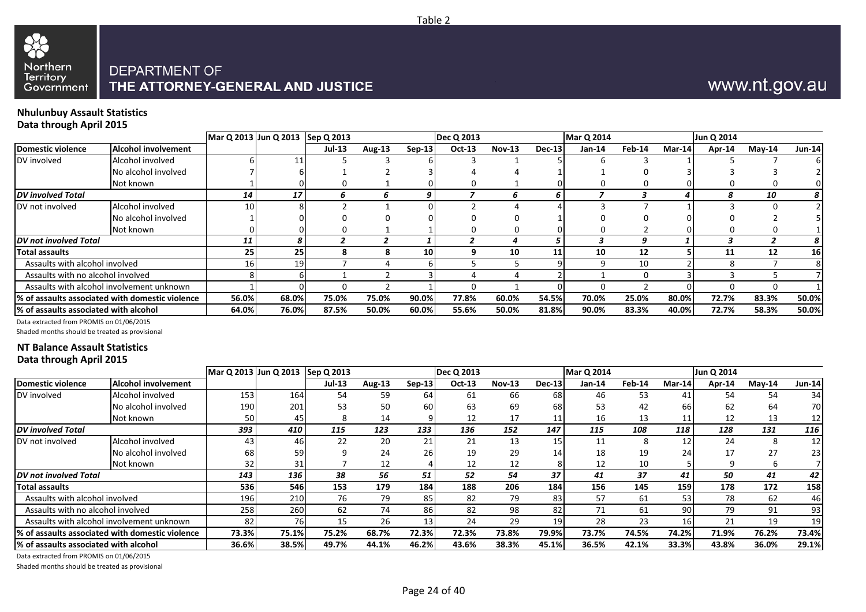

# www.nt.gov.au

#### **Nhulunbuy Assault Statistics Data through April 2015**

| $\cdot$                               |                                                  | Mar Q 2013 Jun Q 2013 Sep Q 2013 |       |        |        |                 | <b>Dec Q 2013</b> |               |               | <b>Mar Q 2014</b> |          |                   | Jun Q 2014 |               |               |
|---------------------------------------|--------------------------------------------------|----------------------------------|-------|--------|--------|-----------------|-------------------|---------------|---------------|-------------------|----------|-------------------|------------|---------------|---------------|
| Domestic violence                     | <b>Alcohol involvement</b>                       |                                  |       | Jul-13 | Aug-13 | $Sep-13$        | Oct-13            | <b>Nov-13</b> | <b>Dec-13</b> | Jan-14            | Feb-14   | Mar-14            | Apr-14     | <b>Mav-14</b> | <b>Jun-14</b> |
| DV involved                           | Alcohol involved                                 |                                  |       |        |        |                 |                   |               |               |                   |          |                   |            |               |               |
|                                       | No alcohol involved                              |                                  |       |        |        |                 |                   |               |               |                   |          |                   |            |               |               |
|                                       | Not known                                        |                                  |       |        |        |                 |                   |               |               |                   |          |                   |            |               |               |
| <b>DV</b> involved Total              |                                                  | 14                               | 17    | h      | b      | 9               |                   | n             |               |                   |          |                   | я          | 10            | 8             |
| DV not involved                       | Alcohol involved                                 | 10                               |       |        |        |                 |                   |               |               |                   |          |                   |            |               |               |
|                                       | No alcohol involved                              |                                  |       |        |        |                 |                   |               |               |                   |          |                   |            |               |               |
|                                       | Not known                                        |                                  |       |        |        |                 |                   |               |               |                   |          |                   |            |               |               |
| <b>DV</b> not involved Total          |                                                  | 11                               | 8     |        |        |                 |                   | л             |               |                   | g        |                   |            |               | 8             |
| Total assaults                        |                                                  | 25                               | 25    |        |        | 10 <sub>l</sub> |                   | 10            |               | 10                | 12       |                   | 11         | 12            | 16            |
| Assaults with alcohol involved        |                                                  |                                  | 19    |        |        |                 |                   |               |               | a                 | 10       |                   | я          |               |               |
| Assaults with no alcohol involved     |                                                  |                                  |       |        |        |                 |                   |               |               |                   | $\Omega$ |                   |            |               |               |
|                                       | Assaults with alcohol involvement unknown        |                                  |       | n      |        |                 |                   |               |               | n                 |          | $^{\prime\prime}$ | 0          |               |               |
|                                       | 1% of assaults associated with domestic violence | 56.0%                            | 68.0% | 75.0%  | 75.0%  | 90.0%           | 77.8%             | 60.0%         | 54.5%         | 70.0%             | 25.0%    | 80.0%             | 72.7%      | 83.3%         | 50.0%         |
| % of assaults associated with alcohol |                                                  | 64.0%                            | 76.0% | 87.5%  | 50.0%  | 60.0%           | 55.6%             | 50.0%         | 81.8%         | 90.0%             | 83.3%    | 40.0%             | 72.7%      | 58.3%         | 50.0%         |

Data extracted from PROMIS on 01/06/2015

Shaded months should be treated as provisional

#### **NT Balance Assault Statistics Data through April 2015**

|                                       |                                                 | Mar Q 2013 Jun Q 2013 Sep Q 2013 |       |        |               |          | <b>Dec Q 2013</b> |               |               | <b>Mar Q 2014</b> |        |        | Jun Q 2014 |           |               |
|---------------------------------------|-------------------------------------------------|----------------------------------|-------|--------|---------------|----------|-------------------|---------------|---------------|-------------------|--------|--------|------------|-----------|---------------|
| <b>Domestic violence</b>              | <b>Alcohol involvement</b>                      |                                  |       | Jul-13 | <b>Aug-13</b> | $Sep-13$ | Oct-13            | <b>Nov-13</b> | <b>Dec-13</b> | Jan-14            | Feb-14 | Mar-14 | Apr-14     | $M$ ay-14 | <b>Jun-14</b> |
| DV involved                           | Alcohol involved                                | 153                              | 164   | 54     | 59            | 64       | 61                | 66            | 68            | 46                | 53     | 41     | 54         | 54        | 34            |
|                                       | No alcohol involved                             | 190                              | 201   | 53     | 50            | 60       | 63                | 69            | 68            | 53                | 42     | 66     | 62         | 64        | 70I           |
|                                       | Not known                                       | 50                               | 45    | 8      | 14            |          | 12                | 17            | 11            | 16                | 13     | 11     | 12         | 13        |               |
| <b>DV</b> involved Total              |                                                 | 393                              | 410   | 115    | 123           | 133      | 136               | 152           | 147           | 115               | 108    | 118    | 128        | 131       | 116           |
| DV not involved                       | Alcohol involved                                | 43                               | 46    | 22     | 20            | 21       | 21                | 13            | 15            | 11                | 8      | 12     | 24         | 8         | 12            |
|                                       | No alcohol involved                             | 68                               | 59    |        | 24            | 26       | 19                | 29            | 14            | 18                | 19     | 24     | 17         | 27        | 23            |
|                                       | Not known                                       | 32                               | 31    |        | 12            |          | 12                | 12            |               | 12                | 10     |        |            | b         |               |
| DV not involved Total                 |                                                 | 143                              | 136   | 38     | 56            | 51       | 52                | 54            | 37            | 41                | 37     | 41     | 50         | 41        | 42            |
| <b>Total assaults</b>                 |                                                 | 536                              | 546   | 153    | 179           | 184      | 188               | 206           | 184           | 156               | 145    | 159    | 178        | 172       | 158           |
| Assaults with alcohol involved        |                                                 | 196                              | 210   | 76     | 79            | 85       | 82                | 79            | 83            | 57                | 61     | 53     | 78         | 62        | 46            |
| Assaults with no alcohol involved     |                                                 | 258                              | 260   | 62     | 74            | 86       | 82                | 98            | 82            | 71                | 61     | 90     | 79         | 91        | 93            |
|                                       | Assaults with alcohol involvement unknown       | 82                               | 76    | 15     | 26            | 13       | 24                | 29            | <u>19</u>     | 28                | 23     | 16     | 21         | 19        | 19            |
|                                       | % of assaults associated with domestic violence | 73.3%                            | 75.1% | 75.2%  | 68.7%         | 72.3%    | 72.3%             | 73.8%         | 79.9%         | 73.7%             | 74.5%  | 74.2%  | 71.9%      | 76.2%     | 73.4%         |
| % of assaults associated with alcohol |                                                 | 36.6%                            | 38.5% | 49.7%  | 44.1%         | 46.2%    | 43.6%             | 38.3%         | 45.1%         | 36.5%             | 42.1%  | 33.3%  | 43.8%      | 36.0%     | 29.1%         |

Data extracted from PROMIS on 01/06/2015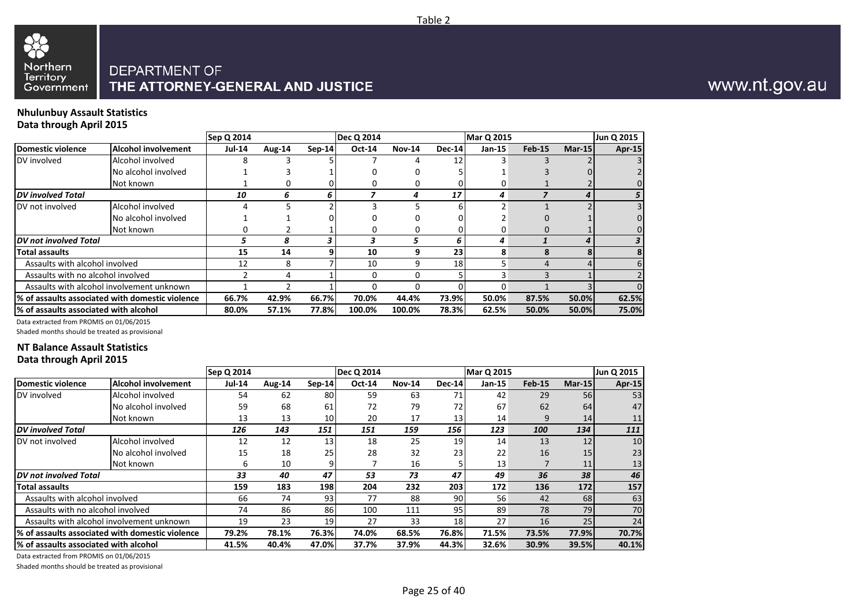

#### **Nhulunbuy Assault Statistics Data through April 2015**

|                                       |                                                  | Sep Q 2014    |        |          | <b>Dec Q 2014</b> |               |               | <b>Mar Q 2015</b> |          |        | Jun Q 2015 |
|---------------------------------------|--------------------------------------------------|---------------|--------|----------|-------------------|---------------|---------------|-------------------|----------|--------|------------|
| Domestic violence                     | Alcohol involvement                              | <b>Jul-14</b> | Aug-14 | $Sen-14$ | Oct-14            | <b>Nov-14</b> | <b>Dec-14</b> | Jan-15            | $Feb-15$ | Mar-15 | Apr-15     |
| DV involved                           | Alcohol involved                                 |               |        |          |                   |               | 12            |                   |          |        |            |
|                                       | No alcohol involved                              |               |        |          |                   |               |               |                   |          |        |            |
|                                       | Not known                                        |               |        |          |                   |               |               |                   |          |        |            |
| <b>DV</b> involved Total              |                                                  | 10            | 6      | 6        |                   |               | 17            | 4                 |          | ◢      |            |
| DV not involved                       | Alcohol involved                                 |               |        |          |                   |               |               |                   |          |        |            |
|                                       | No alcohol involved                              |               |        |          |                   |               |               |                   |          |        |            |
|                                       | Not known                                        |               |        |          |                   |               |               |                   |          |        |            |
| <b>DV</b> not involved Total          |                                                  |               | 8      |          | 3                 |               |               | 4                 |          | Δ      |            |
| <b>Total assaults</b>                 |                                                  | 15            | 14     |          | 10                | 9             | 23            | 8                 |          |        |            |
| Assaults with alcohol involved        |                                                  | 12            | 8      |          | 10                | 9             | 18            |                   |          |        |            |
| Assaults with no alcohol involved     |                                                  |               | Δ      |          | $\Omega$          | 0             |               |                   |          |        |            |
|                                       | Assaults with alcohol involvement unknown        |               |        |          |                   |               |               | 0                 |          |        |            |
|                                       | 1% of assaults associated with domestic violence | 66.7%         | 42.9%  | 66.7%    | 70.0%             | 44.4%         | 73.9%         | 50.0%             | 87.5%    | 50.0%  | 62.5%      |
| % of assaults associated with alcohol |                                                  | 80.0%         | 57.1%  | 77.8%    | 100.0%            | 100.0%        | 78.3%         | 62.5%             | 50.0%    | 50.0%  | 75.0%      |

Data extracted from PROMIS on 01/06/2015

Shaded months should be treated as provisional

#### **NT Balance Assault Statistics Data through April 2015**

|                                       |                                                  | Sep Q 2014    |        |                 | <b>Dec Q 2014</b> |               |        | <b>Mar Q 2015</b> |               |        | Jun Q 2015 |
|---------------------------------------|--------------------------------------------------|---------------|--------|-----------------|-------------------|---------------|--------|-------------------|---------------|--------|------------|
| Domestic violence                     | Alcohol involvement                              | <b>Jul-14</b> | Aug-14 | $Sep-14$        | <b>Oct-14</b>     | <b>Nov-14</b> | Dec-14 | Jan-15            | <b>Feb-15</b> | Mar-15 | Apr-15     |
| DV involved                           | Alcohol involved                                 | 54            | 62     | 80              | 59                | 63            | 71     | 42                | 29            | 56     | 53         |
|                                       | No alcohol involved                              | 59            | 68     | 61              | 72                | 79            | 72     | 67                | 62            | 64     | 47         |
|                                       | Not known                                        | 13            | 13     | 10 <sup>1</sup> | 20                | 17            | 13     | 14                | 9             | 14     | 11         |
| DV involved Total                     |                                                  | 126           | 143    | 151             | 151               | 159           | 156    | 123               | 100           | 134    | 111        |
| DV not involved                       | Alcohol involved                                 | 12            | 12     | 13              | 18                | 25            | 19     | 14                | 13            | 12     | 10         |
|                                       | No alcohol involved                              | 15            | 18     | 25              | 28                | 32            | 23     | 22                | 16            | 15     | 23         |
|                                       | Not known                                        | 6             | 10     | 9               |                   | 16            |        | 13 <sub>1</sub>   |               | 11     | 13         |
| DV not involved Total                 |                                                  | 33            | 40     | 47              | 53                | 73            | 47     | 49                | 36            | 38     | 46         |
| Total assaults                        |                                                  | 159           | 183    | 198             | 204               | 232           | 203    | 172               | 136           | 172    | 157        |
| Assaults with alcohol involved        |                                                  | 66            | 74     | 931             | 77                | 88            | 90     | 56                | 42            | 68     | 63         |
| Assaults with no alcohol involved     |                                                  | 74            | 86     | 86              | 100               | 111           | 95     | 89                | 78            | 79     | 70         |
|                                       | Assaults with alcohol involvement unknown        | 19            | 23     | 19              | 27                | 33            | 18     | 27                | 16            | 25     | 24         |
|                                       | 1% of assaults associated with domestic violence | 79.2%         | 78.1%  | 76.3%           | 74.0%             | 68.5%         | 76.8%  | 71.5%             | 73.5%         | 77.9%  | 70.7%      |
| % of assaults associated with alcohol |                                                  | 41.5%         | 40.4%  | 47.0%           | 37.7%             | 37.9%         | 44.3%  | 32.6%             | 30.9%         | 39.5%  | 40.1%      |

Data extracted from PROMIS on 01/06/2015

Shaded months should be treated as provisional

# www.nt.gov.au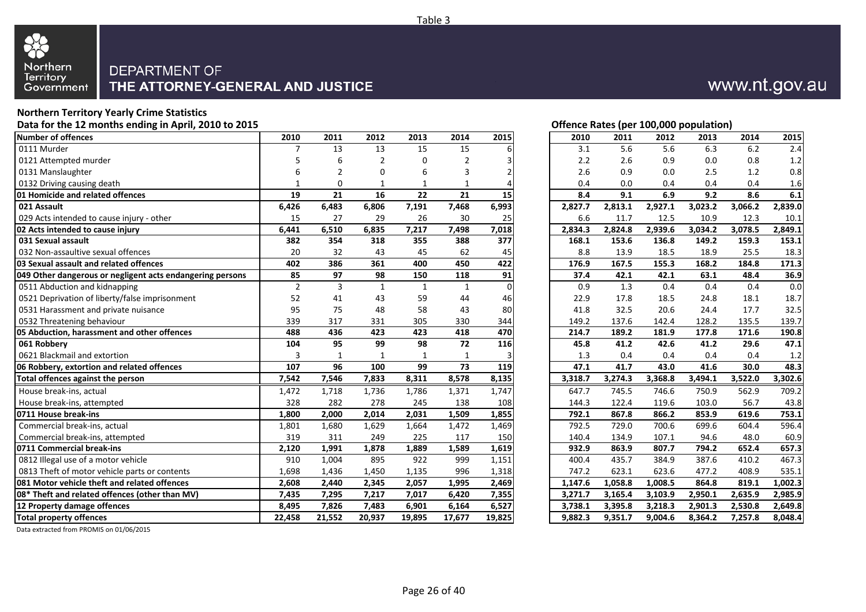

# **Northern Territory Yearly Crime Statistics**

| Pata for the 12 months enang in April, 2010 to 2015       |                |          |              |          |               | Onence nates (per 100,000 population) |         |         |         |         |         |         |
|-----------------------------------------------------------|----------------|----------|--------------|----------|---------------|---------------------------------------|---------|---------|---------|---------|---------|---------|
| <b>Number of offences</b>                                 | 2010           | 2011     | 2012         | 2013     | 2014          | 2015                                  | 2010    | 2011    | 2012    | 2013    | 2014    | 2015    |
| 0111 Murder                                               |                | 13       | 13           | 15       | 15            |                                       | 3.1     | 5.6     | 5.6     | 6.3     | 6.2     | 2.4     |
| 0121 Attempted murder                                     |                |          | 2            | $\Omega$ | $\mathcal{P}$ |                                       | 2.2     | 2.6     | 0.9     | 0.0     | 0.8     | 1.2     |
| 0131 Manslaughter                                         |                |          | 0            | 6        | 3             |                                       | 2.6     | 0.9     | 0.0     | 2.5     | 1.2     | 0.8     |
| 0132 Driving causing death                                |                | $\Omega$ | 1            | 1        | 1             |                                       | 0.4     | 0.0     | 0.4     | 0.4     | 0.4     | 1.6     |
| 01 Homicide and related offences                          | 19             | 21       | 16           | 22       | 21            | 15                                    | 8.4     | 9.1     | 6.9     | 9.2     | 8.6     | 6.1     |
| 021 Assault                                               | 6,426          | 6,483    | 6,806        | 7,191    | 7,468         | 6,993                                 | 2,827.7 | 2,813.1 | 2,927.1 | 3,023.2 | 3,066.2 | 2,839.0 |
| 029 Acts intended to cause injury - other                 | 15             | 27       | 29           | 26       | 30            | 25                                    | 6.6     | 11.7    | 12.5    | 10.9    | 12.3    | 10.1    |
| 02 Acts intended to cause injury                          | 6,441          | 6,510    | 6,835        | 7,217    | 7,498         | 7,018                                 | 2,834.3 | 2,824.8 | 2,939.6 | 3,034.2 | 3,078.5 | 2,849.1 |
| 031 Sexual assault                                        | 382            | 354      | 318          | 355      | 388           | 377                                   | 168.1   | 153.6   | 136.8   | 149.2   | 159.3   | 153.1   |
| 032 Non-assaultive sexual offences                        | 20             | 32       | 43           | 45       | 62            | 45                                    | 8.8     | 13.9    | 18.5    | 18.9    | 25.5    | 18.3    |
| 03 Sexual assault and related offences                    | 402            | 386      | 361          | 400      | 450           | 422                                   | 176.9   | 167.5   | 155.3   | 168.2   | 184.8   | 171.3   |
| 049 Other dangerous or negligent acts endangering persons | 85             | 97       | 98           | 150      | 118           | 91                                    | 37.4    | 42.1    | 42.1    | 63.1    | 48.4    | 36.9    |
| 0511 Abduction and kidnapping                             | $\overline{2}$ | 3        | $\mathbf{1}$ | 1        | $\mathbf{1}$  | $\Omega$                              | 0.9     | 1.3     | 0.4     | 0.4     | 0.4     | 0.0     |
| 0521 Deprivation of liberty/false imprisonment            | 52             | 41       | 43           | 59       | 44            | 46                                    | 22.9    | 17.8    | 18.5    | 24.8    | 18.1    | 18.7    |
| 0531 Harassment and private nuisance                      | 95             | 75       | 48           | 58       | 43            | 80                                    | 41.8    | 32.5    | 20.6    | 24.4    | 17.7    | 32.5    |
| 0532 Threatening behaviour                                | 339            | 317      | 331          | 305      | 330           | 344                                   | 149.2   | 137.6   | 142.4   | 128.2   | 135.5   | 139.7   |
| 05 Abduction, harassment and other offences               | 488            | 436      | 423          | 423      | 418           | 470                                   | 214.7   | 189.2   | 181.9   | 177.8   | 171.6   | 190.8   |
| 061 Robbery                                               | 104            | 95       | 99           | 98       | 72            | 116                                   | 45.8    | 41.2    | 42.6    | 41.2    | 29.6    | 47.1    |
| 0621 Blackmail and extortion                              | $\overline{3}$ |          |              |          |               |                                       | 1.3     | 0.4     | 0.4     | 0.4     | 0.4     | 1.2     |
| 06 Robbery, extortion and related offences                | 107            | 96       | 100          | 99       | 73            | 119                                   | 47.1    | 41.7    | 43.0    | 41.6    | 30.0    | 48.3    |
| Total offences against the person                         | 7,542          | 7,546    | 7,833        | 8,311    | 8,578         | 8,135                                 | 3,318.7 | 3,274.3 | 3,368.8 | 3,494.1 | 3,522.0 | 3,302.6 |
| House break-ins, actual                                   | 1,472          | 1,718    | 1,736        | 1,786    | 1,371         | 1,747                                 | 647.7   | 745.5   | 746.6   | 750.9   | 562.9   | 709.2   |
| House break-ins, attempted                                | 328            | 282      | 278          | 245      | 138           | 108                                   | 144.3   | 122.4   | 119.6   | 103.0   | 56.7    | 43.8    |
| 0711 House break-ins                                      | 1,800          | 2,000    | 2,014        | 2,031    | 1,509         | 1,855                                 | 792.1   | 867.8   | 866.2   | 853.9   | 619.6   | 753.1   |
| Commercial break-ins, actual                              | 1,801          | 1,680    | 1,629        | 1,664    | 1,472         | 1,469                                 | 792.5   | 729.0   | 700.6   | 699.6   | 604.4   | 596.4   |
| Commercial break-ins, attempted                           | 319            | 311      | 249          | 225      | 117           | 150                                   | 140.4   | 134.9   | 107.1   | 94.6    | 48.0    | 60.9    |
| 0711 Commercial break-ins                                 | 2,120          | 1,991    | 1,878        | 1,889    | 1,589         | 1,619                                 | 932.9   | 863.9   | 807.7   | 794.2   | 652.4   | 657.3   |
| 0812 Illegal use of a motor vehicle                       | 910            | 1,004    | 895          | 922      | 999           | 1,151                                 | 400.4   | 435.7   | 384.9   | 387.6   | 410.2   | 467.3   |
| 0813 Theft of motor vehicle parts or contents             | 1,698          | 1,436    | 1,450        | 1,135    | 996           | 1,318                                 | 747.2   | 623.1   | 623.6   | 477.2   | 408.9   | 535.1   |
| 081 Motor vehicle theft and related offences              | 2,608          | 2,440    | 2,345        | 2,057    | 1,995         | 2,469                                 | 1,147.6 | 1,058.8 | 1,008.5 | 864.8   | 819.1   | 1,002.3 |
| 08* Theft and related offences (other than MV)            | 7,435          | 7,295    | 7,217        | 7,017    | 6,420         | 7,355                                 | 3,271.7 | 3,165.4 | 3,103.9 | 2,950.1 | 2,635.9 | 2,985.9 |
| 12 Property damage offences                               | 8,495          | 7,826    | 7,483        | 6,901    | 6,164         | 6,527                                 | 3,738.1 | 3,395.8 | 3,218.3 | 2,901.3 | 2,530.8 | 2,649.8 |
| <b>Total property offences</b>                            | 22,458         | 21,552   | 20,937       | 19,895   | 17,677        | 19,825                                | 9,882.3 | 9,351.7 | 9,004.6 | 8,364.2 | 7,257.8 | 8,048.4 |
|                                                           |                |          |              |          |               |                                       |         |         |         |         |         |         |

#### **Offence Rates (per 100,000 population)**

www.nt.gov.au

| 2010    | 2011    | 2012    | 2013    | 2014    | 2015    |
|---------|---------|---------|---------|---------|---------|
| 3.1     | 5.6     | 5.6     | 6.3     | 6.2     | 2.4     |
| 2.2     | 2.6     | 0.9     | 0.0     | 0.8     | 1.2     |
| 2.6     | 0.9     | 0.0     | 2.5     | 1.2     | 0.8     |
| 0.4     | 0.0     | 0.4     | 0.4     | 0.4     | 1.6     |
| 8.4     | 9.1     | 6.9     | 9.2     | 8.6     | 6.1     |
| 2,827.7 | 2,813.1 | 2,927.1 | 3,023.2 | 3,066.2 | 2,839.0 |
| 6.6     | 11.7    | 12.5    | 10.9    | 12.3    | 10.1    |
| 2,834.3 | 2,824.8 | 2,939.6 | 3,034.2 | 3,078.5 | 2,849.1 |
| 168.1   | 153.6   | 136.8   | 149.2   | 159.3   | 153.1   |
| 8.8     | 13.9    | 18.5    | 18.9    | 25.5    | 18.3    |
| 176.9   | 167.5   | 155.3   | 168.2   | 184.8   | 171.3   |
| 37.4    | 42.1    | 42.1    | 63.1    | 48.4    | 36.9    |
| 0.9     | 1.3     | 0.4     | 0.4     | 0.4     | 0.0     |
| 22.9    | 17.8    | 18.5    | 24.8    | 18.1    | 18.7    |
| 41.8    | 32.5    | 20.6    | 24.4    | 17.7    | 32.5    |
| 149.2   | 137.6   | 142.4   | 128.2   | 135.5   | 139.7   |
| 214.7   | 189.2   | 181.9   | 177.8   | 171.6   | 190.8   |
| 45.8    | 41.2    | 42.6    | 41.2    | 29.6    | 47.1    |
| 1.3     | 0.4     | 0.4     | 0.4     | 0.4     | 1.2     |
| 47.1    | 41.7    | 43.0    | 41.6    | 30.0    | 48.3    |
| 3,318.7 | 3,274.3 | 3,368.8 | 3,494.1 | 3,522.0 | 3,302.6 |
| 647.7   | 745.5   | 746.6   | 750.9   | 562.9   | 709.2   |
| 144.3   | 122.4   | 119.6   | 103.0   | 56.7    | 43.8    |
| 792.1   | 867.8   | 866.2   | 853.9   | 619.6   | 753.1   |
| 792.5   | 729.0   | 700.6   | 699.6   | 604.4   | 596.4   |
| 140.4   | 134.9   | 107.1   | 94.6    | 48.0    | 60.9    |
| 932.9   | 863.9   | 807.7   | 794.2   | 652.4   | 657.3   |
| 400.4   | 435.7   | 384.9   | 387.6   | 410.2   | 467.3   |
| 747.2   | 623.1   | 623.6   | 477.2   | 408.9   | 535.1   |
| 1,147.6 | 1,058.8 | 1,008.5 | 864.8   | 819.1   | 1,002.3 |
| 3,271.7 | 3,165.4 | 3,103.9 | 2,950.1 | 2,635.9 | 2,985.9 |
| 3,738.1 | 3,395.8 | 3,218.3 | 2,901.3 | 2,530.8 | 2,649.8 |
| 9.882.3 | 9,351.7 | 9,004.6 | 8,364.2 | 7,257.8 | 8,048.4 |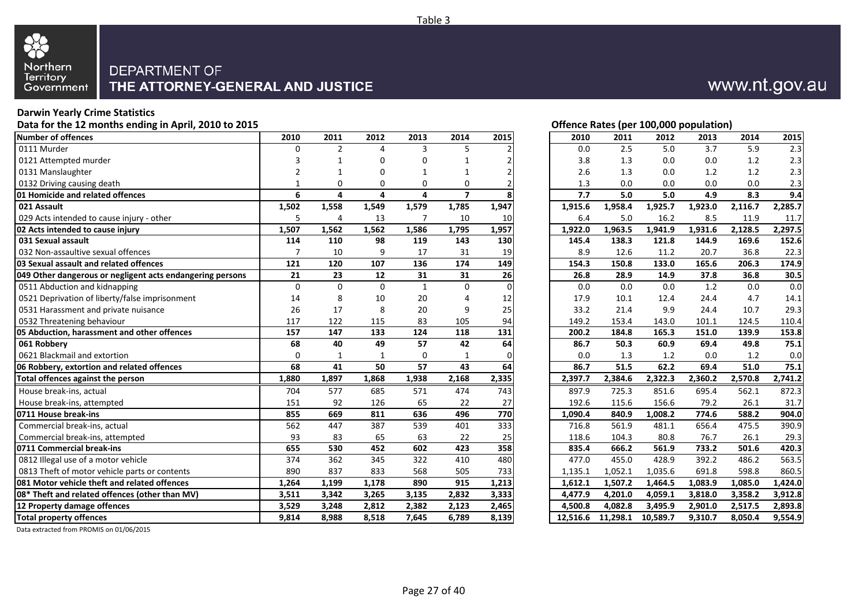

#### **Darwin Yearly Crime Statistics**

Data for the 12 months ending in April, 2010 to 2015 **Data for the 12 months ending in April, 2010 to 2015 Offence Rates (per 100,000 population)** 

| Number of offences                                        | 2010        | 2011           | 2012         | 2013           | 2014           | 2015          | 2010     | 2011     | 2012     | 2013                 | 2014    | 2015    |
|-----------------------------------------------------------|-------------|----------------|--------------|----------------|----------------|---------------|----------|----------|----------|----------------------|---------|---------|
| 0111 Murder                                               | 0           | $\overline{2}$ | 4            | 3              | 5              |               | 0.0      | 2.5      | 5.0      | 3.7                  | 5.9     | 2.3     |
| 0121 Attempted murder                                     |             |                | 0            | U              |                | $\mathcal{P}$ | 3.8      | 1.3      | 0.0      | 0.0                  | 1.2     | 2.3     |
| 0131 Manslaughter                                         |             |                | O            |                |                | 2             | 2.6      | 1.3      | 0.0      | 1.2                  | 1.2     | 2.3     |
| 0132 Driving causing death                                |             | 0              | 0            | 0              | 0              |               | 1.3      | 0.0      | 0.0      | 0.0                  | 0.0     | 2.3     |
| <b>01 Homicide and related offences</b>                   | 6           | 4              | 4            | 4              | $\overline{ }$ | 8             | 7.7      | 5.0      | 5.0      | 4.9                  | 8.3     | 9.4     |
| 021 Assault                                               | 1,502       | 1,558          | 1,549        | 1,579          | 1,785          | 1,947         | 1,915.6  | 1,958.4  | 1,925.7  | 1,923.0              | 2,116.7 | 2,285.7 |
| 029 Acts intended to cause injury - other                 | 5           | $\overline{4}$ | 13           | $\overline{7}$ | 10             | 10            | 6.4      | 5.0      | 16.2     | 8.5                  | 11.9    | 11.7    |
| 02 Acts intended to cause injury                          | 1,507       | 1,562          | 1,562        | 1,586          | 1,795          | 1,957         | 1,922.0  | 1,963.5  | 1,941.9  | 1,931.6              | 2,128.5 | 2,297.5 |
| 031 Sexual assault                                        | 114         | 110            | 98           | 119            | 143            | 130           | 145.4    | 138.3    | 121.8    | 144.9                | 169.6   | 152.6   |
| 032 Non-assaultive sexual offences                        | 7           | 10             | 9            | 17             | 31             | 19            | 8.9      | 12.6     | 11.2     | 20.7                 | 36.8    | 22.3    |
| 03 Sexual assault and related offences                    | 121         | 120            | 107          | 136            | 174            | 149           | 154.3    | 150.8    | 133.0    | 165.6                | 206.3   | 174.9   |
| 049 Other dangerous or negligent acts endangering persons | 21          | 23             | 12           | 31             | 31             | 26            | 26.8     | 28.9     | 14.9     | 37.8                 | 36.8    | 30.5    |
| 0511 Abduction and kidnapping                             | $\mathbf 0$ | $\Omega$       | $\Omega$     | $\mathbf{1}$   | 0              | $\Omega$      | 0.0      | 0.0      | 0.0      | 1.2                  | 0.0     | 0.0     |
| 0521 Deprivation of liberty/false imprisonment            | 14          | 8              | 10           | 20             | 4              | 12            | 17.9     | 10.1     | 12.4     | 24.4                 | 4.7     | 14.1    |
| 0531 Harassment and private nuisance                      | 26          | 17             | 8            | 20             | 9              | 25            | 33.2     | 21.4     | 9.9      | 24.4                 | 10.7    | 29.3    |
| 0532 Threatening behaviour                                | 117         | 122            | 115          | 83             | 105            | 94            | 149.2    | 153.4    | 143.0    | 101.1                | 124.5   | 110.4   |
| 05 Abduction, harassment and other offences               | 157         | 147            | 133          | 124            | 118            | 131           | 200.2    | 184.8    | 165.3    | 151.0                | 139.9   | 153.8   |
| 061 Robbery                                               | 68          | 40             | 49           | 57             | 42             | 64            | 86.7     | 50.3     | 60.9     | 69.4                 | 49.8    | 75.1    |
| 0621 Blackmail and extortion                              | 0           | $\mathbf{1}$   | $\mathbf{1}$ | 0              | $\mathbf{1}$   | $\Omega$      | 0.0      | 1.3      | 1.2      | 0.0                  | 1.2     | 0.0     |
| 06 Robbery, extortion and related offences                | 68          | 41             | 50           | 57             | 43             | 64            | 86.7     | 51.5     | 62.2     | 69.4                 | 51.0    | 75.1    |
| Total offences against the person                         | 1,880       | 1,897          | 1,868        | 1,938          | 2,168          | 2,335         | 2,397.7  | 2,384.6  | 2,322.3  | $2,360.\overline{2}$ | 2,570.8 | 2,741.2 |
| House break-ins, actual                                   | 704         | 577            | 685          | 571            | 474            | 743           | 897.9    | 725.3    | 851.6    | 695.4                | 562.1   | 872.3   |
| House break-ins, attempted                                | 151         | 92             | 126          | 65             | 22             | 27            | 192.6    | 115.6    | 156.6    | 79.2                 | 26.1    | 31.7    |
| 0711 House break-ins                                      | 855         | 669            | 811          | 636            | 496            | 770           | 1,090.4  | 840.9    | 1,008.2  | 774.6                | 588.2   | 904.0   |
| Commercial break-ins, actual                              | 562         | 447            | 387          | 539            | 401            | 333           | 716.8    | 561.9    | 481.1    | 656.4                | 475.5   | 390.9   |
| Commercial break-ins, attempted                           | 93          | 83             | 65           | 63             | 22             | 25            | 118.6    | 104.3    | 80.8     | 76.7                 | 26.1    | 29.3    |
| 0711 Commercial break-ins                                 | 655         | 530            | 452          | 602            | 423            | 358           | 835.4    | 666.2    | 561.9    | 733.2                | 501.6   | 420.3   |
| 0812 Illegal use of a motor vehicle                       | 374         | 362            | 345          | 322            | 410            | 480           | 477.0    | 455.0    | 428.9    | 392.2                | 486.2   | 563.5   |
| 0813 Theft of motor vehicle parts or contents             | 890         | 837            | 833          | 568            | 505            | 733           | 1,135.1  | 1,052.1  | 1,035.6  | 691.8                | 598.8   | 860.5   |
| 081 Motor vehicle theft and related offences              | 1,264       | 1,199          | 1,178        | 890            | 915            | 1,213         | 1,612.1  | 1,507.2  | 1,464.5  | 1,083.9              | 1,085.0 | 1,424.0 |
| 08* Theft and related offences (other than MV)            | 3,511       | 3,342          | 3,265        | 3,135          | 2,832          | 3,333         | 4,477.9  | 4,201.0  | 4,059.1  | 3,818.0              | 3,358.2 | 3,912.8 |
| 12 Property damage offences                               | 3,529       | 3,248          | 2,812        | 2,382          | 2,123          | 2,465         | 4,500.8  | 4,082.8  | 3,495.9  | 2,901.0              | 2,517.5 | 2,893.8 |
| <b>Total property offences</b>                            | 9,814       | 8,988          | 8,518        | 7,645          | 6,789          | 8,139         | 12,516.6 | 11,298.1 | 10,589.7 | 9,310.7              | 8,050.4 | 9,554.9 |

Data extracted from PROMIS on 01/06/2015

|          | w        |                      |         |         |                    |
|----------|----------|----------------------|---------|---------|--------------------|
| 2010     | 2011     | 2012                 | 2013    | 2014    | 2015               |
| 0.0      | 2.5      | 5.0                  | 3.7     | 5.9     | 2.3                |
| 3.8      | 1.3      | 0.0                  | 0.0     | 1.2     | 2.3                |
| 2.6      | 1.3      | 0.0                  | 1.2     | 1.2     | 2.3                |
| 1.3      | 0.0      | 0.0                  | 0.0     | 0.0     | 2.3                |
| 7.7      | 5.0      | 5.0                  | 4.9     | 8.3     | 9.4                |
| 1,915.6  | 1,958.4  | 1,925.7              | 1,923.0 | 2,116.7 | 2,285.7            |
| 6.4      | 5.0      | 16.2                 | 8.5     | 11.9    | 11.7               |
| 1,922.0  | 1,963.5  | $\overline{1,}941.9$ | 1,931.6 | 2,128.5 | 2,297.5            |
| 145.4    | 138.3    | 121.8                | 144.9   | 169.6   | 152.6              |
| 8.9      | 12.6     | 11.2                 | 20.7    | 36.8    | 22.3               |
| 154.3    | 150.8    | 133.0                | 165.6   | 206.3   | 174.9              |
| 26.8     | 28.9     | 14.9                 | 37.8    | 36.8    | 30.5               |
| 0.0      | 0.0      | 0.0                  | 1.2     | 0.0     | 0.0                |
| 17.9     | 10.1     | 12.4                 | 24.4    | 4.7     | 14.1               |
| 33.2     | 21.4     | 9.9                  | 24.4    | 10.7    | 29.3               |
| 149.2    | 153.4    | 143.0                | 101.1   | 124.5   | 110.4              |
| 200.2    | 184.8    | 165.3                | 151.0   | 139.9   | 153.8              |
| 86.7     | 50.3     | 60.9                 | 69.4    | 49.8    | 75.1               |
| 0.0      | 1.3      | 1.2                  | 0.0     | 1.2     | 0.0                |
| 86.7     | 51.5     | 62.2                 | 69.4    | 51.0    | 75.1               |
| 2,397.7  | 2,384.6  | 2,322.3              | 2,360.2 | 2,570.8 | 2,741.2            |
| 897.9    | 725.3    | 851.6                | 695.4   | 562.1   | $872.\overline{3}$ |
| 192.6    | 115.6    | 156.6                | 79.2    | 26.1    | 31.7               |
| 1,090.4  | 840.9    | 1,008.2              | 774.6   | 588.2   | 904.0              |
| 716.8    | 561.9    | 481.1                | 656.4   | 475.5   | 390.9              |
| 118.6    | 104.3    | 80.8                 | 76.7    | 26.1    | 29.3               |
| 835.4    | 666.2    | 561.9                | 733.2   | 501.6   | 420.3              |
| 477.0    | 455.0    | 428.9                | 392.2   | 486.2   | 563.5              |
| 1,135.1  | 1,052.1  | 1,035.6              | 691.8   | 598.8   | 860.5              |
| 1,612.1  | 1,507.2  | 1,464.5              | 1,083.9 | 1,085.0 | 1,424.0            |
| 4,477.9  | 4,201.0  | 4,059.1              | 3,818.0 | 3,358.2 | 3,912.8            |
| 4,500.8  | 4,082.8  | 3,495.9              | 2,901.0 | 2,517.5 | 2,893.8            |
| 12,516.6 | 11,298.1 | 10,589.7             | 9,310.7 | 8,050.4 | 9,554.9            |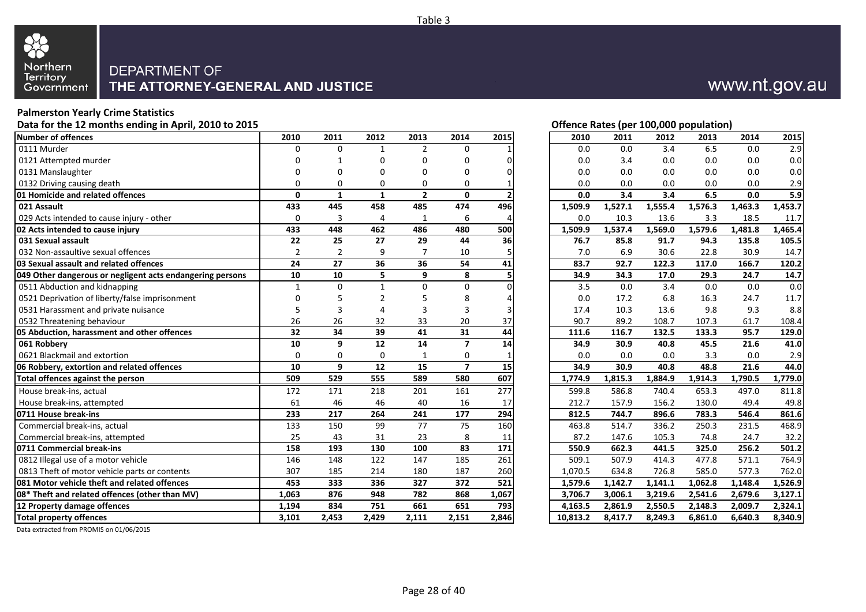

#### **Palmerston Yearly Crime Statistics**

Data for the 12 months ending in April, 2010 to 2015 **Data for the 12 months ending in April, 2010 to 2015 Contract Contract Contract Contract Contract Contract Contract Contract Contract Contract Contract Contract Contr** 

| Number of offences                                        | 2010           | 2011           | 2012         | 2013           | 2014           | 2015             | 2010     | 2011    | 2012    | 2013    | 2014    | 2015    |
|-----------------------------------------------------------|----------------|----------------|--------------|----------------|----------------|------------------|----------|---------|---------|---------|---------|---------|
| 0111 Murder                                               | 0              | 0              | $\mathbf{1}$ | $\overline{2}$ | 0              |                  | 0.0      | 0.0     | 3.4     | 6.5     | 0.0     | 2.9     |
| 0121 Attempted murder                                     | O              |                | U            | U              | $\Omega$       | $\Omega$         | 0.0      | 3.4     | 0.0     | 0.0     | 0.0     | 0.0     |
| 0131 Manslaughter                                         | U              | ი              | 0            | 0              | 0              | $\Omega$         | 0.0      | 0.0     | 0.0     | 0.0     | 0.0     | 0.0     |
| 0132 Driving causing death                                | 0              | 0              | 0            | 0              | $\Omega$       |                  | 0.0      | 0.0     | 0.0     | 0.0     | 0.0     | 2.9     |
| 01 Homicide and related offences                          | $\Omega$       | 1              | $\mathbf{1}$ | $\mathbf{2}$   | $\Omega$       |                  | 0.0      | 3.4     | 3.4     | 6.5     | 0.0     | 5.9     |
| 021 Assault                                               | 433            | 445            | 458          | 485            | 474            | 496              | 1,509.9  | 1,527.1 | 1,555.4 | 1,576.3 | 1,463.3 | 1,453.7 |
| 029 Acts intended to cause injury - other                 | 0              | 3              | 4            | $\mathbf{1}$   | 6              | 4                | 0.0      | 10.3    | 13.6    | 3.3     | 18.5    | 11.7    |
| 02 Acts intended to cause injury                          | 433            | 448            | 462          | 486            | 480            | 500              | 1,509.9  | 1,537.4 | 1,569.0 | 1,579.6 | 1,481.8 | 1,465.4 |
| 031 Sexual assault                                        | 22             | 25             | 27           | 29             | 44             | 36               | 76.7     | 85.8    | 91.7    | 94.3    | 135.8   | 105.5   |
| 032 Non-assaultive sexual offences                        | $\overline{2}$ | $\overline{2}$ | 9            | 7              | 10             |                  | 7.0      | 6.9     | 30.6    | 22.8    | 30.9    | 14.7    |
| 03 Sexual assault and related offences                    | 24             | 27             | 36           | 36             | 54             | 41               | 83.7     | 92.7    | 122.3   | 117.0   | 166.7   | 120.2   |
| 049 Other dangerous or negligent acts endangering persons | 10             | 10             | 5            | 9              | 8              |                  | 34.9     | 34.3    | 17.0    | 29.3    | 24.7    | 14.7    |
| 0511 Abduction and kidnapping                             | 1              | 0              | 1            | $\Omega$       | $\Omega$       |                  | 3.5      | 0.0     | 3.4     | 0.0     | 0.0     | 0.0     |
| 0521 Deprivation of liberty/false imprisonment            | 0              |                | 2            |                | 8              |                  | 0.0      | 17.2    | 6.8     | 16.3    | 24.7    | 11.7    |
| 0531 Harassment and private nuisance                      | 5              | 3              | 4            | 3              | 3              | 3                | 17.4     | 10.3    | 13.6    | 9.8     | 9.3     | 8.8     |
| 0532 Threatening behaviour                                | 26             | 26             | 32           | 33             | 20             | 37               | 90.7     | 89.2    | 108.7   | 107.3   | 61.7    | 108.4   |
| 05 Abduction, harassment and other offences               | 32             | 34             | 39           | 41             | 31             | 44               | 111.6    | 116.7   | 132.5   | 133.3   | 95.7    | 129.0   |
| 061 Robbery                                               | 10             | 9              | 12           | 14             | $\overline{ }$ | 14               | 34.9     | 30.9    | 40.8    | 45.5    | 21.6    | 41.0    |
| 0621 Blackmail and extortion                              | $\Omega$       | 0              | 0            | $\overline{1}$ | 0              |                  | 0.0      | 0.0     | 0.0     | 3.3     | 0.0     | 2.9     |
| 06 Robbery, extortion and related offences                | 10             | 9              | 12           | 15             | $\overline{ }$ | 15               | 34.9     | 30.9    | 40.8    | 48.8    | 21.6    | 44.0    |
| Total offences against the person                         | 509            | 529            | 555          | 589            | 580            | 607              | 1,774.9  | 1,815.3 | 1,884.9 | 1,914.3 | 1,790.5 | 1,779.0 |
| House break-ins, actual                                   | 172            | 171            | 218          | 201            | 161            | $\overline{277}$ | 599.8    | 586.8   | 740.4   | 653.3   | 497.0   | 811.8   |
| House break-ins, attempted                                | 61             | 46             | 46           | 40             | 16             | 17               | 212.7    | 157.9   | 156.2   | 130.0   | 49.4    | 49.8    |
| 0711 House break-ins                                      | 233            | 217            | 264          | 241            | 177            | 294              | 812.5    | 744.7   | 896.6   | 783.3   | 546.4   | 861.6   |
| Commercial break-ins, actual                              | 133            | 150            | 99           | 77             | 75             | 160              | 463.8    | 514.7   | 336.2   | 250.3   | 231.5   | 468.9   |
| Commercial break-ins, attempted                           | 25             | 43             | 31           | 23             | 8              | 11               | 87.2     | 147.6   | 105.3   | 74.8    | 24.7    | 32.2    |
| 0711 Commercial break-ins                                 | 158            | 193            | 130          | 100            | 83             | 171              | 550.9    | 662.3   | 441.5   | 325.0   | 256.2   | 501.2   |
| 0812 Illegal use of a motor vehicle                       | 146            | 148            | 122          | 147            | 185            | 261              | 509.1    | 507.9   | 414.3   | 477.8   | 571.1   | 764.9   |
| 0813 Theft of motor vehicle parts or contents             | 307            | 185            | 214          | 180            | 187            | 260              | 1,070.5  | 634.8   | 726.8   | 585.0   | 577.3   | 762.0   |
| 081 Motor vehicle theft and related offences              | 453            | 333            | 336          | 327            | 372            | 521              | 1,579.6  | 1,142.7 | 1,141.1 | 1,062.8 | 1,148.4 | 1,526.9 |
| 08* Theft and related offences (other than MV)            | 1,063          | 876            | 948          | 782            | 868            | 1,067            | 3,706.7  | 3,006.1 | 3,219.6 | 2,541.6 | 2,679.6 | 3,127.1 |
| 12 Property damage offences                               | 1,194          | 834            | 751          | 661            | 651            | 793              | 4.163.5  | 2.861.9 | 2,550.5 | 2,148.3 | 2.009.7 | 2,324.1 |
| <b>Total property offences</b>                            | 3,101          | 2,453          | 2,429        | 2,111          | 2,151          | 2,846            | 10,813.2 | 8,417.7 | 8,249.3 | 6,861.0 | 6,640.3 | 8,340.9 |
|                                                           |                |                |              |                |                |                  |          |         |         |         |         |         |

www.nt.gov.au

| 2010     | 2011                 | 2012    | 2013    | 2014    | 2015               |
|----------|----------------------|---------|---------|---------|--------------------|
| 0.0      | 0.0                  | 3.4     | 6.5     | 0.0     | 2.9                |
| 0.0      | 3.4                  | 0.0     | 0.0     | 0.0     | 0.0                |
| 0.0      | 0.0                  | 0.0     | 0.0     | 0.0     | 0.0                |
| 0.0      | 0.0                  | 0.0     | 0.0     | 0.0     | 2.9                |
| 0.0      | 3.4                  | 3.4     | 6.5     | 0.0     | 5.9                |
| 1,509.9  | 1,527.1              | 1,555.4 | 1,576.3 | 1,463.3 | 1,453.7            |
| 0.0      | 10.3                 | 13.6    | 3.3     | 18.5    | 11.7               |
| 1,509.9  | $\overline{1,}537.4$ | 1,569.0 | 1,579.6 | 1,481.8 | 1,465.4            |
| 76.7     | 85.8                 | 91.7    | 94.3    | 135.8   | 105.5              |
| 7.0      | 6.9                  | 30.6    | 22.8    | 30.9    | 14.7               |
| 83.7     | 92.7                 | 122.3   | 117.0   | 166.7   | 120.2              |
| 34.9     | 34.3                 | 17.0    | 29.3    | 24.7    | 14.7               |
| 3.5      | 0.0                  | 3.4     | 0.0     | 0.0     | 0.0                |
| 0.0      | 17.2                 | 6.8     | 16.3    | 24.7    | 11.7               |
| 17.4     | 10.3                 | 13.6    | 9.8     | 9.3     | 8.8                |
| 90.7     | 89.2                 | 108.7   | 107.3   | 61.7    | 108.4              |
| 111.6    | 116.7                | 132.5   | 133.3   | 95.7    | 129.0              |
| 34.9     | 30.9                 | 40.8    | 45.5    | 21.6    | 41.0               |
| 0.0      | 0.0                  | 0.0     | 3.3     | 0.0     | 2.9                |
| 34.9     | 30.9                 | 40.8    | 48.8    | 21.6    | 44.0               |
| 1,774.9  | 1,815.3              | 1,884.9 | 1,914.3 | 1,790.5 | 1,779.0            |
| 599.8    | 586.8                | 740.4   | 653.3   | 497.0   | $811.\overline{8}$ |
| 212.7    | 157.9                | 156.2   | 130.0   | 49.4    | 49.8               |
| 812.5    | 744.7                | 896.6   | 783.3   | 546.4   | 861.6              |
| 463.8    | 514.7                | 336.2   | 250.3   | 231.5   | 468.9              |
| 87.2     | 147.6                | 105.3   | 74.8    | 24.7    | 32.2               |
| 550.9    | 662.3                | 441.5   | 325.0   | 256.2   | 501.2              |
| 509.1    | 507.9                | 414.3   | 477.8   | 571.1   | 764.9              |
| 1,070.5  | 634.8                | 726.8   | 585.0   | 577.3   | 762.0              |
| 1,579.6  | 1,142.7              | 1,141.1 | 1,062.8 | 1,148.4 | 1,526.9            |
| 3,706.7  | 3,006.1              | 3,219.6 | 2,541.6 | 2,679.6 | 3,127.1            |
| 4,163.5  | 2,861.9              | 2,550.5 | 2,148.3 | 2,009.7 | 2,324.1            |
| 10,813.2 | 8,417.7              | 8,249.3 | 6,861.0 | 6,640.3 | 8,340.9            |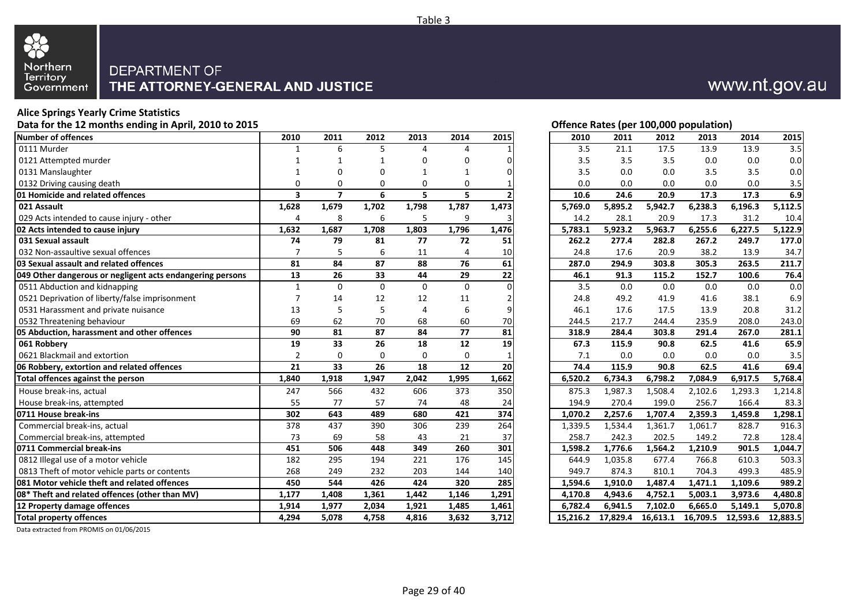

#### **Alice Springs Yearly Crime Statistics**

Data for the 12 months ending in April, 2010 to 2015 **Data for the 12 months ending in April, 2010 to 2015 Contract Contract Contract Contract Contract Contract Contract Contract Contract Contract Contract Contract Contr** 

| Number of offences                                        | 2010           | 2011                    | 2012     | 2013     | 2014            | 2015            | 2010     | 2011                 | 2012     | 2013     | 2014     | 2015     |
|-----------------------------------------------------------|----------------|-------------------------|----------|----------|-----------------|-----------------|----------|----------------------|----------|----------|----------|----------|
| 0111 Murder                                               | 1              | 6                       | 5        | 4        | 4               |                 | 3.5      | 21.1                 | 17.5     | 13.9     | 13.9     | 3.5      |
| 0121 Attempted murder                                     |                |                         |          | 0        | 0               | 0               | 3.5      | 3.5                  | 3.5      | 0.0      | 0.0      | 0.0      |
| 0131 Manslaughter                                         |                | 0                       | 0        |          | 1               | 0               | 3.5      | 0.0                  | 0.0      | 3.5      | 3.5      | 0.0      |
| 0132 Driving causing death                                | 0              | $\Omega$                | 0        | $\Omega$ | $\Omega$        |                 | 0.0      | 0.0                  | 0.0      | 0.0      | 0.0      | 3.5      |
| 01 Homicide and related offences                          | 3              | $\overline{\mathbf{z}}$ | 6        | 5        | 5               |                 | 10.6     | 24.6                 | 20.9     | 17.3     | 17.3     | 6.9      |
| 021 Assault                                               | 1,628          | 1,679                   | 1,702    | 1,798    | 1,787           | 1,473           | 5,769.0  | 5,895.2              | 5,942.7  | 6,238.3  | 6,196.3  | 5,112.5  |
| 029 Acts intended to cause injury - other                 | 4              | 8                       | 6        | 5        | 9               | 3               | 14.2     | 28.1                 | 20.9     | 17.3     | 31.2     | 10.4     |
| 02 Acts intended to cause injury                          | 1,632          | 1,687                   | 1,708    | 1,803    | 1,796           | 1,476           | 5,783.1  | 5,923.2              | 5,963.7  | 6,255.6  | 6,227.5  | 5,122.9  |
| 031 Sexual assault                                        | 74             | 79                      | 81       | 77       | 72              | 51              | 262.2    | 277.4                | 282.8    | 267.2    | 249.7    | 177.0    |
| 032 Non-assaultive sexual offences                        | 7              | 5                       | 6        | 11       | 4               | 10              | 24.8     | 17.6                 | 20.9     | 38.2     | 13.9     | 34.7     |
| 03 Sexual assault and related offences                    | 81             | 84                      | 87       | 88       | 76              | 61              | 287.0    | 294.9                | 303.8    | 305.3    | 263.5    | 211.7    |
| 049 Other dangerous or negligent acts endangering persons | 13             | 26                      | 33       | 44       | 29              | 22              | 46.1     | 91.3                 | 115.2    | 152.7    | 100.6    | 76.4     |
| 0511 Abduction and kidnapping                             | $\mathbf{1}$   | $\Omega$                | $\Omega$ | $\Omega$ | $\Omega$        | $\Omega$        | 3.5      | 0.0                  | 0.0      | 0.0      | 0.0      | 0.0      |
| 0521 Deprivation of liberty/false imprisonment            | 7              | 14                      | 12       | 12       | 11              | 2               | 24.8     | 49.2                 | 41.9     | 41.6     | 38.1     | 6.9      |
| 0531 Harassment and private nuisance                      | 13             | 5                       | 5        | 4        | 6               | 9               | 46.1     | 17.6                 | 17.5     | 13.9     | 20.8     | 31.2     |
| 0532 Threatening behaviour                                | 69             | 62                      | 70       | 68       | 60              | 70              | 244.5    | 217.7                | 244.4    | 235.9    | 208.0    | 243.0    |
| 05 Abduction, harassment and other offences               | 90             | 81                      | 87       | 84       | 77              | 81              | 318.9    | 284.4                | 303.8    | 291.4    | 267.0    | 281.1    |
| 061 Robbery                                               | 19             | 33                      | 26       | 18       | $\overline{12}$ | $\overline{19}$ | 67.3     | 115.9                | 90.8     | 62.5     | 41.6     | 65.9     |
| 0621 Blackmail and extortion                              | $\overline{2}$ | $\mathbf 0$             | $\Omega$ | $\Omega$ | 0               |                 | 7.1      | 0.0                  | 0.0      | 0.0      | 0.0      | 3.5      |
| 06 Robbery, extortion and related offences                | 21             | 33                      | 26       | 18       | 12              | 20              | 74.4     | 115.9                | 90.8     | 62.5     | 41.6     | 69.4     |
| Total offences against the person                         | 1,840          | 1,918                   | 1,947    | 2,042    | 1,995           | 1,662           | 6,520.2  | 6,734.3              | 6,798.2  | 7,084.9  | 6,917.5  | 5,768.4  |
| House break-ins, actual                                   | 247            | 566                     | 432      | 606      | 373             | 350             | 875.3    | 1,987.3              | 1,508.4  | 2,102.6  | 1,293.3  | 1,214.8  |
| House break-ins, attempted                                | 55             | 77                      | 57       | 74       | 48              | 24              | 194.9    | 270.4                | 199.0    | 256.7    | 166.4    | 83.3     |
| 0711 House break-ins                                      | 302            | 643                     | 489      | 680      | 421             | 374             | 1,070.2  | 2,257.6              | 1,707.4  | 2,359.3  | 1,459.8  | 1,298.1  |
| Commercial break-ins, actual                              | 378            | 437                     | 390      | 306      | 239             | 264             | 1,339.5  | 1,534.4              | 1,361.7  | 1,061.7  | 828.7    | 916.3    |
| Commercial break-ins, attempted                           | 73             | 69                      | 58       | 43       | 21              | 37              | 258.7    | 242.3                | 202.5    | 149.2    | 72.8     | 128.4    |
| 0711 Commercial break-ins                                 | 451            | 506                     | 448      | 349      | 260             | 301             | 1,598.2  | 1,776.6              | 1,564.2  | 1,210.9  | 901.5    | 1,044.7  |
| 0812 Illegal use of a motor vehicle                       | 182            | 295                     | 194      | 221      | 176             | 145             | 644.9    | $1,035.\overline{8}$ | 677.4    | 766.8    | 610.3    | 503.3    |
| 0813 Theft of motor vehicle parts or contents             | 268            | 249                     | 232      | 203      | 144             | 140             | 949.7    | 874.3                | 810.1    | 704.3    | 499.3    | 485.9    |
| 081 Motor vehicle theft and related offences              | 450            | 544                     | 426      | 424      | 320             | 285             | 1,594.6  | 1,910.0              | 1,487.4  | 1,471.1  | 1,109.6  | 989.2    |
| 08* Theft and related offences (other than MV)            | 1,177          | 1,408                   | 1,361    | 1,442    | 1,146           | 1,291           | 4,170.8  | 4,943.6              | 4,752.1  | 5,003.1  | 3,973.6  | 4,480.8  |
| 12 Property damage offences                               | 1,914          | 1,977                   | 2,034    | 1,921    | 1,485           | 1,461           | 6.782.4  | 6,941.5              | 7,102.0  | 6,665.0  | 5,149.1  | 5,070.8  |
| <b>Total property offences</b>                            | 4,294          | 5,078                   | 4,758    | 4,816    | 3,632           | 3,712           | 15,216.2 | 17,829.4             | 16,613.1 | 16,709.5 | 12,593.6 | 12,883.5 |

|          | $\frac{1}{2}$ . The state of the state of the state of the state of the state of the state of the state of the state of the state of the state of the state of the state of the state of the state of the state of the state of t |          |          |          |          |
|----------|-----------------------------------------------------------------------------------------------------------------------------------------------------------------------------------------------------------------------------------|----------|----------|----------|----------|
| 2010     | 2011                                                                                                                                                                                                                              | 2012     | 2013     | 2014     | 2015     |
| 3.5      | 21.1                                                                                                                                                                                                                              | 17.5     | 13.9     | 13.9     | 3.5      |
| 3.5      | 3.5                                                                                                                                                                                                                               | 3.5      | 0.0      | 0.0      | 0.0      |
| 3.5      | 0.0                                                                                                                                                                                                                               | 0.0      | 3.5      | 3.5      | 0.0      |
| 0.0      | 0.0                                                                                                                                                                                                                               | 0.0      | 0.0      | 0.0      | 3.5      |
| 10.6     | 24.6                                                                                                                                                                                                                              | 20.9     | 17.3     | 17.3     | 6.9      |
| 5,769.0  | 5,895.2                                                                                                                                                                                                                           | 5,942.7  | 6,238.3  | 6,196.3  | 5,112.5  |
| 14.2     | 28.1                                                                                                                                                                                                                              | 20.9     | 17.3     | 31.2     | 10.4     |
| 5,783.1  | 5,923.2                                                                                                                                                                                                                           | 5,963.7  | 6,255.6  | 6,227.5  | 5,122.9  |
| 262.2    | 277.4                                                                                                                                                                                                                             | 282.8    | 267.2    | 249.7    | 177.0    |
| 24.8     | 17.6                                                                                                                                                                                                                              | 20.9     | 38.2     | 13.9     | 34.7     |
| 287.0    | 294.9                                                                                                                                                                                                                             | 303.8    | 305.3    | 263.5    | 211.7    |
| 46.1     | 91.3                                                                                                                                                                                                                              | 115.2    | 152.7    | 100.6    | 76.4     |
| 3.5      | 0.0                                                                                                                                                                                                                               | 0.0      | 0.0      | 0.0      | 0.0      |
| 24.8     | 49.2                                                                                                                                                                                                                              | 41.9     | 41.6     | 38.1     | 6.9      |
| 46.1     | 17.6                                                                                                                                                                                                                              | 17.5     | 13.9     | 20.8     | 31.2     |
| 244.5    | 217.7                                                                                                                                                                                                                             | 244.4    | 235.9    | 208.0    | 243.0    |
| 318.9    | 284.4                                                                                                                                                                                                                             | 303.8    | 291.4    | 267.0    | 281.1    |
| 67.3     | 115.9                                                                                                                                                                                                                             | 90.8     | 62.5     | 41.6     | 65.9     |
| 7.1      | 0.0                                                                                                                                                                                                                               | 0.0      | 0.0      | 0.0      | 3.5      |
| 74.4     | 115.9                                                                                                                                                                                                                             | 90.8     | 62.5     | 41.6     | 69.4     |
| 6,520.2  | 6,734.3                                                                                                                                                                                                                           | 6,798.2  | 7,084.9  | 6,917.5  | 5,768.4  |
| 875.3    | 1,987.3                                                                                                                                                                                                                           | 1,508.4  | 2,102.6  | 1,293.3  | 1,214.8  |
| 194.9    | 270.4                                                                                                                                                                                                                             | 199.0    | 256.7    | 166.4    | 83.3     |
| 1,070.2  | 2,257.6                                                                                                                                                                                                                           | 1,707.4  | 2,359.3  | 1,459.8  | 1,298.1  |
| 1,339.5  | 1,534.4                                                                                                                                                                                                                           | 1,361.7  | 1,061.7  | 828.7    | 916.3    |
| 258.7    | 242.3                                                                                                                                                                                                                             | 202.5    | 149.2    | 72.8     | 128.4    |
| 1,598.2  | 1,776.6                                                                                                                                                                                                                           | 1,564.2  | 1,210.9  | 901.5    | 1,044.7  |
| 644.9    | 1,035.8                                                                                                                                                                                                                           | 677.4    | 766.8    | 610.3    | 503.3    |
| 949.7    | 874.3                                                                                                                                                                                                                             | 810.1    | 704.3    | 499.3    | 485.9    |
| 1,594.6  | 1,910.0                                                                                                                                                                                                                           | 1,487.4  | 1,471.1  | 1,109.6  | 989.2    |
| 4,170.8  | 4,943.6                                                                                                                                                                                                                           | 4,752.1  | 5,003.1  | 3,973.6  | 4,480.8  |
| 6,782.4  | 6,941.5                                                                                                                                                                                                                           | 7,102.0  | 6,665.0  | 5,149.1  | 5,070.8  |
| 15,216.2 | 17,829.4                                                                                                                                                                                                                          | 16,613.1 | 16,709.5 | 12,593.6 | 12,883.5 |

Data extracted from PROMIS on 01/06/2015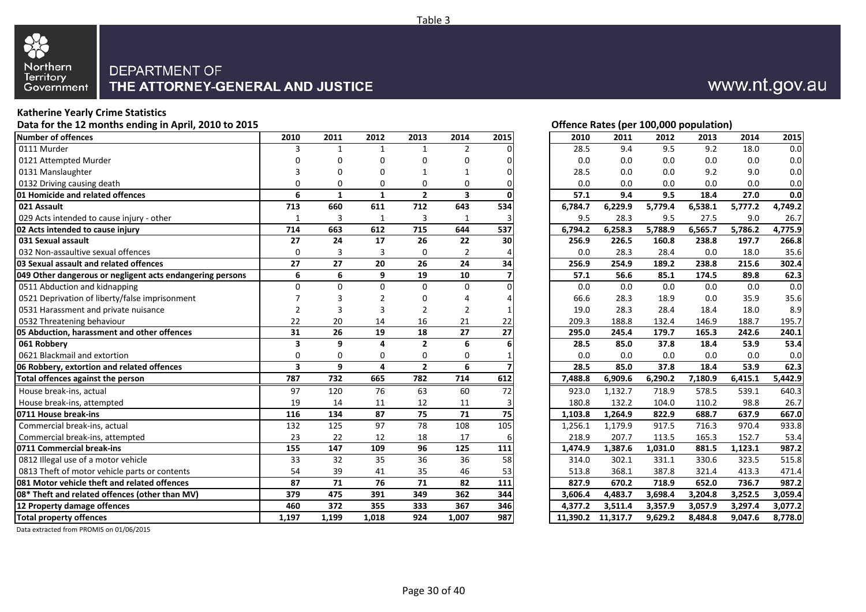

#### **Katherine Yearly Crime Statistics**

Data for the 12 months ending in April, 2010 to 2015 **Data for the 12 months ending in April, 2010 to 2015 Contract Contract Contract Contract Contract Contract Contract Contract Contract Contract Contract Contract Contr** 

| <b>Number of offences</b>                                 | 2010                    | 2011         | 2012         | 2013           | 2014           | 2015     | 2010     | 2011     | 2012    | 2013    | 2014    | 2015    |
|-----------------------------------------------------------|-------------------------|--------------|--------------|----------------|----------------|----------|----------|----------|---------|---------|---------|---------|
| 0111 Murder                                               | 3                       | $\mathbf{1}$ | $\mathbf{1}$ | $\mathbf{1}$   | $\overline{2}$ |          | 28.5     | 9.4      | 9.5     | 9.2     | 18.0    | 0.0     |
| 0121 Attempted Murder                                     | O                       | 0            | 0            | 0              | $\Omega$       | $\Omega$ | 0.0      | 0.0      | 0.0     | 0.0     | 0.0     | 0.0     |
| 0131 Manslaughter                                         |                         | ŋ            | 0            |                |                | $\Omega$ | 28.5     | 0.0      | 0.0     | 9.2     | 9.0     | 0.0     |
| 0132 Driving causing death                                | $\Omega$                | 0            | 0            | 0              | $\Omega$       |          | 0.0      | 0.0      | 0.0     | 0.0     | 0.0     | 0.0     |
| 01 Homicide and related offences                          | 6                       | $\mathbf{1}$ | $\mathbf{1}$ | $\mathbf{2}$   | 3              |          | 57.1     | 9.4      | 9.5     | 18.4    | 27.0    | 0.0     |
| 021 Assault                                               | 713                     | 660          | 611          | 712            | 643            | 534      | 6,784.7  | 6,229.9  | 5,779.4 | 6,538.1 | 5,777.2 | 4,749.2 |
| 029 Acts intended to cause injury - other                 | 1                       | 3            | $\mathbf{1}$ | 3              | $\mathbf{1}$   |          | 9.5      | 28.3     | 9.5     | 27.5    | 9.0     | 26.7    |
| 02 Acts intended to cause injury                          | 714                     | 663          | 612          | 715            | 644            | 537      | 6,794.2  | 6,258.3  | 5,788.9 | 6,565.7 | 5,786.2 | 4,775.9 |
| 031 Sexual assault                                        | 27                      | 24           | 17           | 26             | 22             | 30       | 256.9    | 226.5    | 160.8   | 238.8   | 197.7   | 266.8   |
| 032 Non-assaultive sexual offences                        | $\Omega$                | 3            | 3            | $\Omega$       | $\overline{2}$ |          | 0.0      | 28.3     | 28.4    | 0.0     | 18.0    | 35.6    |
| 03 Sexual assault and related offences                    | 27                      | 27           | 20           | 26             | 24             | 34       | 256.9    | 254.9    | 189.2   | 238.8   | 215.6   | 302.4   |
| 049 Other dangerous or negligent acts endangering persons | 6                       | 6            | 9            | 19             | 10             |          | 57.1     | 56.6     | 85.1    | 174.5   | 89.8    | 62.3    |
| 0511 Abduction and kidnapping                             | $\Omega$                | $\Omega$     | U            | 0              | $\Omega$       |          | 0.0      | 0.0      | 0.0     | 0.0     | 0.0     | 0.0     |
| 0521 Deprivation of liberty/false imprisonment            |                         | 3            | 2            | 0              |                |          | 66.6     | 28.3     | 18.9    | 0.0     | 35.9    | 35.6    |
| 0531 Harassment and private nuisance                      | 2                       | 3            | 3            | $\overline{2}$ | 2              |          | 19.0     | 28.3     | 28.4    | 18.4    | 18.0    | 8.9     |
| 0532 Threatening behaviour                                | 22                      | 20           | 14           | 16             | 21             | 22       | 209.3    | 188.8    | 132.4   | 146.9   | 188.7   | 195.7   |
| 05 Abduction, harassment and other offences               | 31                      | 26           | 19           | 18             | 27             | 27       | 295.0    | 245.4    | 179.7   | 165.3   | 242.6   | 240.1   |
| 061 Robbery                                               | 3                       | 9            | 4            | $\overline{2}$ | 6              |          | 28.5     | 85.0     | 37.8    | 18.4    | 53.9    | 53.4    |
| 0621 Blackmail and extortion                              | 0                       | 0            | 0            | 0              | 0              |          | 0.0      | 0.0      | 0.0     | 0.0     | 0.0     | 0.0     |
| 06 Robbery, extortion and related offences                | $\overline{\mathbf{3}}$ | 9            | 4            | $\overline{2}$ | 6              |          | 28.5     | 85.0     | 37.8    | 18.4    | 53.9    | 62.3    |
| Total offences against the person                         | 787                     | 732          | 665          | 782            | 714            | 612      | 7,488.8  | 6,909.6  | 6,290.2 | 7,180.9 | 6,415.1 | 5,442.9 |
| House break-ins, actual                                   | 97                      | 120          | 76           | 63             | 60             | 72       | 923.0    | 1,132.7  | 718.9   | 578.5   | 539.1   | 640.3   |
| House break-ins, attempted                                | 19                      | 14           | 11           | 12             | 11             |          | 180.8    | 132.2    | 104.0   | 110.2   | 98.8    | 26.7    |
| 0711 House break-ins                                      | 116                     | 134          | 87           | 75             | 71             | 75       | 1,103.8  | 1,264.9  | 822.9   | 688.7   | 637.9   | 667.0   |
| Commercial break-ins, actual                              | 132                     | 125          | 97           | 78             | 108            | 105      | 1,256.1  | 1,179.9  | 917.5   | 716.3   | 970.4   | 933.8   |
| Commercial break-ins, attempted                           | 23                      | 22           | 12           | 18             | 17             |          | 218.9    | 207.7    | 113.5   | 165.3   | 152.7   | 53.4    |
| 0711 Commercial break-ins                                 | 155                     | 147          | 109          | 96             | 125            | 111      | 1,474.9  | 1,387.6  | 1,031.0 | 881.5   | 1,123.1 | 987.2   |
| 0812 Illegal use of a motor vehicle                       | 33                      | 32           | 35           | 36             | 36             | 58       | 314.0    | 302.1    | 331.1   | 330.6   | 323.5   | 515.8   |
| 0813 Theft of motor vehicle parts or contents             | 54                      | 39           | 41           | 35             | 46             | 53       | 513.8    | 368.1    | 387.8   | 321.4   | 413.3   | 471.4   |
| 081 Motor vehicle theft and related offences              | 87                      | 71           | 76           | 71             | 82             | 111      | 827.9    | 670.2    | 718.9   | 652.0   | 736.7   | 987.2   |
| 08* Theft and related offences (other than MV)            | 379                     | 475          | 391          | 349            | 362            | 344      | 3,606.4  | 4,483.7  | 3,698.4 | 3,204.8 | 3,252.5 | 3,059.4 |
| 12 Property damage offences                               | 460                     | 372          | 355          | 333            | 367            | 346      | 4,377.2  | 3,511.4  | 3,357.9 | 3,057.9 | 3,297.4 | 3,077.2 |
| <b>Total property offences</b>                            | 1,197                   | 1,199        | 1,018        | 924            | 1,007          | 987      | 11,390.2 | 11,317.7 | 9,629.2 | 8,484.8 | 9,047.6 | 8,778.0 |

www.nt.gov.au

| 2010    | 2011    | 2012    | 2013    | 2014    | 2015               |
|---------|---------|---------|---------|---------|--------------------|
| 28.5    | 9.4     | 9.5     | 9.2     | 18.0    | 0.0                |
| 0.0     | 0.0     | 0.0     | 0.0     | 0.0     | 0.0                |
| 28.5    | 0.0     | 0.0     | 9.2     | 9.0     | 0.0                |
| 0.0     | 0.0     | 0.0     | 0.0     | 0.0     | 0.0                |
| 57.1    | 9.4     | 9.5     | 18.4    | 27.0    | 0.0                |
| 6,784.7 | 6,229.9 | 5,779.4 | 6,538.1 | 5,777.2 | 4,749.2            |
| 9.5     | 28.3    | 9.5     | 27.5    | 9.0     | 26.7               |
| 6,794.2 | 6,258.3 | 5,788.9 | 6,565.7 | 5,786.2 | 4,775.9            |
| 256.9   | 226.5   | 160.8   | 238.8   | 197.7   | 266.8              |
| 0.0     | 28.3    | 28.4    | 0.0     | 18.0    | 35.6               |
| 256.9   | 254.9   | 189.2   | 238.8   | 215.6   | 302.4              |
| 57.1    | 56.6    | 85.1    | 174.5   | 89.8    | 62.3               |
| 0.0     | 0.0     | 0.0     | 0.0     | 0.0     | 0.0                |
| 66.6    | 28.3    | 18.9    | 0.0     | 35.9    | 35.6               |
| 19.0    | 28.3    | 28.4    | 18.4    | 18.0    | 8.9                |
| 209.3   | 188.8   | 132.4   | 146.9   | 188.7   | 195.7              |
|         |         |         |         | 242.6   |                    |
| 295.0   | 245.4   | 179.7   | 165.3   |         | 240.1              |
| 28.5    | 85.0    | 37.8    | 18.4    | 53.9    | 53.4               |
| 0.0     | 0.0     | 0.0     | 0.0     | 0.0     | 0.0                |
| 28.5    | 85.0    | 37.8    | 18.4    | 53.9    | 62.3               |
| 7,488.8 | 6,909.6 | 6,290.2 | 7,180.9 | 6,415.1 | 5,442.9            |
| 923.0   | 1,132.7 | 718.9   | 578.5   | 539.1   | 640.3              |
| 180.8   | 132.2   | 104.0   | 110.2   | 98.8    | 26.7               |
| 1,103.8 | 1,264.9 | 822.9   | 688.7   | 637.9   | 667.0              |
| 1,256.1 | 1,179.9 | 917.5   | 716.3   | 970.4   | 933.8              |
| 218.9   | 207.7   | 113.5   | 165.3   | 152.7   | 53.4               |
| 1,474.9 | 1,387.6 | 1,031.0 | 881.5   | 1,123.1 | 987.2              |
| 314.0   | 302.1   | 331.1   | 330.6   | 323.5   | 515.8              |
| 513.8   | 368.1   | 387.8   | 321.4   | 413.3   | 471.4              |
| 827.9   | 670.2   | 718.9   | 652.0   | 736.7   | 987.2              |
| 3,606.4 | 4,483.7 | 3,698.4 | 3,204.8 | 3,252.5 | 3,059.4            |
| 4,377.2 | 3,511.4 | 3,357.9 | 3,057.9 | 3,297.4 | 3,077.2<br>8,778.0 |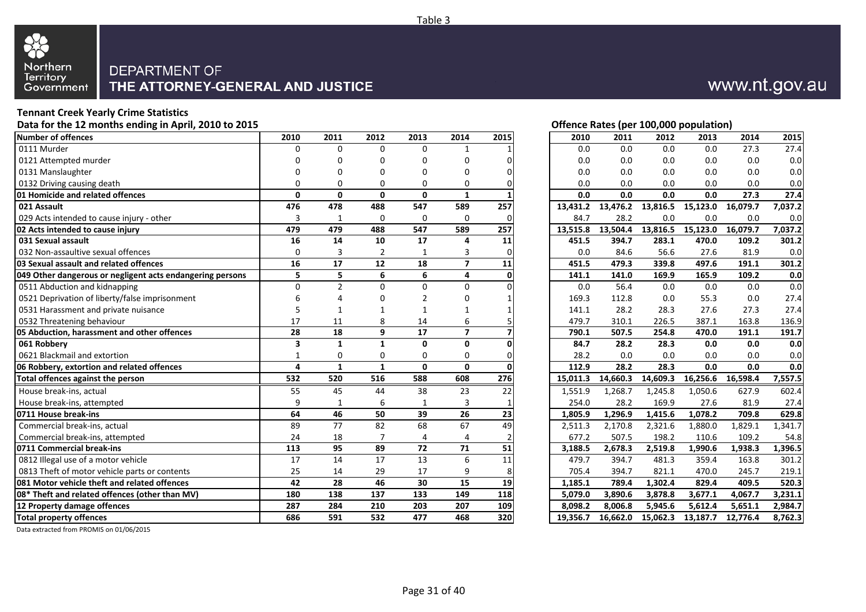

#### **Tennant Creek Yearly Crime Statistics**

Data for the 12 months ending in April, 2010 to 2015 **Data for the 12 months ending in April, 2010 to 2015 Contract Contract Contract Contract Contract Contract Contract Contract Contract Contract Contract Contract Contr** 

| <b>Number of offences</b>                                 | 2010         | 2011           | 2012           | 2013         | 2014                     | 2015           | 2010     | 2011     | 2012     | 2013     | 2014     | 2015    |
|-----------------------------------------------------------|--------------|----------------|----------------|--------------|--------------------------|----------------|----------|----------|----------|----------|----------|---------|
| 0111 Murder                                               | U            | 0              | $\Omega$       | $\Omega$     | 1                        |                | 0.0      | 0.0      | 0.0      | 0.0      | 27.3     | 27.4    |
| 0121 Attempted murder                                     |              | ŋ              | U              | 0            | $\Omega$                 |                | 0.0      | 0.0      | 0.0      | 0.0      | 0.0      | 0.0     |
| 0131 Manslaughter                                         |              | ŋ              | U              | 0            | $\Omega$                 |                | 0.0      | 0.0      | 0.0      | 0.0      | 0.0      | 0.0     |
| 0132 Driving causing death                                | 0            | 0              | U              | 0            | $\Omega$                 |                | 0.0      | 0.0      | 0.0      | 0.0      | 0.0      | 0.0     |
| 01 Homicide and related offences                          | $\mathbf{0}$ | $\Omega$       | 0              | 0            | $\mathbf{1}$             |                | 0.0      | 0.0      | 0.0      | 0.0      | 27.3     | 27.4    |
| 021 Assault                                               | 476          | 478            | 488            | 547          | 589                      | 257            | 13,431.2 | 13,476.2 | 13,816.5 | 15,123.0 | 16,079.7 | 7,037.2 |
| 029 Acts intended to cause injury - other                 | 3            | -1             | $\Omega$       | $\mathbf 0$  | $\mathbf 0$              |                | 84.7     | 28.2     | 0.0      | 0.0      | 0.0      | 0.0     |
| 02 Acts intended to cause injury                          | 479          | 479            | 488            | 547          | 589                      | 257            | 13,515.8 | 13,504.4 | 13,816.5 | 15,123.0 | 16,079.7 | 7,037.2 |
| 031 Sexual assault                                        | 16           | 14             | 10             | 17           | 4                        | 11             | 451.5    | 394.7    | 283.1    | 470.0    | 109.2    | 301.2   |
| 032 Non-assaultive sexual offences                        | $\Omega$     | 3              | $\overline{2}$ |              | 3                        |                | 0.0      | 84.6     | 56.6     | 27.6     | 81.9     | 0.0     |
| 03 Sexual assault and related offences                    | 16           | 17             | 12             | 18           | $\overline{\phantom{a}}$ | 11             | 451.5    | 479.3    | 339.8    | 497.6    | 191.1    | 301.2   |
| 049 Other dangerous or negligent acts endangering persons | 5            | 5              | 6              | 6            | 4                        | O              | 141.1    | 141.0    | 169.9    | 165.9    | 109.2    | 0.0     |
| 0511 Abduction and kidnapping                             | $\Omega$     | $\mathfrak{p}$ | O              | $\Omega$     | $\Omega$                 |                | 0.0      | 56.4     | 0.0      | 0.0      | 0.0      | 0.0     |
| 0521 Deprivation of liberty/false imprisonment            |              |                |                | っ            | U                        |                | 169.3    | 112.8    | 0.0      | 55.3     | 0.0      | 27.4    |
| 0531 Harassment and private nuisance                      | 5            |                |                |              |                          |                | 141.1    | 28.2     | 28.3     | 27.6     | 27.3     | 27.4    |
| 0532 Threatening behaviour                                | 17           | 11             | 8              | 14           | 6                        |                | 479.7    | 310.1    | 226.5    | 387.1    | 163.8    | 136.9   |
| 05 Abduction, harassment and other offences               | 28           | 18             | 9              | 17           | $\overline{7}$           |                | 790.1    | 507.5    | 254.8    | 470.0    | 191.1    | 191.7   |
| 061 Robberv                                               | 3            | $\mathbf{1}$   | 1              | 0            | 0                        |                | 84.7     | 28.2     | 28.3     | 0.0      | 0.0      | 0.0     |
| 0621 Blackmail and extortion                              | $\mathbf{1}$ | 0              | 0              | $\Omega$     | $\Omega$                 | $\Omega$       | 28.2     | 0.0      | 0.0      | 0.0      | 0.0      | 0.0     |
| 06 Robbery, extortion and related offences                | 4            | $\mathbf{1}$   | $\mathbf{1}$   | $\mathbf{0}$ | $\mathbf{0}$             |                | 112.9    | 28.2     | 28.3     | 0.0      | 0.0      | 0.0     |
| Total offences against the person                         | 532          | 520            | 516            | 588          | 608                      | 276            | 15,011.3 | 14,660.3 | 14,609.3 | 16,256.6 | 16,598.4 | 7,557.5 |
| House break-ins, actual                                   | 55           | 45             | 44             | 38           | 23                       | 22             | 1,551.9  | 1,268.7  | 1,245.8  | 1,050.6  | 627.9    | 602.4   |
| House break-ins, attempted                                | 9            | -1             | 6              | $\mathbf{1}$ | 3                        |                | 254.0    | 28.2     | 169.9    | 27.6     | 81.9     | 27.4    |
| 0711 House break-ins                                      | 64           | 46             | 50             | 39           | 26                       | 23             | 1,805.9  | 1,296.9  | 1,415.6  | 1,078.2  | 709.8    | 629.8   |
| Commercial break-ins, actual                              | 89           | 77             | 82             | 68           | 67                       | 49             | 2,511.3  | 2,170.8  | 2,321.6  | 1,880.0  | 1,829.1  | 1,341.7 |
| Commercial break-ins, attempted                           | 24           | 18             | 7              | 4            | 4                        | $\overline{2}$ | 677.2    | 507.5    | 198.2    | 110.6    | 109.2    | 54.8    |
| 0711 Commercial break-ins                                 | 113          | 95             | 89             | 72           | 71                       | 51             | 3,188.5  | 2,678.3  | 2,519.8  | 1,990.6  | 1,938.3  | 1,396.5 |
| 0812 Illegal use of a motor vehicle                       | 17           | 14             | 17             | 13           | 6                        | 11             | 479.7    | 394.7    | 481.3    | 359.4    | 163.8    | 301.2   |
| 0813 Theft of motor vehicle parts or contents             | 25           | 14             | 29             | 17           | 9                        |                | 705.4    | 394.7    | 821.1    | 470.0    | 245.7    | 219.1   |
| 081 Motor vehicle theft and related offences              | 42           | 28             | 46             | 30           | 15                       | 19             | 1,185.1  | 789.4    | 1,302.4  | 829.4    | 409.5    | 520.3   |
| 08* Theft and related offences (other than MV)            | 180          | 138            | 137            | 133          | 149                      | 118            | 5,079.0  | 3,890.6  | 3,878.8  | 3,677.1  | 4,067.7  | 3,231.1 |
| 12 Property damage offences                               | 287          | 284            | 210            | 203          | 207                      | 109            | 8.098.2  | 8.006.8  | 5,945.6  | 5,612.4  | 5,651.1  | 2,984.7 |
| <b>Total property offences</b>                            | 686          | 591            | 532            | 477          | 468                      | 320            | 19,356.7 | 16,662.0 | 15,062.3 | 13,187.7 | 12,776.4 | 8,762.3 |

www.nt.gov.au

| 2010     | 2011     | 2012              | 2013                                | 2014              | 2015                 |
|----------|----------|-------------------|-------------------------------------|-------------------|----------------------|
| 0.0      | 0.0      | $0.0\,$           | $0.0\,$                             | 27.3              | 27.4                 |
| 0.0      | 0.0      | 0.0               | 0.0                                 | 0.0               | 0.0                  |
| 0.0      | 0.0      | 0.0               | 0.0                                 | 0.0               | 0.0                  |
| 0.0      | 0.0      | 0.0               | 0.0                                 | 0.0               | 0.0                  |
| 0.0      | 0.0      | 0.0               | 0.0                                 | $\overline{27.3}$ | 27.4                 |
| 13,431.2 |          | 13,476.2 13,816.5 | 15,123.0                            | 16,079.7          | 7,037.2              |
| 84.7     | 28.2     | 0.0               | 0.0                                 | 0.0               | 0.0                  |
| 13,515.8 |          |                   | 13,504.4 13,816.5 15,123.0          | 16,079.7          | 7,037.2              |
| 451.5    | 394.7    | 283.1             | 470.0                               | 109.2             | 301.2                |
| 0.0      | 84.6     | 56.6              | 27.6                                | 81.9              | 0.0                  |
| 451.5    | 479.3    | 339.8             | 497.6                               | 191.1             | 301.2                |
| 141.1    | 141.0    | 169.9             | 165.9                               | 109.2             | 0.0                  |
| 0.0      | 56.4     | 0.0               | 0.0                                 | 0.0               | 0.0                  |
| 169.3    | 112.8    | 0.0               | 55.3                                | 0.0               | 27.4                 |
| 141.1    | 28.2     | 28.3              | 27.6                                | 27.3              | 27.4                 |
| 479.7    | 310.1    | 226.5             | 387.1                               | 163.8             | 136.9                |
| 790.1    | 507.5    | 254.8             | 470.0                               | 191.1             | 191.7                |
| 84.7     | 28.2     | 28.3              | 0.0                                 | 0.0               | 0.0                  |
| 28.2     | 0.0      | 0.0               | 0.0                                 | 0.0               | 0.0                  |
| 112.9    | 28.2     | 28.3              | 0.0                                 | 0.0               | 0.0                  |
|          |          |                   | 15,011.3 14,660.3 14,609.3 16,256.6 | 16,598.4          | 7,557.5              |
| 1,551.9  | 1,268.7  | 1,245.8           | 1,050.6                             | 627.9             | 602.4                |
| 254.0    | 28.2     | 169.9             | 27.6                                | 81.9              | 27.4                 |
| 1,805.9  | 1,296.9  | 1,415.6           | 1,078.2                             | 709.8             | 629.8                |
| 2,511.3  | 2,170.8  | 2,321.6           | 1,880.0                             | 1,829.1           | 1,341.7              |
| 677.2    | 507.5    | 198.2             | 110.6                               | 109.2             | 54.8                 |
| 3,188.5  | 2,678.3  | 2,519.8           | 1,990.6                             | 1,938.3           | $\overline{1,}396.5$ |
| 479.7    | 394.7    | 481.3             | 359.4                               | 163.8             | 301.2                |
| 705.4    | 394.7    | 821.1             | 470.0                               | 245.7             | 219.1                |
| 1,185.1  | 789.4    | 1,302.4           | 829.4                               | 409.5             | 520.3                |
| 5,079.0  | 3,890.6  | 3,878.8           | 3,677.1                             | 4,067.7           | 3,231.1              |
| 8,098.2  | 8,006.8  | 5,945.6           | 5,612.4                             | 5,651.1           | 2,984.7              |
| 19.356.7 | 16.662.0 | 15.062.3          |                                     | 13.187.7 12.776.4 | 8.762.3              |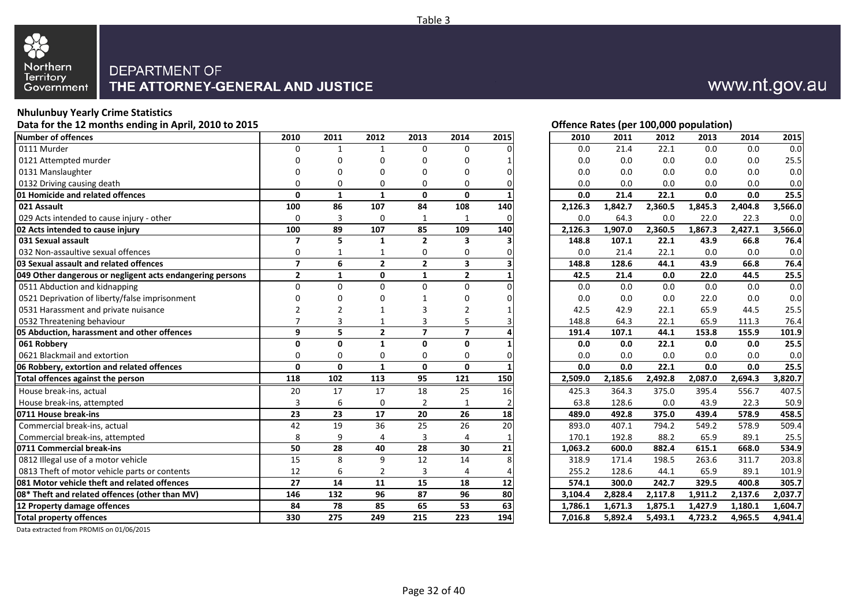

#### **Nhulunbuy Yearly Crime Statistics**

Data for the 12 months ending in April, 2010 to 2015 **Data for the 12 months ending in April, 2010 to 2015 Contract Contract Contract Contract Contract Contract Contract Contract Contract Contract Contract Contract Contr** 

| <b>Number of offences</b>                                 | 2010                     | 2011         | 2012           | 2013           | 2014                    | 2015     | 2010    | 2011    | 2012    | 2013    | 2014    | 2015    |
|-----------------------------------------------------------|--------------------------|--------------|----------------|----------------|-------------------------|----------|---------|---------|---------|---------|---------|---------|
| 0111 Murder                                               | 0                        | $\mathbf{1}$ | $\mathbf{1}$   | $\Omega$       | $\mathbf 0$             |          | 0.0     | 21.4    | 22.1    | 0.0     | 0.0     | 0.0     |
| 0121 Attempted murder                                     | 0                        | O            | U              | 0              | $\Omega$                |          | 0.0     | 0.0     | 0.0     | 0.0     | 0.0     | 25.5    |
| 0131 Manslaughter                                         | ŋ                        | ŋ            | 0              | 0              | 0                       | $\Omega$ | 0.0     | 0.0     | 0.0     | 0.0     | 0.0     | 0.0     |
| 0132 Driving causing death                                | 0                        | 0            | 0              | 0              | $\Omega$                |          | 0.0     | 0.0     | 0.0     | 0.0     | 0.0     | 0.0     |
| 01 Homicide and related offences                          | 0                        | $\mathbf{1}$ | $\mathbf{1}$   | 0              | $\mathbf{0}$            |          | 0.0     | 21.4    | 22.1    | 0.0     | 0.0     | 25.5    |
| 021 Assault                                               | 100                      | 86           | 107            | 84             | 108                     | 140      | 2,126.3 | 1,842.7 | 2,360.5 | 1,845.3 | 2,404.8 | 3,566.0 |
| 029 Acts intended to cause injury - other                 | 0                        | 3            | 0              | 1              | 1                       | $\Omega$ | 0.0     | 64.3    | 0.0     | 22.0    | 22.3    | 0.0     |
| 02 Acts intended to cause injury                          | 100                      | 89           | 107            | 85             | 109                     | 140      | 2,126.3 | 1,907.0 | 2,360.5 | 1,867.3 | 2,427.1 | 3,566.0 |
| 031 Sexual assault                                        | $\overline{\phantom{a}}$ | 5            | $\mathbf{1}$   | $\overline{2}$ | 3                       |          | 148.8   | 107.1   | 22.1    | 43.9    | 66.8    | 76.4    |
| 032 Non-assaultive sexual offences                        | 0                        |              | 1              | 0              | 0                       |          | 0.0     | 21.4    | 22.1    | 0.0     | 0.0     | 0.0     |
| 03 Sexual assault and related offences                    | $\overline{7}$           | 6            | $\overline{2}$ | $\overline{2}$ | $\overline{\mathbf{3}}$ |          | 148.8   | 128.6   | 44.1    | 43.9    | 66.8    | 76.4    |
| 049 Other dangerous or negligent acts endangering persons | $\overline{2}$           | $\mathbf{1}$ | 0              | $\mathbf{1}$   | $\overline{2}$          |          | 42.5    | 21.4    | 0.0     | 22.0    | 44.5    | 25.5    |
| 0511 Abduction and kidnapping                             | $\Omega$                 | $\Omega$     | U              | 0              | $\Omega$                |          | 0.0     | 0.0     | 0.0     | 0.0     | 0.0     | 0.0     |
| 0521 Deprivation of liberty/false imprisonment            | ŋ                        | U            |                |                | $\Omega$                |          | 0.0     | 0.0     | 0.0     | 22.0    | 0.0     | 0.0     |
| 0531 Harassment and private nuisance                      |                          | 2            |                | 3              | $\overline{2}$          |          | 42.5    | 42.9    | 22.1    | 65.9    | 44.5    | 25.5    |
| 0532 Threatening behaviour                                |                          | 3            |                | 3              | 5                       |          | 148.8   | 64.3    | 22.1    | 65.9    | 111.3   | 76.4    |
| 05 Abduction, harassment and other offences               | 9                        | 5.           | $\overline{2}$ | $\overline{ }$ | $\overline{7}$          |          | 191.4   | 107.1   | 44.1    | 153.8   | 155.9   | 101.9   |
| 061 Robberv                                               | 0                        | O.           | 1              | O              | 0                       |          | 0.0     | 0.0     | 22.1    | 0.0     | 0.0     | 25.5    |
| 0621 Blackmail and extortion                              | $\Omega$                 | 0            | 0              | 0              | $\Omega$                | $\Omega$ | 0.0     | 0.0     | 0.0     | 0.0     | 0.0     | 0.0     |
| 06 Robbery, extortion and related offences                | 0                        | $\mathbf{0}$ | $\mathbf{1}$   | $\mathbf{0}$   | $\mathbf{0}$            |          | 0.0     | 0.0     | 22.1    | 0.0     | 0.0     | 25.5    |
| Total offences against the person                         | 118                      | 102          | 113            | 95             | 121                     | 150      | 2,509.0 | 2,185.6 | 2,492.8 | 2,087.0 | 2,694.3 | 3,820.7 |
| House break-ins, actual                                   | 20                       | 17           | 17             | 18             | 25                      | 16       | 425.3   | 364.3   | 375.0   | 395.4   | 556.7   | 407.5   |
| House break-ins, attempted                                | 3                        | 6            | 0              | $\overline{2}$ | $\mathbf{1}$            |          | 63.8    | 128.6   | 0.0     | 43.9    | 22.3    | 50.9    |
| 0711 House break-ins                                      | 23                       | 23           | 17             | 20             | 26                      | 18       | 489.0   | 492.8   | 375.0   | 439.4   | 578.9   | 458.5   |
| Commercial break-ins, actual                              | 42                       | 19           | 36             | 25             | 26                      | 20       | 893.0   | 407.1   | 794.2   | 549.2   | 578.9   | 509.4   |
| Commercial break-ins, attempted                           | 8                        | 9            | 4              | 3              | 4                       |          | 170.1   | 192.8   | 88.2    | 65.9    | 89.1    | 25.5    |
| 0711 Commercial break-ins                                 | 50                       | 28           | 40             | 28             | 30                      | 21       | 1,063.2 | 600.0   | 882.4   | 615.1   | 668.0   | 534.9   |
| 0812 Illegal use of a motor vehicle                       | 15                       | 8            | 9              | 12             | 14                      |          | 318.9   | 171.4   | 198.5   | 263.6   | 311.7   | 203.8   |
| 0813 Theft of motor vehicle parts or contents             | 12                       | 6            | 2              | 3              | 4                       |          | 255.2   | 128.6   | 44.1    | 65.9    | 89.1    | 101.9   |
| 081 Motor vehicle theft and related offences              | 27                       | 14           | 11             | 15             | 18                      | 12       | 574.1   | 300.0   | 242.7   | 329.5   | 400.8   | 305.7   |
| 08* Theft and related offences (other than MV)            | 146                      | 132          | 96             | 87             | 96                      | 80       | 3,104.4 | 2,828.4 | 2,117.8 | 1,911.2 | 2,137.6 | 2,037.7 |
| 12 Property damage offences                               | 84                       | 78           | 85             | 65             | 53                      | 63       | 1,786.1 | 1,671.3 | 1,875.1 | 1,427.9 | 1,180.1 | 1,604.7 |
| <b>Total property offences</b>                            | 330                      | 275          | 249            | 215            | 223                     | 194      | 7,016.8 | 5,892.4 | 5,493.1 | 4,723.2 | 4,965.5 | 4,941.4 |

www.nt.gov.au

| 2010                 | 2011    | 2012    | 2013    | 2014    | 2015    |
|----------------------|---------|---------|---------|---------|---------|
| 0.0                  | 21.4    | 22.1    | 0.0     | 0.0     | 0.0     |
| 0.0                  | 0.0     | 0.0     | 0.0     | 0.0     | 25.5    |
|                      |         |         |         |         |         |
| 0.0                  | 0.0     | 0.0     | 0.0     | 0.0     | 0.0     |
| 0.0                  | 0.0     | 0.0     | 0.0     | 0.0     | 0.0     |
| 0.0                  | 21.4    | 22.1    | 0.0     | 0.0     | 25.5    |
| 2,126.3              | 1,842.7 | 2,360.5 | 1,845.3 | 2,404.8 | 3,566.0 |
| 0.0                  | 64.3    | 0.0     | 22.0    | 22.3    | 0.0     |
| $2,126.\overline{3}$ | 1,907.0 | 2,360.5 | 1,867.3 | 2,427.1 | 3,566.0 |
| 148.8                | 107.1   | 22.1    | 43.9    | 66.8    | 76.4    |
| 0.0                  | 21.4    | 22.1    | 0.0     | 0.0     | $0.0\,$ |
| 148.8                | 128.6   | 44.1    | 43.9    | 66.8    | 76.4    |
| 42.5                 | 21.4    | 0.0     | 22.0    | 44.5    | 25.5    |
| 0.0                  | 0.0     | 0.0     | 0.0     | 0.0     | 0.0     |
| 0.0                  | 0.0     | 0.0     | 22.0    | 0.0     | 0.0     |
| 42.5                 | 42.9    | 22.1    | 65.9    | 44.5    | 25.5    |
| 148.8                | 64.3    | 22.1    | 65.9    | 111.3   | 76.4    |
| 191.4                | 107.1   | 44.1    | 153.8   | 155.9   | 101.9   |
| 0.0                  | 0.0     | 22.1    | 0.0     | 0.0     | 25.5    |
| 0.0                  | 0.0     | 0.0     | 0.0     | 0.0     | 0.0     |
| 0.0                  | 0.0     | 22.1    | 0.0     | 0.0     | 25.5    |
| 2,509.0              | 2,185.6 | 2,492.8 | 2,087.0 | 2,694.3 | 3,820.7 |
| 425.3                | 364.3   | 375.0   | 395.4   | 556.7   | 407.5   |
| 63.8                 | 128.6   | 0.0     | 43.9    | 22.3    | 50.9    |
| 489.0                | 492.8   | 375.0   | 439.4   | 578.9   | 458.5   |
| 893.0                | 407.1   | 794.2   | 549.2   | 578.9   | 509.4   |
| 170.1                | 192.8   | 88.2    | 65.9    | 89.1    | 25.5    |
| 1,063.2              | 600.0   | 882.4   | 615.1   | 668.0   | 534.9   |
| 318.9                | 171.4   | 198.5   | 263.6   | 311.7   | 203.8   |
| 255.2                | 128.6   | 44.1    | 65.9    | 89.1    | 101.9   |
| 574.1                | 300.0   | 242.7   | 329.5   | 400.8   | 305.7   |
|                      |         |         |         |         |         |
| 3,104.4              | 2,828.4 | 2,117.8 | 1,911.2 | 2,137.6 | 2,037.7 |
| 1,786.1              | 1,671.3 | 1,875.1 | 1,427.9 | 1,180.1 | 1,604.7 |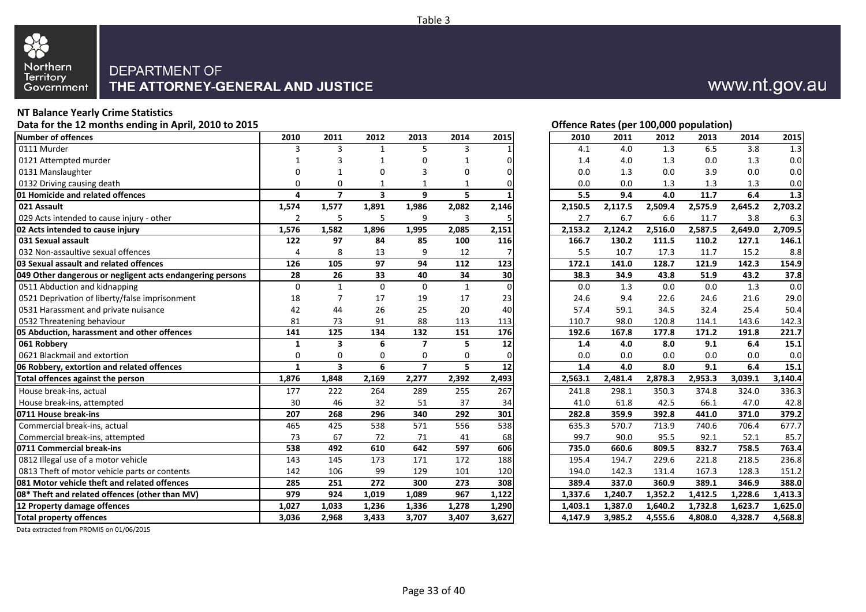

#### **NT Balance Yearly Crime Statistics**

Data for the 12 months ending in April, 2010 to 2015 **Data for the 12 months ending in April, 2010 to 2015 Contract Contract Contract Contract Contract Contract Contract Contract Contract Contract Contract Contract Contr** 

| Number of offences                                        | 2010           | 2011                     | 2012                    | 2013                     | 2014         | 2015     | 2010    | 2011    | 2012    | 2013    | 2014    | 2015               |
|-----------------------------------------------------------|----------------|--------------------------|-------------------------|--------------------------|--------------|----------|---------|---------|---------|---------|---------|--------------------|
| 0111 Murder                                               | ς              | 3                        | 1                       | 5.                       | 3            |          | 4.1     | 4.0     | 1.3     | 6.5     | 3.8     | 1.3                |
| 0121 Attempted murder                                     |                | 3                        |                         | U                        |              | $\Omega$ | 1.4     | 4.0     | 1.3     | 0.0     | 1.3     | 0.0                |
| 0131 Manslaughter                                         | U              |                          | U                       | 3                        | $\Omega$     | 0        | 0.0     | 1.3     | 0.0     | 3.9     | 0.0     | 0.0                |
| 0132 Driving causing death                                | 0              | 0                        |                         | 1                        | 1            | $\Omega$ | 0.0     | 0.0     | 1.3     | 1.3     | 1.3     | 0.0                |
| 01 Homicide and related offences                          | 4              | $\overline{\phantom{a}}$ | $\overline{\mathbf{3}}$ | 9                        | 5            |          | 5.5     | 9.4     | 4.0     | 11.7    | 6.4     | 1.3                |
| 021 Assault                                               | 1,574          | 1,577                    | 1,891                   | 1,986                    | 2,082        | 2,146    | 2,150.5 | 2,117.5 | 2,509.4 | 2,575.9 | 2,645.2 | 2,703.2            |
| 029 Acts intended to cause injury - other                 | $\overline{2}$ | 5                        | 5                       | 9                        | 3            |          | 2.7     | 6.7     | 6.6     | 11.7    | 3.8     | 6.3                |
| 02 Acts intended to cause injury                          | 1,576          | 1,582                    | 1,896                   | 1,995                    | 2,085        | 2,151    | 2,153.2 | 2,124.2 | 2,516.0 | 2,587.5 | 2,649.0 | 2,709.5            |
| 031 Sexual assault                                        | 122            | 97                       | 84                      | 85                       | 100          | 116      | 166.7   | 130.2   | 111.5   | 110.2   | 127.1   | 146.1              |
| 032 Non-assaultive sexual offences                        | 4              | 8                        | 13                      | 9                        | 12           |          | 5.5     | 10.7    | 17.3    | 11.7    | 15.2    | 8.8                |
| 03 Sexual assault and related offences                    | 126            | 105                      | 97                      | 94                       | 112          | 123      | 172.1   | 141.0   | 128.7   | 121.9   | 142.3   | 154.9              |
| 049 Other dangerous or negligent acts endangering persons | 28             | 26                       | 33                      | 40                       | 34           | 30       | 38.3    | 34.9    | 43.8    | 51.9    | 43.2    | 37.8               |
| 0511 Abduction and kidnapping                             | $\mathbf 0$    | $\mathbf{1}$             | 0                       | $\Omega$                 | $\mathbf{1}$ | $\Omega$ | 0.0     | 1.3     | 0.0     | 0.0     | 1.3     | 0.0                |
| 0521 Deprivation of liberty/false imprisonment            | 18             |                          | 17                      | 19                       | 17           | 23       | 24.6    | 9.4     | 22.6    | 24.6    | 21.6    | 29.0               |
| 0531 Harassment and private nuisance                      | 42             | 44                       | 26                      | 25                       | 20           | 40       | 57.4    | 59.1    | 34.5    | 32.4    | 25.4    | 50.4               |
| 0532 Threatening behaviour                                | 81             | 73                       | 91                      | 88                       | 113          | 113      | 110.7   | 98.0    | 120.8   | 114.1   | 143.6   | 142.3              |
| 05 Abduction, harassment and other offences               | 141            | 125                      | 134                     | 132                      | 151          | 176      | 192.6   | 167.8   | 177.8   | 171.2   | 191.8   | 221.7              |
| 061 Robbery                                               | 1              | 3                        | 6                       | $\overline{\phantom{a}}$ | 5            | 12       | 1.4     | 4.0     | 8.0     | 9.1     | 6.4     | 15.1               |
| 0621 Blackmail and extortion                              | 0              | 0                        | $\Omega$                | 0                        | 0            | 0        | 0.0     | 0.0     | 0.0     | 0.0     | 0.0     | 0.0                |
|                                                           |                |                          |                         |                          |              |          |         |         |         |         |         |                    |
| 06 Robbery, extortion and related offences                | $\mathbf{1}$   | $\overline{\mathbf{3}}$  | 6                       | $\overline{ }$           | 5.           | 12       | 1.4     | 4.0     | 8.0     | 9.1     | 6.4     | 15.1               |
| Total offences against the person                         | 1,876          | 1,848                    | 2,169                   | 2,277                    | 2,392        | 2,493    | 2,563.1 | 2,481.4 | 2,878.3 | 2,953.3 | 3,039.1 | 3,140.4            |
| House break-ins, actual                                   | 177            | 222                      | 264                     | 289                      | 255          | 267      | 241.8   | 298.1   | 350.3   | 374.8   | 324.0   | 336.3              |
| House break-ins, attempted                                | 30             | 46                       | 32                      | 51                       | 37           | 34       | 41.0    | 61.8    | 42.5    | 66.1    | 47.0    | 42.8               |
| 0711 House break-ins                                      | 207            | 268                      | 296                     | 340                      | 292          | 301      | 282.8   | 359.9   | 392.8   | 441.0   | 371.0   | 379.2              |
| Commercial break-ins, actual                              | 465            | 425                      | 538                     | 571                      | 556          | 538      | 635.3   | 570.7   | 713.9   | 740.6   | 706.4   | 677.7              |
| Commercial break-ins, attempted                           | 73             | 67                       | 72                      | 71                       | 41           | 68       | 99.7    | 90.0    | 95.5    | 92.1    | 52.1    | 85.7               |
| 0711 Commercial break-ins                                 | 538            | 492                      | 610                     | 642                      | 597          | 606      | 735.0   | 660.6   | 809.5   | 832.7   | 758.5   | 763.4              |
| 0812 Illegal use of a motor vehicle                       | 143            | 145                      | 173                     | 171                      | 172          | 188      | 195.4   | 194.7   | 229.6   | 221.8   | 218.5   | 236.8              |
| 0813 Theft of motor vehicle parts or contents             | 142            | 106                      | 99                      | 129                      | 101          | 120      | 194.0   | 142.3   | 131.4   | 167.3   | 128.3   | 151.2              |
| 081 Motor vehicle theft and related offences              | 285            | 251                      | 272                     | 300                      | 273          | 308      | 389.4   | 337.0   | 360.9   | 389.1   | 346.9   | 388.0              |
| 08* Theft and related offences (other than MV)            | 979            | 924                      | 1,019                   | 1,089                    | 967          | 1,122    | 1,337.6 | 1,240.7 | 1,352.2 | 1,412.5 | 1,228.6 | 1,413.3            |
| 12 Property damage offences                               | 1,027          | 1,033                    | 1,236                   | 1,336                    | 1,278        | 1,290    | 1,403.1 | 1,387.0 | 1,640.2 | 1,732.8 | 1,623.7 | 1,625.0<br>4,568.8 |

www.nt.gov.au

| 2010    | 2011    | 2012    | 2013    | 2014    | 2015    |
|---------|---------|---------|---------|---------|---------|
| 4.1     | 4.0     | 1.3     | 6.5     | 3.8     | 1.3     |
| 1.4     | 4.0     | 1.3     | 0.0     | 1.3     | 0.0     |
| 0.0     | 1.3     | 0.0     | 3.9     | 0.0     | 0.0     |
| 0.0     | 0.0     | 1.3     | 1.3     | 1.3     | 0.0     |
| 5.5     | 9.4     | 4.0     | 11.7    | 6.4     | 1.3     |
| 2,150.5 | 2,117.5 | 2,509.4 | 2,575.9 | 2,645.2 | 2,703.2 |
| 2.7     | 6.7     | 6.6     | 11.7    | 3.8     | 6.3     |
| 2,153.2 | 2,124.2 | 2,516.0 | 2,587.5 | 2,649.0 | 2,709.5 |
| 166.7   | 130.2   | 111.5   | 110.2   | 127.1   | 146.1   |
| 5.5     | 10.7    | 17.3    | 11.7    | 15.2    | 8.8     |
| 172.1   | 141.0   | 128.7   | 121.9   | 142.3   | 154.9   |
| 38.3    | 34.9    | 43.8    | 51.9    | 43.2    | 37.8    |
| 0.0     | 1.3     | 0.0     | 0.0     | 1.3     | 0.0     |
| 24.6    | 9.4     | 22.6    | 24.6    | 21.6    | 29.0    |
| 57.4    | 59.1    | 34.5    | 32.4    | 25.4    | 50.4    |
| 110.7   | 98.0    | 120.8   | 114.1   | 143.6   | 142.3   |
| 192.6   | 167.8   | 177.8   | 171.2   | 191.8   | 221.7   |
| 1.4     | 4.0     | 8.0     | 9.1     | 6.4     | 15.1    |
| 0.0     | 0.0     | 0.0     | 0.0     | 0.0     | 0.0     |
| 1.4     | 4.0     | 8.0     | 9.1     | 6.4     | 15.1    |
| 2,563.1 | 2,481.4 | 2,878.3 | 2,953.3 | 3,039.1 | 3,140.4 |
| 241.8   | 298.1   | 350.3   | 374.8   | 324.0   | 336.3   |
| 41.0    | 61.8    | 42.5    | 66.1    | 47.0    | 42.8    |
| 282.8   | 359.9   | 392.8   | 441.0   | 371.0   | 379.2   |
| 635.3   | 570.7   | 713.9   | 740.6   | 706.4   | 677.7   |
| 99.7    | 90.0    | 95.5    | 92.1    | 52.1    | 85.7    |
| 735.0   | 660.6   | 809.5   | 832.7   | 758.5   | 763.4   |
| 195.4   | 194.7   | 229.6   | 221.8   | 218.5   | 236.8   |
| 194.0   | 142.3   | 131.4   | 167.3   | 128.3   | 151.2   |
| 389.4   | 337.0   | 360.9   | 389.1   | 346.9   | 388.0   |
| 1,337.6 | 1,240.7 | 1,352.2 | 1,412.5 | 1,228.6 | 1,413.3 |
| 1,403.1 | 1,387.0 | 1,640.2 | 1,732.8 | 1,623.7 | 1,625.0 |
| 4.147.9 | 3.985.2 | 4.555.6 | 4.808.0 | 4.328.7 | 4.568.8 |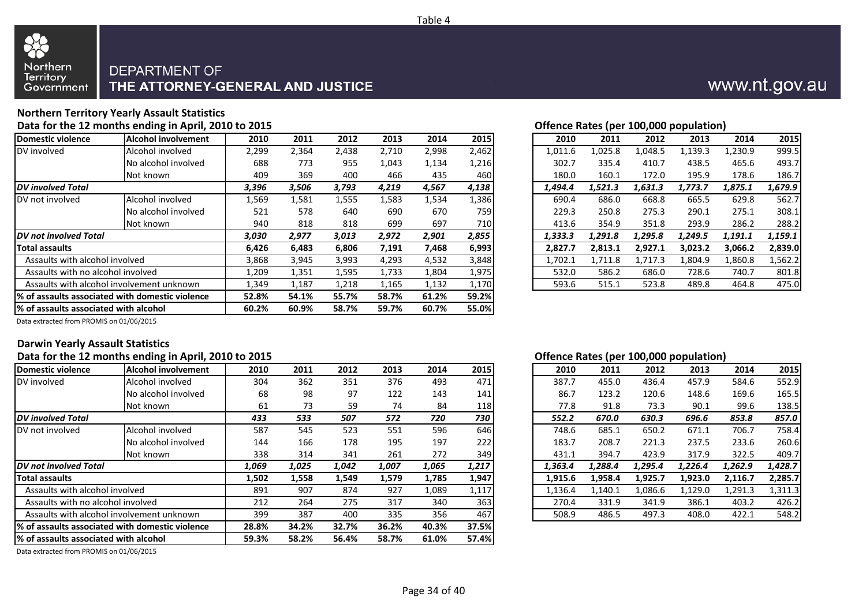

#### **Northern Territory Yearly Assault Statistics** Data for the 12 months ending in April, 2010 to 2015

|                                       |                                                 |       |       |       |       |       |              |         |         |         | --- <i>--</i> --------- |         |         |
|---------------------------------------|-------------------------------------------------|-------|-------|-------|-------|-------|--------------|---------|---------|---------|-------------------------|---------|---------|
| Domestic violence                     | <b>Alcohol involvement</b>                      | 2010  | 2011  | 2012  | 2013  | 2014  | 2015         | 2010    | 2011    | 2012    | 2013                    | 2014    | 2015    |
| DV involved                           | Alcohol involved                                | 2,299 | 2,364 | 2,438 | 2,710 | 2,998 | 2,462        | 1,011.6 | 1,025.8 | 1,048.5 | 1,139.3                 | 1,230.9 | 999.5   |
|                                       | No alcohol involved                             | 688   | 773   | 955   | 1,043 | 1,134 | 1,216        | 302.7   | 335.4   | 410.7   | 438.5                   | 465.6   | 493.7   |
|                                       | Not known                                       | 409   | 369   | 400   | 466   | 435   | 460          | 180.0   | 160.1   | 172.0   | 195.9                   | 178.6   | 186.7   |
| <b>DV</b> involved Total              |                                                 | 3,396 | 3,506 | 3,793 | 4,219 | 4,567 | 4,138        | 1,494.4 | 1,521.3 | 1,631.3 | 1,773.7                 | 1,875.1 | 1,679.9 |
| DV not involved                       | Alcohol involved                                | 1,569 | 1,581 | 1,555 | 1,583 | 1,534 | 1,386        | 690.4   | 686.0   | 668.8   | 665.5                   | 629.8   | 562.7   |
|                                       | No alcohol involved                             | 521   | 578   | 640   | 690   | 670   | 759 <b>1</b> | 229.3   | 250.8   | 275.3   | 290.1                   | 275.1   | 308.1   |
|                                       | Not known                                       | 940   | 818   | 818   | 699   | 697   | 710          | 413.6   | 354.9   | 351.8   | 293.9                   | 286.2   | 288.2   |
| <b>IDV</b> not involved Total         |                                                 | 3,030 | 2,977 | 3,013 | 2,972 | 2,901 | 2,855        | 1,333.3 | 1,291.8 | 1,295.8 | 1,249.5                 | 1,191.1 | 1,159.1 |
| <b>Total assaults</b>                 |                                                 | 6,426 | 6,483 | 6,806 | 7,191 | 7,468 | 6,993        | 2,827.7 | 2,813.1 | 2,927.1 | 3,023.2                 | 3,066.2 | 2,839.0 |
| Assaults with alcohol involved        |                                                 | 3,868 | 3,945 | 3,993 | 4,293 | 4,532 | 3,848        | 1,702.1 | 1,711.8 | 1,717.3 | 1,804.9                 | 1,860.8 | 1,562.2 |
| Assaults with no alcohol involved     |                                                 | 1,209 | 1,351 | 1,595 | 1,733 | 1,804 | 1,975        | 532.0   | 586.2   | 686.0   | 728.6                   | 740.7   | 801.8   |
|                                       | Assaults with alcohol involvement unknown       | 1,349 | 1,187 | 1,218 | 1,165 | 1,132 | 1,170        | 593.6   | 515.1   | 523.8   | 489.8                   | 464.8   | 475.0   |
|                                       | % of assaults associated with domestic violence | 52.8% | 54.1% | 55.7% | 58.7% | 61.2% | 59.2%        |         |         |         |                         |         |         |
| % of assaults associated with alcohol |                                                 | 60.2% | 60.9% | 58.7% | 59.7% | 60.7% | 55.0%        |         |         |         |                         |         |         |

| Offence Rates (per 100.000 population) |  |  |  |  |
|----------------------------------------|--|--|--|--|

|         | $\mathbf{r}$ |         | - r -   |         |         |
|---------|--------------|---------|---------|---------|---------|
| 2010    | 2011         | 2012    | 2013    | 2014    | 2015    |
| 1,011.6 | 1,025.8      | 1,048.5 | 1,139.3 | 1,230.9 | 999.5   |
| 302.7   | 335.4        | 410.7   | 438.5   | 465.6   | 493.7   |
| 180.0   | 160.1        | 172.0   | 195.9   | 178.6   | 186.7   |
| 1,494.4 | 1,521.3      | 1,631.3 | 1,773.7 | 1,875.1 | 1,679.9 |
| 690.4   | 686.0        | 668.8   | 665.5   | 629.8   | 562.7   |
| 229.3   | 250.8        | 275.3   | 290.1   | 275.1   | 308.1   |
| 413.6   | 354.9        | 351.8   | 293.9   | 286.2   | 288.2   |
| 1,333.3 | 1,291.8      | 1,295.8 | 1,249.5 | 1,191.1 | 1,159.1 |
| 2,827.7 | 2.813.1      | 2,927.1 | 3,023.2 | 3,066.2 | 2,839.0 |
| 1,702.1 | 1,711.8      | 1,717.3 | 1,804.9 | 1,860.8 | 1,562.2 |
| 532.0   | 586.2        | 686.0   | 728.6   | 740.7   | 801.8   |
| 593.6   | 515.1        | 523.8   | 489.8   | 464.8   | 475.0   |
|         |              |         |         |         |         |

www.nt.gov.au

Data extracted from PROMIS on 01/06/2015

#### **Darwin Yearly Assault Statistics**

#### **Data for the 12 months ending in April, 2010 to 2015 Offence Rates (per 100,000 population)**

| $\mathbf{r}$ , and $\mathbf{r}$                  |       |       |       |       |       |       |                             |                     | $\mathbf{u}$ – | . . <i>.</i> | ----    |         |         |
|--------------------------------------------------|-------|-------|-------|-------|-------|-------|-----------------------------|---------------------|----------------|--------------|---------|---------|---------|
| <b>Alcohol involvement</b>                       | 2010  | 2011  | 2012  | 2013  | 2014  |       |                             | 2010                | 2011           | 2012         | 2013    | 2014    | 2015    |
| Alcohol involved                                 | 304   | 362   | 351   | 376   | 493   | 471   |                             | 387.7               | 455.0          | 436.4        | 457.9   | 584.6   | 552.9   |
| No alcohol involved                              | 68    | 98    | 97    | 122   | 143   | 141   |                             | 86.7                | 123.2          | 120.6        | 148.6   | 169.6   | 165.5   |
| Not known                                        | 61    | 73    | 59    | 74    | 84    |       |                             | 77.8                | 91.8           | 73.3         | 90.1    | 99.6    | 138.5   |
|                                                  | 433   | 533   | 507   | 572   | 720   | 730   |                             | 552.2               | 670.0          | 630.3        | 696.6   | 853.8   | 857.0   |
| Alcohol involved                                 | 587   | 545   | 523   | 551   | 596   |       |                             | 748.6               | 685.1          | 650.2        | 671.1   | 706.7   | 758.4   |
| No alcohol involved                              | 144   | 166   | 178   | 195   | 197   | 222   |                             | 183.7               | 208.7          | 221.3        | 237.5   | 233.6   | 260.6   |
| Not known                                        | 338   | 314   | 341   | 261   | 272   |       |                             | 431.1               | 394.7          | 423.9        | 317.9   | 322.5   | 409.7   |
| <b>DV</b> not involved Total                     | 1,069 | 1,025 | 1,042 | 1,007 | 1,065 | 1,217 |                             | 1,363.4             | 1,288.4        | 1,295.4      | 1,226.4 | 1,262.9 | 1,428.7 |
|                                                  | 1,502 | 1,558 | 1,549 | 1,579 | 1,785 | 1,947 |                             | 1,915.6             | 1,958.4        | 1,925.7      | 1,923.0 | 2,116.7 | 2,285.7 |
| Assaults with alcohol involved                   | 891   | 907   | 874   | 927   | 1,089 | 1,117 |                             | 1,136.4             | 1,140.1        | 1,086.6      | 1,129.0 | 1,291.3 | 1,311.3 |
| Assaults with no alcohol involved                | 212   | 264   | 275   | 317   | 340   |       |                             | 270.4               | 331.9          | 341.9        | 386.1   | 403.2   | 426.2   |
| Assaults with alcohol involvement unknown        | 399   | 387   | 400   | 335   | 356   | 467   |                             | 508.9               | 486.5          | 497.3        | 408.0   | 422.1   | 548.2   |
| 1% of assaults associated with domestic violence | 28.8% | 34.2% | 32.7% | 36.2% | 40.3% |       |                             |                     |                |              |         |         |         |
| 1% of assaults associated with alcohol           | 59.3% | 58.2% | 56.4% | 58.7% | 61.0% |       |                             |                     |                |              |         |         |         |
|                                                  |       |       |       |       |       |       | 2015<br>118<br>363<br>37.5% | 646<br>349<br>57.4% |                |              |         |         |         |

Data extracted from PROMIS on 01/06/2015

| 2010    | 2011    | 2012    | 2013    | 2014    | 2015    |
|---------|---------|---------|---------|---------|---------|
| 387.7   | 455.0   | 436.4   | 457.9   | 584.6   | 552.9   |
| 86.7    | 123.2   | 120.6   | 148.6   | 169.6   | 165.5   |
| 77.8    | 91.8    | 73.3    | 90.1    | 99.6    | 138.5   |
| 552.2   | 670.0   | 630.3   | 696.6   | 853.8   | 857.0   |
| 748.6   | 685.1   | 650.2   | 671.1   | 706.7   | 758.4   |
| 183.7   | 208.7   | 221.3   | 237.5   | 233.6   | 260.6   |
| 431.1   | 394.7   | 423.9   | 317.9   | 322.5   | 409.7   |
| 1,363.4 | 1,288.4 | 1,295.4 | 1,226.4 | 1,262.9 | 1,428.7 |
| 1,915.6 | 1,958.4 | 1,925.7 | 1,923.0 | 2,116.7 | 2,285.7 |
| 1,136.4 | 1,140.1 | 1,086.6 | 1,129.0 | 1,291.3 | 1,311.3 |
| 270.4   | 331.9   | 341.9   | 386.1   | 403.2   | 426.2   |
| 508.9   | 486.5   | 497.3   | 408.0   | 422.1   | 548.2   |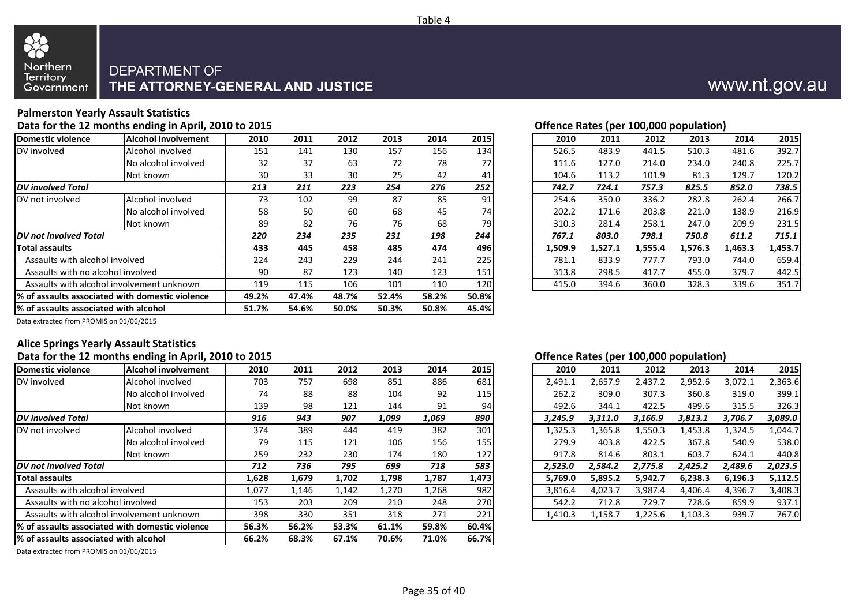



#### **Palmerston Yearly Assault Statistics**

Data for the 12 months ending in April, 2010 to 2015

| <b>Domestic violence</b>               | Alcohol involvement                              | 2010  | 2011  | 2012  | 2013  | 2014  | 2015       | 2010    | 2011    | 2012    | 2013    | 2014    | 2015    |
|----------------------------------------|--------------------------------------------------|-------|-------|-------|-------|-------|------------|---------|---------|---------|---------|---------|---------|
| DV involved                            | Alcohol involved                                 | 151   | 141   | 130   | 157   | 156   | 134        | 526.5   | 483.9   | 441.5   | 510.3   | 481.6   | 392.7   |
|                                        | No alcohol involved                              | 32    | 37    | 63    | 72    | 78    | 77         | 111.6   | 127.0   | 214.0   | 234.0   | 240.8   | 225.7   |
|                                        | Not known                                        | 30    | 33    | 30    | 25    | 42    | 41         | 104.6   | 113.2   | 101.9   | 81.3    | 129.7   | 120.2   |
| <b>DV</b> involved Total               |                                                  | 213   | 211   | 223   | 254   | 276   | 252        | 742.7   | 724.1   | 757.3   | 825.5   | 852.0   | 738.5   |
| DV not involved                        | Alcohol involved                                 | 73    | 102   | 99    | 87    | 85    | 91         | 254.6   | 350.0   | 336.2   | 282.8   | 262.4   | 266.7   |
|                                        | No alcohol involved                              | 58    | 50    | 60    | 68    | 45    | 74         | 202.2   | 171.6   | 203.8   | 221.0   | 138.9   | 216.9   |
|                                        | Not known                                        | 89    | 82    | 76    | 76    | 68    | 79I        | 310.3   | 281.4   | 258.1   | 247.0   | 209.9   | 231.5   |
| DV not involved Total                  |                                                  | 220   | 234   | 235   | 231   | 198   | 244        | 767.1   | 803.0   | 798.1   | 750.8   | 611.2   | 715.1   |
| <b>Total assaults</b>                  |                                                  | 433   | 445   | 458   | 485   | 474   | 4961       | 1,509.9 | 1,527.1 | 1,555.4 | 1,576.3 | 1,463.3 | 1,453.7 |
| Assaults with alcohol involved         |                                                  | 224   | 243   | 229   | 244   | 241   | 225        | 781.1   | 833.9   | 777.7   | 793.0   | 744.0   | 659.4   |
| Assaults with no alcohol involved      |                                                  | 90    | 87    | 123   | 140   | 123   | 151        | 313.8   | 298.5   | 417.7   | 455.0   | 379.7   | 442.5   |
|                                        | Assaults with alcohol involvement unknown        | 119   | 115   | 106   | 101   | 110   | <b>120</b> | 415.0   | 394.6   | 360.0   | 328.3   | 339.6   | 351.7   |
|                                        | 1% of assaults associated with domestic violence | 49.2% | 47.4% | 48.7% | 52.4% | 58.2% | 50.8%      |         |         |         |         |         |         |
| 1% of assaults associated with alcohol |                                                  | 51.7% | 54.6% | 50.0% | 50.3% | 50.8% | 45.4%      |         |         |         |         |         |         |

| Offence Rates (per 100,000 population) |  |
|----------------------------------------|--|
|                                        |  |

|         | w       |         |         |         |         |
|---------|---------|---------|---------|---------|---------|
| 2010    | 2011    | 2012    | 2013    | 2014    | 2015    |
| 526.5   | 483.9   | 441.5   | 510.3   | 481.6   | 392.7   |
| 111.6   | 127.0   | 214.0   | 234.0   | 240.8   | 225.7   |
| 104.6   | 113.2   | 101.9   | 81.3    | 129.7   | 120.2   |
| 742.7   | 724.1   | 757.3   | 825.5   | 852.0   | 738.5   |
| 254.6   | 350.0   | 336.2   | 282.8   | 262.4   | 266.7   |
| 202.2   | 171.6   | 203.8   | 221.0   | 138.9   | 216.9   |
| 310.3   | 281.4   | 258.1   | 247.0   | 209.9   | 231.5   |
| 767.1   | 803.0   | 798.1   | 750.8   | 611.2   | 715.1   |
| 1.509.9 | 1,527.1 | 1.555.4 | 1.576.3 | 1.463.3 | 1,453.7 |
| 781.1   | 833.9   | 777.7   | 793.0   | 744.0   | 659.4   |
| 313.8   | 298.5   | 417.7   | 455.0   | 379.7   | 442.5   |
| 415.0   | 394.6   | 360.0   | 328.3   | 339.6   | 351.7   |
|         |         |         |         |         |         |

Data extracted from PROMIS on 01/06/2015

#### **Alice Springs Yearly Assault Statistics**

#### **Data for the 12 months ending in April, 2010 to 2015 Offence Rates (per 100,000 population)**

| Domestic violence                      | <b>Alcohol involvement</b>                       | 2010  | 2011  | 2012  | 2013  | 2014  | 2015  | 2010    | 2011    | 2012    | 2013    | 2014    | 2015    |
|----------------------------------------|--------------------------------------------------|-------|-------|-------|-------|-------|-------|---------|---------|---------|---------|---------|---------|
| DV involved                            | Alcohol involved                                 | 703   | 757   | 698   | 851   | 886   | 681   | 2,491.1 | 2,657.9 | 2,437.2 | 2,952.6 | 3,072.1 | 2,363.6 |
|                                        | No alcohol involved                              | 74    | 88    | 88    | 104   | 92    | 115   | 262.2   | 309.0   | 307.3   | 360.8   | 319.0   | 399.1   |
|                                        | Not known                                        | 139   | 98    | 121   | 144   | 91    | 94    | 492.6   | 344.1   | 422.5   | 499.6   | 315.5   | 326.3   |
| <b>IDV</b> involved Total              |                                                  | 916   | 943   | 907   | 1,099 | 1,069 | 890   | 3,245.9 | 3,311.0 | 3,166.9 | 3,813.1 | 3,706.7 | 3,089.0 |
| DV not involved                        | Alcohol involved                                 | 374   | 389   | 444   | 419   | 382   | 301   | 1,325.3 | 1,365.8 | 1,550.3 | 1,453.8 | 1,324.5 | 1,044.7 |
|                                        | No alcohol involved                              | 79    | 115   | 121   | 106   | 156   | 155   | 279.9   | 403.8   | 422.5   | 367.8   | 540.9   | 538.0   |
|                                        | Not known                                        | 259   | 232   | 230   | 174   | 180   | 127   | 917.8   | 814.6   | 803.1   | 603.7   | 624.1   | 440.8   |
| <b>IDV not involved Total</b>          |                                                  | 712   | 736   | 795   | 699   | 718   | 583   | 2,523.0 | 2,584.2 | 2,775.8 | 2,425.2 | 2,489.6 | 2,023.5 |
| <b>Total assaults</b>                  |                                                  | 1,628 | 1,679 | 1,702 | 1,798 | 1,787 | 1,473 | 5,769.0 | 5,895.2 | 5,942.7 | 6,238.3 | 6,196.3 | 5,112.5 |
| Assaults with alcohol involved         |                                                  | 1,077 | 1,146 | 1,142 | 1,270 | 1,268 | 982   | 3,816.4 | 4,023.7 | 3,987.4 | 4,406.4 | 4,396.7 | 3,408.3 |
| Assaults with no alcohol involved      |                                                  | 153   | 203   | 209   | 210   | 248   | 270   | 542.2   | 712.8   | 729.7   | 728.6   | 859.9   | 937.1   |
|                                        | Assaults with alcohol involvement unknown        | 398   | 330   | 351   | 318   | 271   | 221   | 1,410.3 | 1,158.7 | 1,225.6 | 1,103.3 | 939.7   | 767.0   |
|                                        | 1% of assaults associated with domestic violence | 56.3% | 56.2% | 53.3% | 61.1% | 59.8% | 60.4% |         |         |         |         |         |         |
| 1% of assaults associated with alcohol |                                                  | 66.2% | 68.3% | 67.1% | 70.6% | 71.0% | 66.7% |         |         |         |         |         |         |

| 2010    | 2011    | 2012    | 2013    | 2014    | 2015    |
|---------|---------|---------|---------|---------|---------|
| 2,491.1 | 2,657.9 | 2,437.2 | 2,952.6 | 3,072.1 | 2,363.6 |
| 262.2   | 309.0   | 307.3   | 360.8   | 319.0   | 399.1   |
| 492.6   | 344.1   | 422.5   | 499.6   | 315.5   | 326.3   |
| 3,245.9 | 3,311.0 | 3,166.9 | 3,813.1 | 3,706.7 | 3,089.0 |
| 1,325.3 | 1,365.8 | 1,550.3 | 1,453.8 | 1,324.5 | 1,044.7 |
| 279.9   | 403.8   | 422.5   | 367.8   | 540.9   | 538.0   |
| 917.8   | 814.6   | 803.1   | 603.7   | 624.1   | 440.8   |
| 2,523.0 | 2,584.2 | 2,775.8 | 2,425.2 | 2,489.6 | 2,023.5 |
| 5,769.0 | 5,895.2 | 5,942.7 | 6,238.3 | 6,196.3 | 5,112.5 |
| 3,816.4 | 4,023.7 | 3,987.4 | 4,406.4 | 4,396.7 | 3,408.3 |
| 542.2   | 712.8   | 729.7   | 728.6   | 859.9   | 937.1   |
| 1,410.3 | 1.158.7 | 1.225.6 | 1.103.3 | 939.7   | 767.0   |
|         |         |         |         |         |         |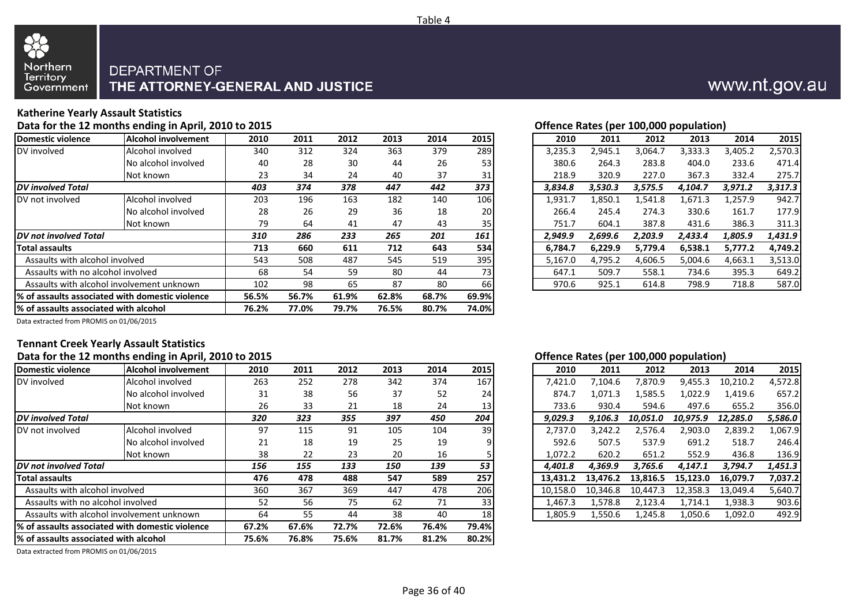

#### **Katherine Yearly Assault Statistics**

**Data for the 12 months ending in April, 2010 to 2015 Offence Rates (per 100,000 population)**

| Domestic violence                         | <b>Alcohol involvement</b>                       | 2010  | 2011  | 2012  | 2013  | 2014  | 2015       | 2010    | 2011    | 2012    | 2013    | 2014    | 2015    |
|-------------------------------------------|--------------------------------------------------|-------|-------|-------|-------|-------|------------|---------|---------|---------|---------|---------|---------|
| DV involved                               | Alcohol involved                                 | 340   | 312   | 324   | 363   | 379   | 289        | 3,235.3 | 2,945.1 | 3,064.7 | 3,333.3 | 3,405.2 | 2,570.3 |
|                                           | No alcohol involved                              | 40    | 28    | 30    | 44    | 26    | 53         | 380.6   | 264.3   | 283.8   | 404.0   | 233.6   | 471.4   |
|                                           | Not known                                        | 23    | 34    | 24    | 40    | 37    | 31         | 218.9   | 320.9   | 227.0   | 367.3   | 332.4   | 275.7   |
| <b>DV</b> involved Total                  |                                                  | 403   | 374   | 378   | 447   | 442   | 373        | 3,834.8 | 3,530.3 | 3,575.5 | 4,104.7 | 3,971.2 | 3,317.3 |
| <b>IDV</b> not involved                   | Alcohol involved                                 | 203   | 196   | 163   | 182   | 140   | <b>106</b> | 1,931.7 | 1,850.1 | 1,541.8 | 1,671.3 | 1,257.9 | 942.7   |
|                                           | No alcohol involved                              | 28    | 26    | 29    | 36    | 18    | <b>20</b>  | 266.4   | 245.4   | 274.3   | 330.6   | 161.7   | 177.9   |
|                                           | Not known                                        | 79    | 64    | 41    | 47    | 43    | 35         | 751.7   | 604.1   | 387.8   | 431.6   | 386.3   | 311.3   |
| <b>IDV</b> not involved Total             |                                                  | 310   | 286   | 233   | 265   | 201   | 161        | 2,949.9 | 2,699.6 | 2,203.9 | 2,433.4 | 1,805.9 | 1,431.9 |
| <b>Total assaults</b>                     |                                                  | 713   | 660   | 611   | 712   | 643   | 534        | 6,784.7 | 6,229.9 | 5,779.4 | 6,538.1 | 5,777.2 | 4,749.2 |
| Assaults with alcohol involved            |                                                  | 543   | 508   | 487   | 545   | 519   | 395        | 5,167.0 | 4,795.2 | 4,606.5 | 5,004.6 | 4,663.1 | 3,513.0 |
| Assaults with no alcohol involved         |                                                  | 68    | 54    | 59    | 80    | 44    | 731        | 647.1   | 509.7   | 558.1   | 734.6   | 395.3   | 649.2   |
| Assaults with alcohol involvement unknown |                                                  | 102   | 98    | 65    | 87    | 80    | <b>66</b>  | 970.6   | 925.1   | 614.8   | 798.9   | 718.8   | 587.0   |
|                                           | 1% of assaults associated with domestic violence | 56.5% | 56.7% | 61.9% | 62.8% | 68.7% | 69.9%      |         |         |         |         |         |         |
| % of assaults associated with alcohol     |                                                  | 76.2% | 77.0% | 79.7% | 76.5% | 80.7% | 74.0%      |         |         |         |         |         |         |

|  | Offence Rates (ner 100.000 nonulation) |
|--|----------------------------------------|

| 2010    | 2011    | 2012    | 2013    | 2014    | 2015    |
|---------|---------|---------|---------|---------|---------|
| 3,235.3 | 2,945.1 | 3,064.7 | 3,333.3 | 3,405.2 | 2,570.3 |
| 380.6   | 264.3   | 283.8   | 404.0   | 233.6   | 471.4   |
| 218.9   | 320.9   | 227.0   | 367.3   | 332.4   | 275.7   |
| 3,834.8 | 3,530.3 | 3,575.5 | 4,104.7 | 3,971.2 | 3,317.3 |
| 1,931.7 | 1,850.1 | 1,541.8 | 1,671.3 | 1,257.9 | 942.7   |
| 266.4   | 245.4   | 274.3   | 330.6   | 161.7   | 177.9   |
| 751.7   | 604.1   | 387.8   | 431.6   | 386.3   | 311.3   |
| 2,949.9 | 2,699.6 | 2,203.9 | 2,433.4 | 1,805.9 | 1,431.9 |
| 6,784.7 | 6,229.9 | 5,779.4 | 6,538.1 | 5,777.2 | 4,749.2 |
| 5,167.0 | 4,795.2 | 4,606.5 | 5,004.6 | 4,663.1 | 3,513.0 |
| 647.1   | 509.7   | 558.1   | 734.6   | 395.3   | 649.2   |
| 970.6   | 925.1   | 614.8   | 798.9   | 718.8   | 587.0   |
|         |         |         |         |         |         |

Data extracted from PROMIS on 01/06/2015

# **Tennant Creek Yearly Assault Statistics**

| Data for the 12 months ending in April, 2010 to 2013 |                                                                                                        |       |       |       |       |       | Undergroup National Provision Deputation |  |          |          |          |          |          |         |
|------------------------------------------------------|--------------------------------------------------------------------------------------------------------|-------|-------|-------|-------|-------|------------------------------------------|--|----------|----------|----------|----------|----------|---------|
| Domestic violence                                    | <b>Alcohol involvement</b>                                                                             | 2010  | 2011  | 2012  | 2013  | 2014  | 2015                                     |  | 2010     | 2011     | 2012     | 2013     | 2014     | 2015    |
| DV involved                                          | Alcohol involved                                                                                       | 263   | 252   | 278   | 342   | 374   | 167                                      |  | 7,421.0  | 7,104.6  | 7,870.9  | 9,455.3  | 10,210.2 | 4,572.8 |
|                                                      | No alcohol involved                                                                                    | 31    | 38    | 56    | 37    | 52    | 24                                       |  | 874.7    | 1,071.3  | 1,585.5  | 1,022.9  | 1,419.6  | 657.2   |
|                                                      | Not known                                                                                              | 26    | 33    | 21    | 18    | 24    | 13                                       |  | 733.6    | 930.4    | 594.6    | 497.6    | 655.2    | 356.0   |
| <b>DV</b> involved Total                             |                                                                                                        | 320   | 323   | 355   | 397   | 450   | 204                                      |  | 9,029.3  | 9.106.3  | 10.051.0 | 10.975.9 | 12,285.0 | 5,586.0 |
| DV not involved                                      | Alcohol involved                                                                                       | 97    | 115   | 91    | 105   | 104   | 39                                       |  | 2,737.0  | 3,242.2  | 2,576.4  | 2,903.0  | 2,839.2  | 1,067.9 |
|                                                      | No alcohol involved                                                                                    | 21    | 18    | 19    | 25    | 19    |                                          |  | 592.6    | 507.5    | 537.9    | 691.2    | 518.7    | 246.4   |
|                                                      | Not known                                                                                              | 38    | 22    | 23    | 20    | 16    |                                          |  | 1,072.2  | 620.2    | 651.2    | 552.9    | 436.8    | 136.9   |
| <b>IDV</b> not involved Total                        |                                                                                                        | 156   | 155   | 133   | 150   | 139   | 53                                       |  | 4,401.8  | 4,369.9  | 3,765.6  | 4,147.1  | 3,794.7  | 1,451.3 |
| <b>Total assaults</b>                                |                                                                                                        | 476   | 478   | 488   | 547   | 589   | 257                                      |  | 13,431.2 | 13.476.2 | 13.816.5 | 15.123.0 | 16,079.7 | 7,037.2 |
| Assaults with alcohol involved                       |                                                                                                        | 360   | 367   | 369   | 447   | 478   | 206                                      |  | 10.158.0 | 10,346.8 | 10.447.3 | 12,358.3 | 13,049.4 | 5,640.7 |
| Assaults with no alcohol involved                    |                                                                                                        | 52    | 56    | 75    | 62    | 71    | 33                                       |  | 1,467.3  | 1,578.8  | 2,123.4  | 1,714.1  | 1,938.3  | 903.6   |
| Assaults with alcohol involvement unknown            |                                                                                                        | 64    | 55    | 44    | 38    | 40    | <b>18</b>                                |  | 1,805.9  | 1,550.6  | 1,245.8  | 1,050.6  | 1,092.0  | 492.9   |
|                                                      | 72.6%<br>76.4%<br>79.4%<br>1% of assaults associated with domestic violence<br>67.6%<br>72.7%<br>67.2% |       |       |       |       |       |                                          |  |          |          |          |          |          |         |
| 1% of assaults associated with alcohol               | 75.6%                                                                                                  | 76.8% | 75.6% | 81.7% | 81.2% | 80.2% |                                          |  |          |          |          |          |          |         |

Data extracted from PROMIS on 01/06/2015

#### **Offence Rates (per 100,000 population)**

| 2010     | 2011     | 2012     | 2013     | 2014     | 2015    |
|----------|----------|----------|----------|----------|---------|
| 7,421.0  | 7,104.6  | 7,870.9  | 9,455.3  | 10,210.2 | 4,572.8 |
| 874.7    | 1,071.3  | 1,585.5  | 1,022.9  | 1,419.6  | 657.2   |
| 733.6    | 930.4    | 594.6    | 497.6    | 655.2    | 356.0   |
| 9,029.3  | 9,106.3  | 10,051.0 | 10,975.9 | 12,285.0 | 5,586.0 |
| 2,737.0  | 3,242.2  | 2,576.4  | 2,903.0  | 2,839.2  | 1,067.9 |
| 592.6    | 507.5    | 537.9    | 691.2    | 518.7    | 246.4   |
| 1,072.2  | 620.2    | 651.2    | 552.9    | 436.8    | 136.9   |
| 4,401.8  | 4,369.9  | 3,765.6  | 4,147.1  | 3,794.7  | 1,451.3 |
| 13,431.2 | 13,476.2 | 13,816.5 | 15,123.0 | 16,079.7 | 7,037.2 |
| 10,158.0 | 10,346.8 | 10,447.3 | 12,358.3 | 13,049.4 | 5,640.7 |
| 1,467.3  | 1,578.8  | 2,123.4  | 1,714.1  | 1,938.3  | 903.6   |
| 1,805.9  | 1,550.6  | 1,245.8  | 1,050.6  | 1,092.0  | 492.9   |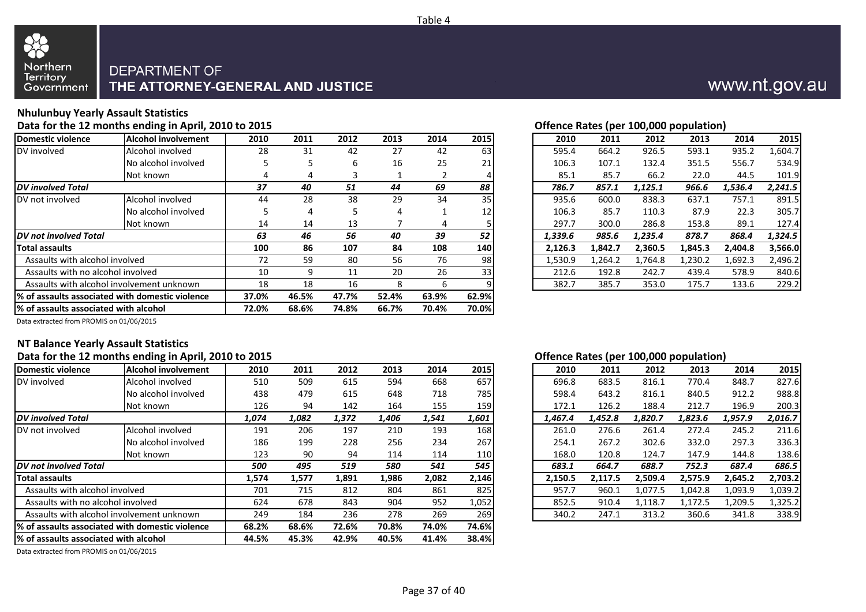



#### **Nhulunbuy Yearly Assault Statistics**

#### Data for the 12 months ending in April, 2010 to 2015

| <b>Alcohol involvement</b>                       | 2010 | 2011           | 2012  | 2013  | 2014  | 2015            | 2010            | 2011    | 2012    | 2013    | 2014    | 2015    |
|--------------------------------------------------|------|----------------|-------|-------|-------|-----------------|-----------------|---------|---------|---------|---------|---------|
| Alcohol involved                                 | 28   | 31             | 42    | 27    | 42    | 63              | 595.4           | 664.2   | 926.5   | 593.1   | 935.2   | 1,604.7 |
| No alcohol involved                              |      | כ              | 6     | 16    | 25    | 21              | 106.3           | 107.1   | 132.4   | 351.5   | 556.7   | 534.9   |
| Not known                                        |      | 4              |       |       |       |                 | 85.1            | 85.7    | 66.2    | 22.0    | 44.5    | 101.9   |
|                                                  | 37   | 40             | 51    | 44    | 69    | 88              | 786.7           | 857.1   | 1,125.1 | 966.6   | 1,536.4 | 2,241.5 |
| Alcohol involved                                 | 44   | 28             | 38    | 29    | 34    |                 | 935.6           | 600.0   | 838.3   | 637.1   | 757.1   | 891.5   |
| No alcohol involved                              |      | 4              | 5     | 4     |       | 12 <sub>l</sub> | 106.3           | 85.7    | 110.3   | 87.9    | 22.3    | 305.7   |
| Not known                                        | 14   | 14             | 13    |       |       |                 | 297.7           | 300.0   | 286.8   | 153.8   | 89.1    | 127.4   |
|                                                  | 63   | 46             | 56    | 40    | 39    | 52              | 1,339.6         | 985.6   | 1,235.4 | 878.7   | 868.4   | 1,324.5 |
|                                                  | 100  | 86             | 107   | 84    | 108   |                 | 2,126.3         | 1,842.7 | 2,360.5 | 1,845.3 | 2,404.8 | 3,566.0 |
| Assaults with alcohol involved                   | 72   | 59             | 80    | 56    | 76    |                 | 1,530.9         | 1,264.2 | 1,764.8 | 1,230.2 | 1,692.3 | 2,496.2 |
| Assaults with no alcohol involved                | 10   | 9              | 11    | 20    | 26    | 33              | 212.6           | 192.8   | 242.7   | 439.4   | 578.9   | 840.6   |
| Assaults with alcohol involvement unknown        | 18   | 18             | 16    | 8     | h     |                 | 382.7           | 385.7   | 353.0   | 175.7   | 133.6   | 229.2   |
| 1% of assaults associated with domestic violence |      | 46.5%          | 47.7% | 52.4% | 63.9% | 62.9%           |                 |         |         |         |         |         |
| 1% of assaults associated with alcohol           |      | 68.6%          | 74.8% | 66.7% | 70.4% | 70.0%           |                 |         |         |         |         |         |
|                                                  |      | 37.0%<br>72.0% |       |       |       |                 | 35<br>140<br>98 |         |         |         |         |         |

| Offence Rates (per 100,000 population) |  |  |  |
|----------------------------------------|--|--|--|
|                                        |  |  |  |

|         | $\mathbf{u}$ |         |         |         |         |
|---------|--------------|---------|---------|---------|---------|
| 2010    | 2011         | 2012    | 2013    | 2014    | 2015    |
| 595.4   | 664.2        | 926.5   | 593.1   | 935.2   | 1,604.7 |
| 106.3   | 107.1        | 132.4   | 351.5   | 556.7   | 534.9   |
| 85.1    | 85.7         | 66.2    | 22.0    | 44.5    | 101.9   |
| 786.7   | 857.1        | 1,125.1 | 966.6   | 1,536.4 | 2,241.5 |
| 935.6   | 600.0        | 838.3   | 637.1   | 757.1   | 891.5   |
| 106.3   | 85.7         | 110.3   | 87.9    | 22.3    | 305.7   |
| 297.7   | 300.0        | 286.8   | 153.8   | 89.1    | 127.4   |
| 1,339.6 | 985.6        | 1,235.4 | 878.7   | 868.4   | 1,324.5 |
| 2,126.3 | 1,842.7      | 2,360.5 | 1,845.3 | 2,404.8 | 3,566.0 |
| 1,530.9 | 1,264.2      | 1,764.8 | 1,230.2 | 1,692.3 | 2,496.2 |
| 212.6   | 192.8        | 242.7   | 439.4   | 578.9   | 840.6   |
| 382.7   | 385.7        | 353.0   | 175.7   | 133.6   | 229.2   |

Data extracted from PROMIS on 01/06/2015

#### **NT Balance Yearly Assault Statistics**

#### **Data for the 12 months ending in April, 2010 to 2015 Offence Rates (per 100,000 population)**

| <b>Alcohol involvement</b>                                                                             | 2010  | 2011                  | 2012  | 2013  | 2014  | 2015  |                                                  | 2010    | 2011    | 2012    | 2013    | 2014        | 2015    |
|--------------------------------------------------------------------------------------------------------|-------|-----------------------|-------|-------|-------|-------|--------------------------------------------------|---------|---------|---------|---------|-------------|---------|
| Alcohol involved                                                                                       | 510   | 509                   | 615   | 594   | 668   | 657   |                                                  | 696.8   | 683.5   | 816.1   | 770.4   | 848.7       | 827.6   |
| No alcohol involved                                                                                    | 438   | 479                   | 615   | 648   | 718   | 785   |                                                  | 598.4   | 643.2   | 816.1   | 840.5   | 912.2       | 988.8   |
| Not known                                                                                              | 126   | 94                    | 142   | 164   | 155   |       |                                                  | 172.1   | 126.2   | 188.4   | 212.7   | 196.9       | 200.3   |
| <b>IDV</b> involved Total                                                                              |       | 1,082                 | 1,372 | 1,406 | 1,541 | 1,601 |                                                  | 1,467.4 | 1,452.8 | 1,820.7 | 1,823.6 | 1,957.9     | 2,016.7 |
| Alcohol involved                                                                                       | 191   | 206                   | 197   | 210   | 193   |       |                                                  | 261.0   | 276.6   | 261.4   | 272.4   | 245.2       | 211.6   |
| No alcohol involved                                                                                    | 186   | 199                   | 228   | 256   | 234   | 267   |                                                  | 254.1   | 267.2   | 302.6   | 332.0   | 297.3       | 336.3   |
| Not known                                                                                              | 123   | 90                    | 94    | 114   | 114   |       |                                                  | 168.0   | 120.8   | 124.7   | 147.9   | 144.8       | 138.6   |
| <b>IDV</b> not involved Total                                                                          | 500   | 495                   | 519   | 580   | 541   | 545   |                                                  | 683.1   | 664.7   | 688.7   | 752.3   | 687.4       | 686.5   |
|                                                                                                        | 1,574 | 1,577                 | 1,891 | 1,986 | 2,082 |       |                                                  | 2,150.5 | 2,117.5 | 2,509.4 | 2,575.9 | 2,645.2     | 2,703.2 |
| Assaults with alcohol involved                                                                         | 701   | 715                   | 812   | 804   | 861   | 825   |                                                  | 957.7   | 960.1   | 1,077.5 | 1,042.8 | 1,093.9     | 1,039.2 |
| Assaults with no alcohol involved                                                                      | 624   | 678                   | 843   | 904   | 952   | 1,052 |                                                  | 852.5   | 910.4   | 1,118.7 | 1,172.5 | 1,209.5     | 1,325.2 |
| Assaults with alcohol involvement unknown                                                              |       | 184                   | 236   | 278   | 269   |       |                                                  | 340.2   | 247.1   | 313.2   | 360.6   | 341.8       | 338.9   |
| 68.6%<br>72.6%<br>70.8%<br>74.0%<br>74.6%<br>1% of assaults associated with domestic violence<br>68.2% |       |                       |       |       |       |       |                                                  |         |         |         |         |             |         |
| 1% of assaults associated with alcohol                                                                 |       | 45.3%                 | 42.9% | 40.5% | 41.4% | 38.4% |                                                  |         |         |         |         |             |         |
|                                                                                                        |       | 1,074<br>249<br>44.5% |       |       |       |       | <b>1591</b><br>168<br><b>110</b><br>2,146<br>269 |         |         |         |         | ---,--- r-r |         |

| 2010    | 2011    | 2012    | 2013    | 2014    | 2015    |
|---------|---------|---------|---------|---------|---------|
| 696.8   | 683.5   | 816.1   | 770.4   | 848.7   | 827.6   |
| 598.4   | 643.2   | 816.1   | 840.5   | 912.2   | 988.8   |
| 172.1   | 126.2   | 188.4   | 212.7   | 196.9   | 200.3   |
| 1,467.4 | 1,452.8 | 1,820.7 | 1,823.6 | 1,957.9 | 2,016.7 |
| 261.0   | 276.6   | 261.4   | 272.4   | 245.2   | 211.6   |
| 254.1   | 267.2   | 302.6   | 332.0   | 297.3   | 336.3   |
| 168.0   | 120.8   | 124.7   | 147.9   | 144.8   | 138.6   |
| 683.1   | 664.7   | 688.7   | 752.3   | 687.4   | 686.5   |
| 2,150.5 | 2,117.5 | 2,509.4 | 2,575.9 | 2,645.2 | 2,703.2 |
| 957.7   | 960.1   | 1,077.5 | 1,042.8 | 1,093.9 | 1,039.2 |
| 852.5   | 910.4   | 1,118.7 | 1,172.5 | 1,209.5 | 1,325.2 |
| 340.2   | 247.1   | 313.2   | 360.6   | 341.8   | 338.9   |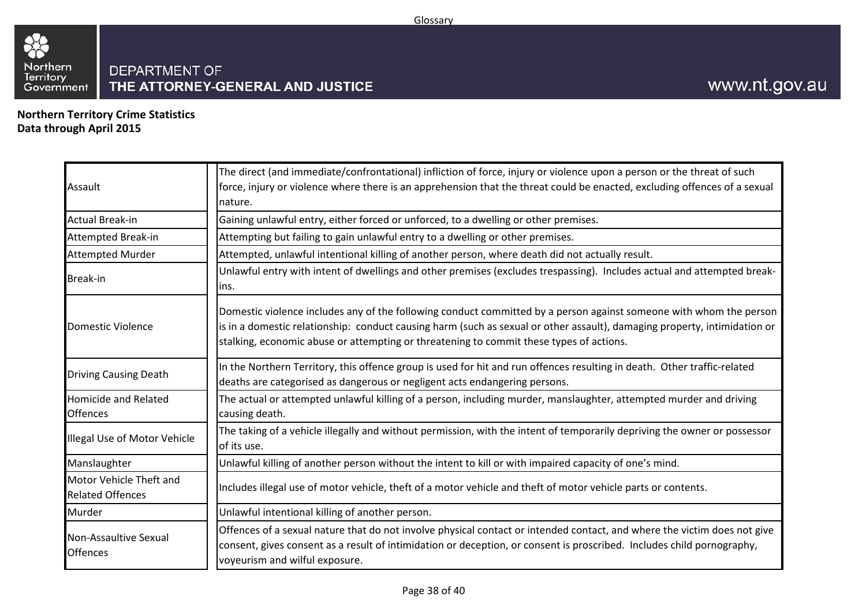

<span id="page-37-0"></span>**Northern Territory Crime Statistics Data through April 2015**

| Assault                                            | The direct (and immediate/confrontational) infliction of force, injury or violence upon a person or the threat of such<br>force, injury or violence where there is an apprehension that the threat could be enacted, excluding offences of a sexual<br>nature.                                                                             |
|----------------------------------------------------|--------------------------------------------------------------------------------------------------------------------------------------------------------------------------------------------------------------------------------------------------------------------------------------------------------------------------------------------|
| <b>Actual Break-in</b>                             | Gaining unlawful entry, either forced or unforced, to a dwelling or other premises.                                                                                                                                                                                                                                                        |
| <b>Attempted Break-in</b>                          | Attempting but failing to gain unlawful entry to a dwelling or other premises.                                                                                                                                                                                                                                                             |
| <b>Attempted Murder</b>                            | Attempted, unlawful intentional killing of another person, where death did not actually result.                                                                                                                                                                                                                                            |
| Break-in                                           | Unlawful entry with intent of dwellings and other premises (excludes trespassing). Includes actual and attempted break-<br>lins.                                                                                                                                                                                                           |
| <b>Domestic Violence</b>                           | Domestic violence includes any of the following conduct committed by a person against someone with whom the person<br>is in a domestic relationship: conduct causing harm (such as sexual or other assault), damaging property, intimidation or<br>stalking, economic abuse or attempting or threatening to commit these types of actions. |
| <b>Driving Causing Death</b>                       | In the Northern Territory, this offence group is used for hit and run offences resulting in death. Other traffic-related<br>deaths are categorised as dangerous or negligent acts endangering persons.                                                                                                                                     |
| <b>Homicide and Related</b><br><b>Offences</b>     | The actual or attempted unlawful killing of a person, including murder, manslaughter, attempted murder and driving<br>causing death.                                                                                                                                                                                                       |
| Illegal Use of Motor Vehicle                       | The taking of a vehicle illegally and without permission, with the intent of temporarily depriving the owner or possessor<br>of its use.                                                                                                                                                                                                   |
| Manslaughter                                       | Unlawful killing of another person without the intent to kill or with impaired capacity of one's mind.                                                                                                                                                                                                                                     |
| Motor Vehicle Theft and<br><b>Related Offences</b> | Includes illegal use of motor vehicle, theft of a motor vehicle and theft of motor vehicle parts or contents.                                                                                                                                                                                                                              |
| Murder                                             | Unlawful intentional killing of another person.                                                                                                                                                                                                                                                                                            |
| Non-Assaultive Sexual<br><b>Offences</b>           | Offences of a sexual nature that do not involve physical contact or intended contact, and where the victim does not give<br>consent, gives consent as a result of intimidation or deception, or consent is proscribed. Includes child pornography,<br>voyeurism and wilful exposure.                                                       |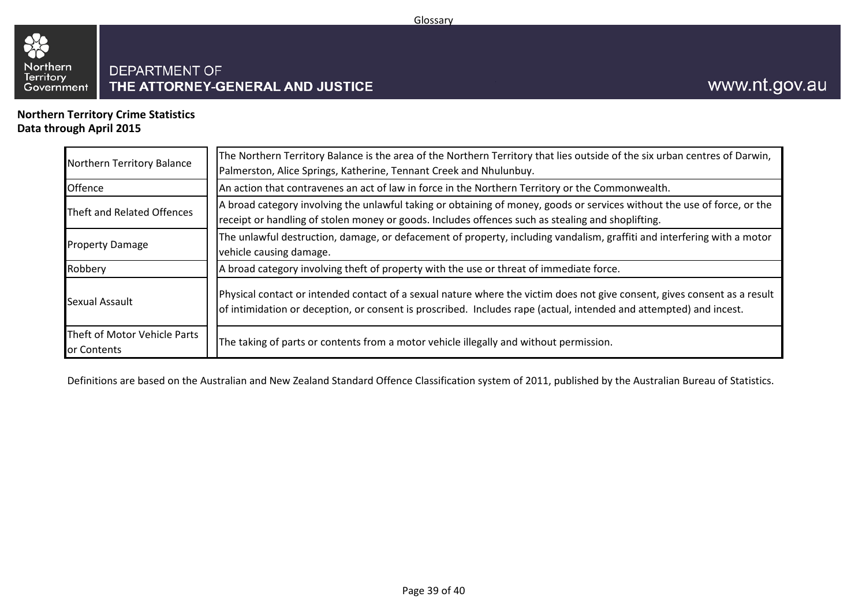

**Northern Territory Crime Statistics Data through April 2015**

| Northern Territory Balance                  | The Northern Territory Balance is the area of the Northern Territory that lies outside of the six urban centres of Darwin,<br>Palmerston, Alice Springs, Katherine, Tennant Creek and Nhulunbuy.                                                |
|---------------------------------------------|-------------------------------------------------------------------------------------------------------------------------------------------------------------------------------------------------------------------------------------------------|
| Offence                                     | An action that contravenes an act of law in force in the Northern Territory or the Commonwealth.                                                                                                                                                |
| Theft and Related Offences                  | A broad category involving the unlawful taking or obtaining of money, goods or services without the use of force, or the<br>receipt or handling of stolen money or goods. Includes offences such as stealing and shoplifting.                   |
| <b>Property Damage</b>                      | The unlawful destruction, damage, or defacement of property, including vandalism, graffiti and interfering with a motor<br>vehicle causing damage.                                                                                              |
| Robbery                                     | A broad category involving theft of property with the use or threat of immediate force.                                                                                                                                                         |
| Sexual Assault                              | Physical contact or intended contact of a sexual nature where the victim does not give consent, gives consent as a result<br>of intimidation or deception, or consent is proscribed. Includes rape (actual, intended and attempted) and incest. |
| Theft of Motor Vehicle Parts<br>or Contents | The taking of parts or contents from a motor vehicle illegally and without permission.                                                                                                                                                          |

Definitions are based on the Australian and New Zealand Standard Offence Classification system of 2011, published by the Australian Bureau of Statistics.